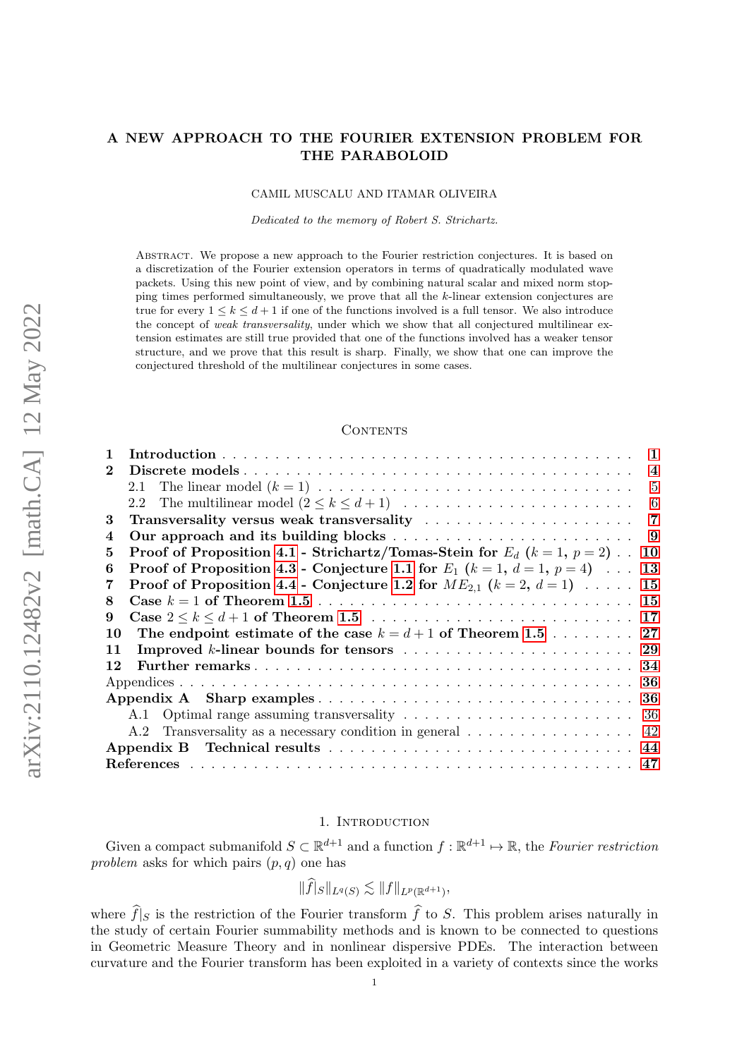# A NEW APPROACH TO THE FOURIER EXTENSION PROBLEM FOR THE PARABOLOID

#### CAMIL MUSCALU AND ITAMAR OLIVEIRA

Dedicated to the memory of Robert S. Strichartz.

ABSTRACT. We propose a new approach to the Fourier restriction conjectures. It is based on a discretization of the Fourier extension operators in terms of quadratically modulated wave packets. Using this new point of view, and by combining natural scalar and mixed norm stopping times performed simultaneously, we prove that all the k-linear extension conjectures are true for every  $1 \leq k \leq d+1$  if one of the functions involved is a full tensor. We also introduce the concept of *weak transversality*, under which we show that all conjectured multilinear extension estimates are still true provided that one of the functions involved has a weaker tensor structure, and we prove that this result is sharp. Finally, we show that one can improve the conjectured threshold of the multilinear conjectures in some cases.

#### CONTENTS

| 1                                                                                                           |
|-------------------------------------------------------------------------------------------------------------|
| $\bf{2}$<br>$\overline{4}$                                                                                  |
| 5                                                                                                           |
| - 6                                                                                                         |
| 3                                                                                                           |
| 4                                                                                                           |
| <b>Proof of Proposition 4.1 - Strichartz/Tomas-Stein for </b> $E_d$ ( $k = 1, p = 2$ ).<br>5<br>10          |
| <b>Proof of Proposition 4.3 - Conjecture 1.1 for</b> $E_1$ ( $k = 1$ , $d = 1$ , $p = 4$ ) $\ldots$ 13<br>6 |
| Proof of Proposition 4.4 - Conjecture 1.2 for $ME_{2,1}$ $(k = 2, d = 1)$ 15<br>7                           |
| 8                                                                                                           |
| 9                                                                                                           |
| The endpoint estimate of the case $k = d + 1$ of Theorem 1.5 27<br>10                                       |
| Improved k-linear bounds for tensors<br>29<br>11                                                            |
| 34<br>12                                                                                                    |
| 36                                                                                                          |
| -36                                                                                                         |
| 36                                                                                                          |
|                                                                                                             |
|                                                                                                             |
|                                                                                                             |

## 1. Introduction

<span id="page-0-0"></span>Given a compact submanifold  $S \subset \mathbb{R}^{d+1}$  and a function  $f : \mathbb{R}^{d+1} \to \mathbb{R}$ , the Fourier restriction problem asks for which pairs  $(p, q)$  one has

$$
\|\widehat{f}|_S\|_{L^q(S)} \lesssim \|f\|_{L^p(\mathbb{R}^{d+1})},
$$

where  $\widehat{f}|_S$  is the restriction of the Fourier transform  $\widehat{f}$  to S. This problem arises naturally in the study of certain Fourier summability methods and is known to be connected to questions in Geometric Measure Theory and in nonlinear dispersive PDEs. The interaction between curvature and the Fourier transform has been exploited in a variety of contexts since the works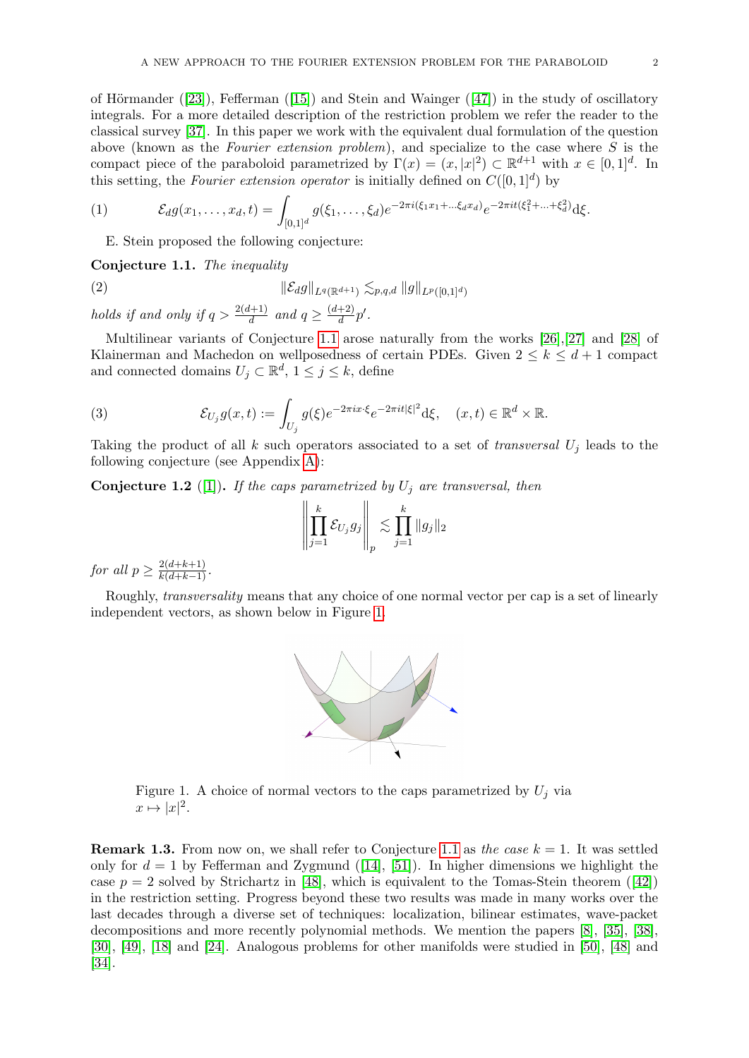ofHörmander ([\[23\]](#page-47-0)), Fefferman ([\[15\]](#page-47-1)) and Stein and Wainger ([\[47\]](#page-48-0)) in the study of oscillatory integrals. For a more detailed description of the restriction problem we refer the reader to the classical survey [\[37\]](#page-47-2). In this paper we work with the equivalent dual formulation of the question above (known as the Fourier extension problem), and specialize to the case where S is the compact piece of the paraboloid parametrized by  $\Gamma(x) = (x, |x|^2) \subset \mathbb{R}^{d+1}$  with  $x \in [0, 1]^d$ . In this setting, the Fourier extension operator is initially defined on  $C([0, 1]^d)$  by

(1) 
$$
\mathcal{E}_d g(x_1,\ldots,x_d,t) = \int_{[0,1]^d} g(\xi_1,\ldots,\xi_d) e^{-2\pi i (\xi_1 x_1 + \ldots \xi_d x_d)} e^{-2\pi i t (\xi_1^2 + \ldots + \xi_d^2)} d\xi.
$$

<span id="page-1-3"></span>E. Stein proposed the following conjecture:

<span id="page-1-0"></span>Conjecture 1.1. The inequality

(2) 
$$
\|\mathcal{E}_d g\|_{L^q(\mathbb{R}^{d+1})} \lesssim_{p,q,d} \|g\|_{L^p([0,1]^d)}
$$

holds if and only if  $q > \frac{2(d+1)}{d}$  and  $q \geq \frac{(d+2)}{d}$  $\frac{+2)}{d}p'.$ 

Multilinear variants of Conjecture [1.1](#page-1-0) arose naturally from the works [\[26\]](#page-47-3),[\[27\]](#page-47-4) and [\[28\]](#page-47-5) of Klainerman and Machedon on wellposedness of certain PDEs. Given  $2 \leq k \leq d+1$  compact and connected domains  $U_j \subset \mathbb{R}^d$ ,  $1 \leq j \leq k$ , define

(3) 
$$
\mathcal{E}_{U_j} g(x,t) := \int_{U_j} g(\xi) e^{-2\pi i x \cdot \xi} e^{-2\pi i t |\xi|^2} d\xi, \quad (x,t) \in \mathbb{R}^d \times \mathbb{R}.
$$

Taking the product of all k such operators associated to a set of transversal  $U_j$  leads to the following conjecture (see Appendix [A\)](#page-35-1):

<span id="page-1-1"></span>**Conjecture 1.2** ([\[1\]](#page-46-1)). If the caps parametrized by  $U_j$  are transversal, then

$$
\left\| \prod_{j=1}^k \mathcal{E}_{U_j} g_j \right\|_p \lesssim \prod_{j=1}^k \|g_j\|_2
$$

for all  $p \geq \frac{2(d+k+1)}{k(d+k-1)}$ .

<span id="page-1-2"></span>Roughly, transversality means that any choice of one normal vector per cap is a set of linearly independent vectors, as shown below in Figure [1.](#page-1-2)



Figure 1. A choice of normal vectors to the caps parametrized by  $U_j$  via  $x \mapsto |x|^2$ .

**Remark 1.3.** From now on, we shall refer to Conjecture [1.1](#page-1-0) as the case  $k = 1$ . It was settled only for  $d = 1$  by Fefferman and Zygmund ([\[14\]](#page-47-6), [\[51\]](#page-48-1)). In higher dimensions we highlight the case $p = 2$  solved by Strichartz in [\[48\]](#page-48-2), which is equivalent to the Tomas-Stein theorem ([\[42\]](#page-48-3)) in the restriction setting. Progress beyond these two results was made in many works over the last decades through a diverse set of techniques: localization, bilinear estimates, wave-packet decompositions and more recently polynomial methods. We mention the papers [\[8\]](#page-46-2), [\[35\]](#page-47-7), [\[38\]](#page-47-8), [\[30\]](#page-47-9), [\[49\]](#page-48-4), [\[18\]](#page-47-10) and [\[24\]](#page-47-11). Analogous problems for other manifolds were studied in [\[50\]](#page-48-5), [\[48\]](#page-48-2) and [\[34\]](#page-47-12).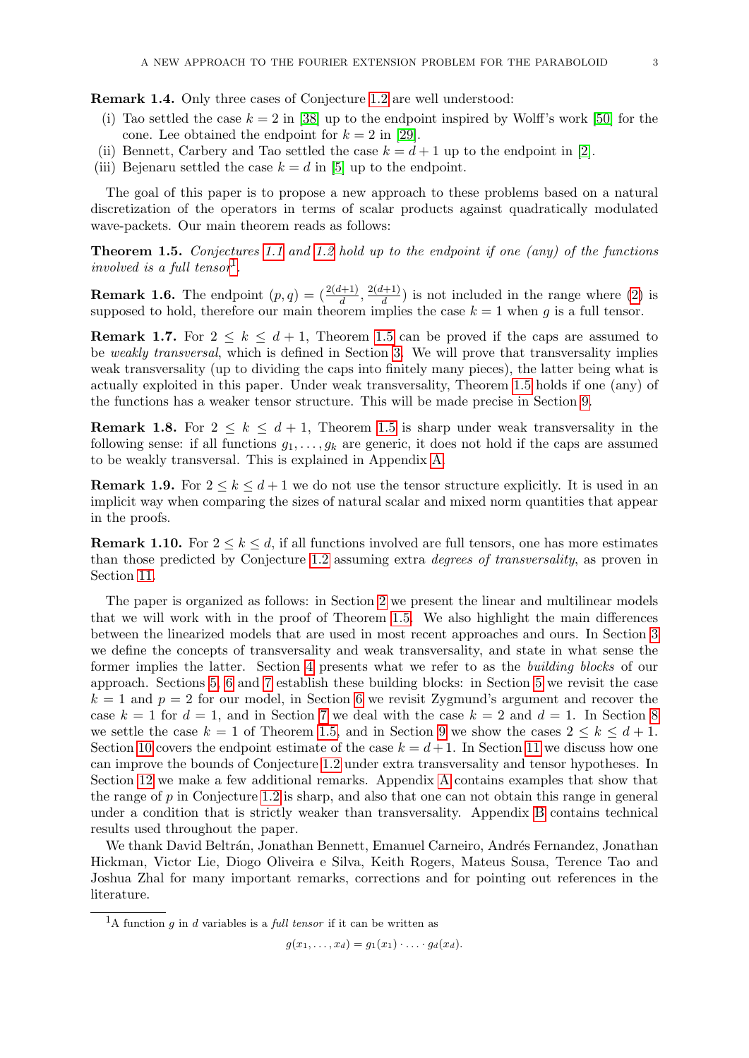Remark 1.4. Only three cases of Conjecture [1.2](#page-1-1) are well understood:

- (i) Tao settled the case  $k = 2$  in [\[38\]](#page-47-8) up to the endpoint inspired by Wolff's work [\[50\]](#page-48-5) for the cone. Lee obtained the endpoint for  $k = 2$  in [\[29\]](#page-47-13).
- (ii) Bennett, Carbery and Tao settled the case  $k = d + 1$  up to the endpoint in [\[2\]](#page-46-3).
- (iii) Bejenaru settled the case  $k = d$  in [\[5\]](#page-46-4) up to the endpoint.

The goal of this paper is to propose a new approach to these problems based on a natural discretization of the operators in terms of scalar products against quadratically modulated wave-packets. Our main theorem reads as follows:

<span id="page-2-0"></span>Theorem 1.5. Conjectures [1.1](#page-1-0) and [1.2](#page-1-1) hold up to the endpoint if one (any) of the functions involved is a full tensor<sup>[1](#page-2-1)</sup>.

**Remark 1.6.** The endpoint  $(p, q) = (\frac{2(d+1)}{d}, \frac{2(d+1)}{d})$  $\frac{d+1}{d}$ ) is not included in the range where [\(2\)](#page-1-3) is supposed to hold, therefore our main theorem implies the case  $k = 1$  when g is a full tensor.

<span id="page-2-2"></span>**Remark 1.7.** For  $2 \leq k \leq d+1$ , Theorem [1.5](#page-2-0) can be proved if the caps are assumed to be weakly transversal, which is defined in Section [3.](#page-6-0) We will prove that transversality implies weak transversality (up to dividing the caps into finitely many pieces), the latter being what is actually exploited in this paper. Under weak transversality, Theorem [1.5](#page-2-0) holds if one (any) of the functions has a weaker tensor structure. This will be made precise in Section [9.](#page-16-0)

<span id="page-2-3"></span>**Remark 1.8.** For  $2 \leq k \leq d+1$ , Theorem [1.5](#page-2-0) is sharp under weak transversality in the following sense: if all functions  $g_1, \ldots, g_k$  are generic, it does not hold if the caps are assumed to be weakly transversal. This is explained in Appendix [A.](#page-35-1)

**Remark 1.9.** For  $2 \leq k \leq d+1$  we do not use the tensor structure explicitly. It is used in an implicit way when comparing the sizes of natural scalar and mixed norm quantities that appear in the proofs.

**Remark 1.10.** For  $2 \leq k \leq d$ , if all functions involved are full tensors, one has more estimates than those predicted by Conjecture [1.2](#page-1-1) assuming extra degrees of transversality, as proven in Section [11.](#page-28-0)

The paper is organized as follows: in Section [2](#page-3-0) we present the linear and multilinear models that we will work with in the proof of Theorem [1.5.](#page-2-0) We also highlight the main differences between the linearized models that are used in most recent approaches and ours. In Section [3](#page-6-0) we define the concepts of transversality and weak transversality, and state in what sense the former implies the latter. Section [4](#page-8-0) presents what we refer to as the building blocks of our approach. Sections [5,](#page-9-0) [6](#page-12-0) and [7](#page-14-0) establish these building blocks: in Section [5](#page-9-0) we revisit the case  $k = 1$  and  $p = 2$  for our model, in Section [6](#page-12-0) we revisit Zygmund's argument and recover the case  $k = 1$  for  $d = 1$ , and in Section [7](#page-14-0) we deal with the case  $k = 2$  and  $d = 1$ . In Section [8](#page-14-1) we settle the case  $k = 1$  of Theorem [1.5,](#page-2-0) and in Section [9](#page-16-0) we show the cases  $2 \leq k \leq d+1$ . Section [10](#page-26-0) covers the endpoint estimate of the case  $k = d + 1$ . In Section [11](#page-28-0) we discuss how one can improve the bounds of Conjecture [1.2](#page-1-1) under extra transversality and tensor hypotheses. In Section [12](#page-33-0) we make a few additional remarks. Appendix [A](#page-35-1) contains examples that show that the range of  $p$  in Conjecture [1.2](#page-1-1) is sharp, and also that one can not obtain this range in general under a condition that is strictly weaker than transversality. Appendix [B](#page-43-0) contains technical results used throughout the paper.

We thank David Beltrán, Jonathan Bennett, Emanuel Carneiro, Andrés Fernandez, Jonathan Hickman, Victor Lie, Diogo Oliveira e Silva, Keith Rogers, Mateus Sousa, Terence Tao and Joshua Zhal for many important remarks, corrections and for pointing out references in the literature.

 $q(x_1, \ldots, x_d) = q_1(x_1) \cdot \ldots \cdot q_d(x_d).$ 

<span id="page-2-1"></span><sup>&</sup>lt;sup>1</sup>A function g in d variables is a *full tensor* if it can be written as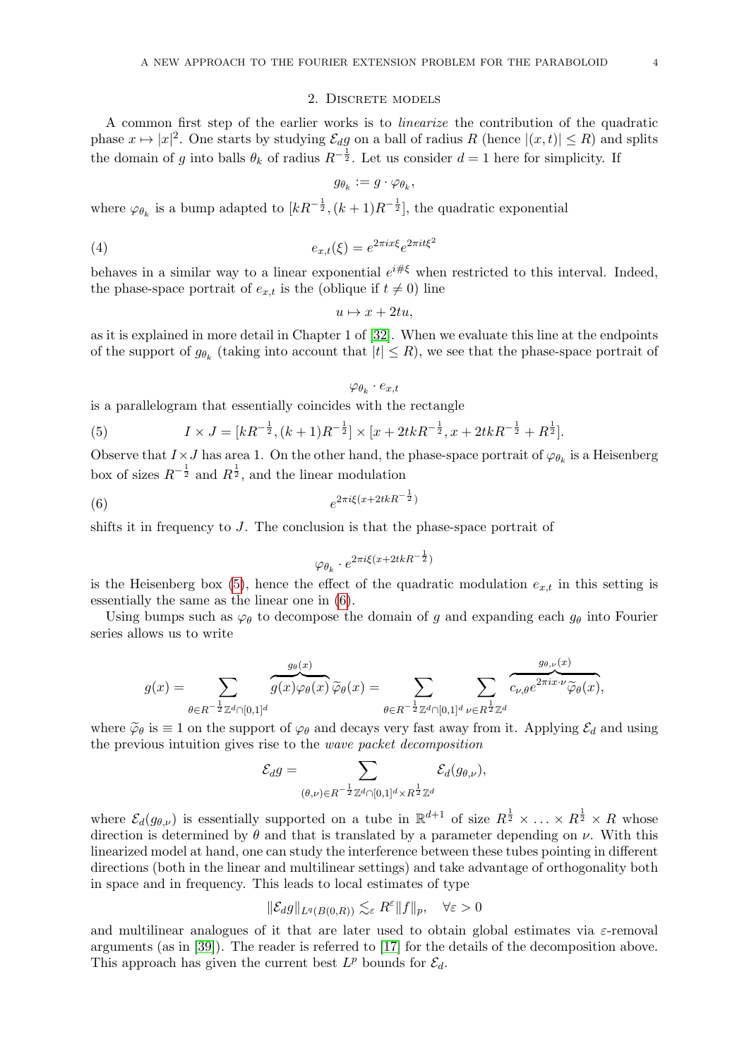## 2. DISCRETE MODELS

<span id="page-3-0"></span>A common first step of the earlier works is to linearize the contribution of the quadratic phase  $x \mapsto |x|^2$ . One starts by studying  $\mathcal{E}_d g$  on a ball of radius R (hence  $|(x, t)| \leq R$ ) and splits the domain of g into balls  $\theta_k$  of radius  $R^{-\frac{1}{2}}$ . Let us consider  $d=1$  here for simplicity. If

$$
g_{\theta_k} := g \cdot \varphi_{\theta_k},
$$

where  $\varphi_{\theta_k}$  is a bump adapted to  $[kR^{-\frac{1}{2}}, (k+1)R^{-\frac{1}{2}}]$ , the quadratic exponential

(4) 
$$
e_{x,t}(\xi) = e^{2\pi i x \xi} e^{2\pi i t \xi^2}
$$

behaves in a similar way to a linear exponential  $e^{i\# \xi}$  when restricted to this interval. Indeed, the phase-space portrait of  $e_{x,t}$  is the (oblique if  $t \neq 0$ ) line

$$
u \mapsto x + 2tu,
$$

as it is explained in more detail in Chapter 1 of [\[32\]](#page-47-14). When we evaluate this line at the endpoints of the support of  $g_{\theta_k}$  (taking into account that  $|t| \leq R$ ), we see that the phase-space portrait of

 $\varphi_{\theta_k} \cdot e_{x,t}$ 

is a parallelogram that essentially coincides with the rectangle

<span id="page-3-1"></span>(5) 
$$
I \times J = [kR^{-\frac{1}{2}}, (k+1)R^{-\frac{1}{2}}] \times [x + 2tkR^{-\frac{1}{2}}, x + 2tkR^{-\frac{1}{2}} + R^{\frac{1}{2}}].
$$

Observe that  $I \times J$  has area 1. On the other hand, the phase-space portrait of  $\varphi_{\theta_k}$  is a Heisenberg box of sizes  $R^{-\frac{1}{2}}$  and  $R^{\frac{1}{2}}$ , and the linear modulation

$$
(6) \qquad \qquad e^{2\pi i\xi(x+2tkR^{-\frac{1}{2}})}
$$

shifts it in frequency to J. The conclusion is that the phase-space portrait of

<span id="page-3-2"></span>
$$
\varphi_{\theta_k} \cdot e^{2\pi i \xi (x + 2tkR^{-\frac{1}{2}})}
$$

is the Heisenberg box [\(5\)](#page-3-1), hence the effect of the quadratic modulation  $e_{x,t}$  in this setting is essentially the same as the linear one in [\(6\)](#page-3-2).

Using bumps such as  $\varphi_{\theta}$  to decompose the domain of g and expanding each  $g_{\theta}$  into Fourier series allows us to write

$$
g(x)=\sum_{\theta\in R^{-\frac{1}{2}}\mathbb{Z}^d\cap[0,1]^d}\overbrace{g(x)\varphi_\theta(x)}^{g_\theta(x)}\widetilde{\varphi}_\theta(x)=\sum_{\theta\in R^{-\frac{1}{2}}\mathbb{Z}^d\cap[0,1]^d}\sum_{\nu\in R^{\frac{1}{2}}\mathbb{Z}^d}\overbrace{c_{\nu,\theta}e^{2\pi ix\cdot\nu}\widetilde{\varphi}_\theta(x)}^{g_{\theta,\nu}(x)},
$$

where  $\tilde{\varphi}_{\theta}$  is  $\equiv 1$  on the support of  $\varphi_{\theta}$  and decays very fast away from it. Applying  $\mathcal{E}_{d}$  and using the previous intuition gives rise to the wave packet decomposition

$$
\mathcal{E}_d g = \sum_{(\theta,\nu) \in R^{-\frac{1}{2}} \mathbb{Z}^d \cap [0,1]^d \times R^{\frac{1}{2}} \mathbb{Z}^d} \mathcal{E}_d(g_{\theta,\nu}),
$$

where  $\mathcal{E}_d(g_{\theta,\nu})$  is essentially supported on a tube in  $\mathbb{R}^{d+1}$  of size  $R^{\frac{1}{2}} \times \ldots \times R^{\frac{1}{2}} \times R$  whose direction is determined by  $\theta$  and that is translated by a parameter depending on  $\nu$ . With this linearized model at hand, one can study the interference between these tubes pointing in different directions (both in the linear and multilinear settings) and take advantage of orthogonality both in space and in frequency. This leads to local estimates of type

$$
\|\mathcal{E}_d g\|_{L^q(B(0,R))} \lesssim_{\varepsilon} R^{\varepsilon} \|f\|_p, \quad \forall \varepsilon > 0
$$

and multilinear analogues of it that are later used to obtain global estimates via  $\varepsilon$ -removal arguments (as in [\[39\]](#page-47-15)). The reader is referred to [\[17\]](#page-47-16) for the details of the decomposition above. This approach has given the current best  $L^p$  bounds for  $\mathcal{E}_d$ .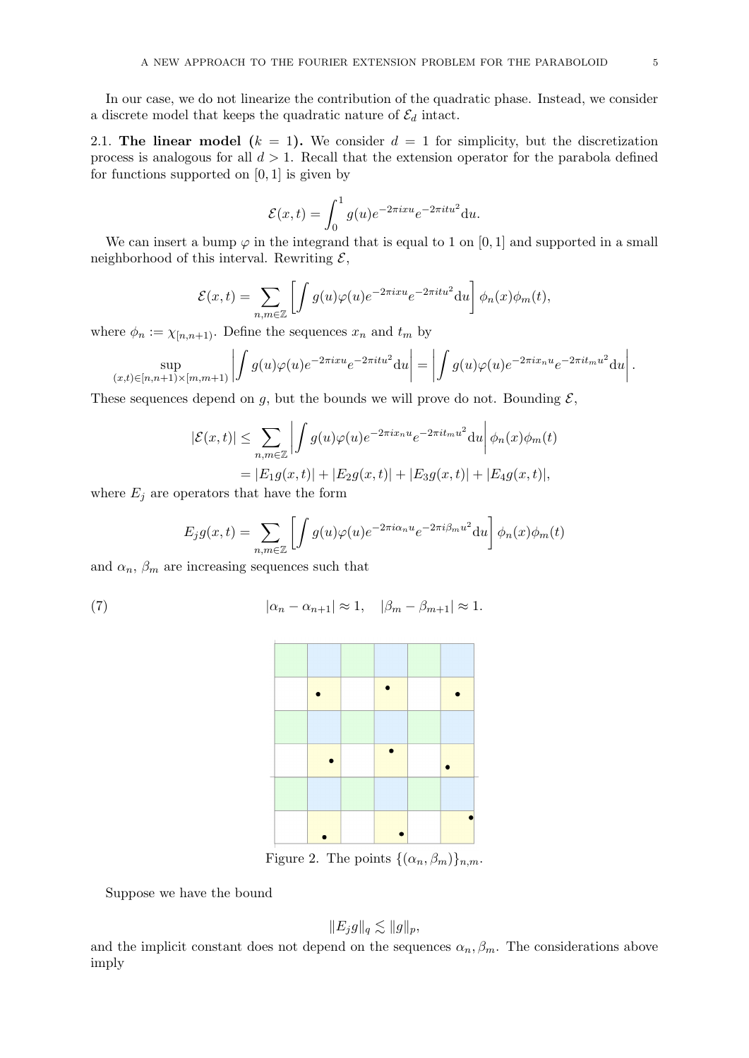In our case, we do not linearize the contribution of the quadratic phase. Instead, we consider a discrete model that keeps the quadratic nature of  $\mathcal{E}_d$  intact.

<span id="page-4-0"></span>2.1. The linear model  $(k = 1)$ . We consider  $d = 1$  for simplicity, but the discretization process is analogous for all  $d > 1$ . Recall that the extension operator for the parabola defined for functions supported on  $[0, 1]$  is given by

$$
\mathcal{E}(x,t) = \int_0^1 g(u)e^{-2\pi i xu}e^{-2\pi i tu^2} du.
$$

We can insert a bump  $\varphi$  in the integrand that is equal to 1 on [0, 1] and supported in a small neighborhood of this interval. Rewriting  $\mathcal{E}$ ,

$$
\mathcal{E}(x,t) = \sum_{n,m \in \mathbb{Z}} \left[ \int g(u)\varphi(u)e^{-2\pi i x u} e^{-2\pi i t u^2} du \right] \phi_n(x)\phi_m(t),
$$

where  $\phi_n := \chi_{[n,n+1)}$ . Define the sequences  $x_n$  and  $t_m$  by

$$
\sup_{(x,t)\in[n,n+1)\times[m,m+1)}\left|\int g(u)\varphi(u)e^{-2\pi i xu}e^{-2\pi i tu^2}du\right|=\left|\int g(u)\varphi(u)e^{-2\pi i x_n u}e^{-2\pi i t_m u^2}du\right|.
$$

These sequences depend on g, but the bounds we will prove do not. Bounding  $\mathcal{E}$ ,

$$
|\mathcal{E}(x,t)| \leq \sum_{n,m \in \mathbb{Z}} \left| \int g(u)\varphi(u)e^{-2\pi ix_n u} e^{-2\pi it_m u^2} du \right| \phi_n(x)\phi_m(t)
$$
  
=  $|E_1 g(x,t)| + |E_2 g(x,t)| + |E_3 g(x,t)| + |E_4 g(x,t)|,$ 

where  $E_j$  are operators that have the form

$$
E_j g(x,t) = \sum_{n,m \in \mathbb{Z}} \left[ \int g(u)\varphi(u)e^{-2\pi i \alpha_n u} e^{-2\pi i \beta_m u^2} du \right] \phi_n(x)\phi_m(t)
$$

and  $\alpha_n$ ,  $\beta_m$  are increasing sequences such that

(7) 
$$
|\alpha_n - \alpha_{n+1}| \approx 1, \quad |\beta_m - \beta_{m+1}| \approx 1.
$$

<span id="page-4-1"></span>

Figure 2. The points  $\{(\alpha_n, \beta_m)\}_{n,m}$ .

Suppose we have the bound

$$
||E_j g||_q \lesssim ||g||_p,
$$

and the implicit constant does not depend on the sequences  $\alpha_n, \beta_m$ . The considerations above imply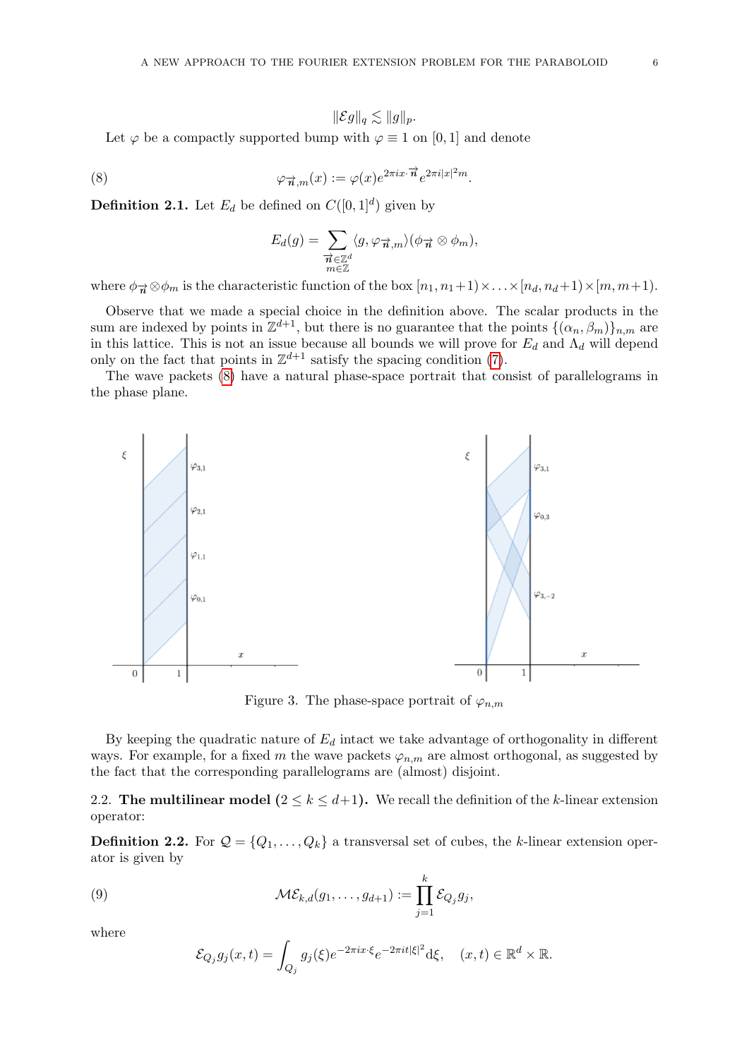<span id="page-5-1"></span>
$$
\|\mathcal E g\|_q\lesssim \|g\|_p.
$$

Let  $\varphi$  be a compactly supported bump with  $\varphi \equiv 1$  on [0, 1] and denote

(8) 
$$
\varphi_{\overrightarrow{n},m}(x) := \varphi(x)e^{2\pi ix \cdot \overrightarrow{n}}e^{2\pi i|x|^2m}.
$$

**Definition 2.1.** Let  $E_d$  be defined on  $C([0,1]^d)$  given by

$$
E_d(g) = \sum_{\substack{\overrightarrow{n} \in \mathbb{Z}^d \\ m \in \mathbb{Z}}} \langle g, \varphi_{\overrightarrow{n},m} \rangle (\phi_{\overrightarrow{n}} \otimes \phi_m),
$$

where  $\phi_{\vec{n}} \otimes \phi_m$  is the characteristic function of the box  $[n_1, n_1+1) \times ... \times [n_d, n_d+1) \times [m, m+1)$ .

Observe that we made a special choice in the definition above. The scalar products in the sum are indexed by points in  $\mathbb{Z}^{d+1}$ , but there is no guarantee that the points  $\{(\alpha_n, \beta_m)\}_{n,m}$  are in this lattice. This is not an issue because all bounds we will prove for  $E_d$  and  $\Lambda_d$  will depend only on the fact that points in  $\mathbb{Z}^{d+1}$  satisfy the spacing condition [\(7\)](#page-4-1).

The wave packets [\(8\)](#page-5-1) have a natural phase-space portrait that consist of parallelograms in the phase plane.



Figure 3. The phase-space portrait of  $\varphi_{n,m}$ 

By keeping the quadratic nature of  $E_d$  intact we take advantage of orthogonality in different ways. For example, for a fixed m the wave packets  $\varphi_{n,m}$  are almost orthogonal, as suggested by the fact that the corresponding parallelograms are (almost) disjoint.

<span id="page-5-0"></span>2.2. The multilinear model  $(2 \le k \le d+1)$ . We recall the definition of the k-linear extension operator:

**Definition 2.2.** For  $Q = \{Q_1, \ldots, Q_k\}$  a transversal set of cubes, the k-linear extension operator is given by

(9) 
$$
\mathcal{M}\mathcal{E}_{k,d}(g_1,\ldots,g_{d+1}) := \prod_{j=1}^k \mathcal{E}_{Q_j}g_j,
$$

where

$$
\mathcal{E}_{Q_j} g_j(x,t) = \int_{Q_j} g_j(\xi) e^{-2\pi i x \cdot \xi} e^{-2\pi i t |\xi|^2} d\xi, \quad (x,t) \in \mathbb{R}^d \times \mathbb{R}.
$$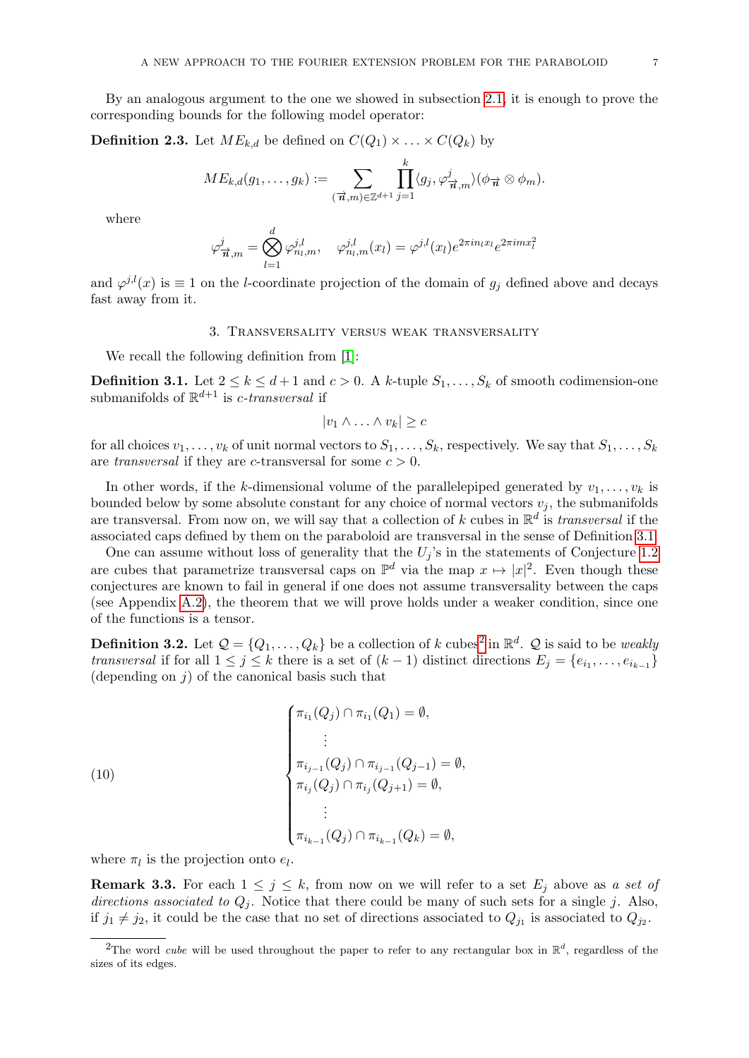By an analogous argument to the one we showed in subsection [2.1,](#page-4-0) it is enough to prove the corresponding bounds for the following model operator:

<span id="page-6-4"></span>**Definition 2.3.** Let  $ME_{k,d}$  be defined on  $C(Q_1) \times \ldots \times C(Q_k)$  by

$$
ME_{k,d}(g_1,\ldots,g_k) := \sum_{(\overrightarrow{n},m) \in \mathbb{Z}^{d+1}} \prod_{j=1}^k \langle g_j, \varphi^j_{\overrightarrow{n},m} \rangle (\phi_{\overrightarrow{n}} \otimes \phi_m).
$$

where

$$
\varphi^j_{\vec{n},m} = \bigotimes_{l=1}^d \varphi^{j,l}_{n_l,m}, \quad \varphi^{j,l}_{n_l,m}(x_l) = \varphi^{j,l}(x_l) e^{2\pi i n_l x_l} e^{2\pi i m x_l^2}
$$

and  $\varphi^{j,l}(x)$  is  $\equiv 1$  on the *l*-coordinate projection of the domain of  $g_j$  defined above and decays fast away from it.

## 3. Transversality versus weak transversality

<span id="page-6-0"></span>We recall the following definition from [\[1\]](#page-46-1):

<span id="page-6-1"></span>**Definition 3.1.** Let  $2 \le k \le d+1$  and  $c > 0$ . A k-tuple  $S_1, \ldots, S_k$  of smooth codimension-one submanifolds of  $\mathbb{R}^{d+1}$  is *c*-transversal if

$$
|v_1 \wedge \ldots \wedge v_k| \geq c
$$

for all choices  $v_1, \ldots, v_k$  of unit normal vectors to  $S_1, \ldots, S_k$ , respectively. We say that  $S_1, \ldots, S_k$ are transversal if they are c-transversal for some  $c > 0$ .

In other words, if the k-dimensional volume of the parallelepiped generated by  $v_1, \ldots, v_k$  is bounded below by some absolute constant for any choice of normal vectors  $v_j$ , the submanifolds are transversal. From now on, we will say that a collection of k cubes in  $\mathbb{R}^d$  is *transversal* if the associated caps defined by them on the paraboloid are transversal in the sense of Definition [3.1.](#page-6-1)

One can assume without loss of generality that the  $U_i$ 's in the statements of Conjecture [1.2](#page-1-1) are cubes that parametrize transversal caps on  $\mathbb{P}^d$  via the map  $x \mapsto |x|^2$ . Even though these conjectures are known to fail in general if one does not assume transversality between the caps (see Appendix [A.2\)](#page-41-0), the theorem that we will prove holds under a weaker condition, since one of the functions is a tensor.

<span id="page-6-3"></span>**Definition 3.[2](#page-6-2).** Let  $\mathcal{Q} = \{Q_1, \ldots, Q_k\}$  be a collection of k cubes<sup>2</sup> in  $\mathbb{R}^d$ .  $\mathcal{Q}$  is said to be *weakly* transversal if for all  $1 \leq j \leq k$  there is a set of  $(k-1)$  distinct directions  $E_j = \{e_{i_1}, \ldots, e_{i_{k-1}}\}$ (depending on  $j$ ) of the canonical basis such that

<span id="page-6-5"></span>(10)  

$$
\begin{cases}\n\pi_{i_1}(Q_j) \cap \pi_{i_1}(Q_1) = \emptyset, \\
\vdots \\
\pi_{i_{j-1}}(Q_j) \cap \pi_{i_{j-1}}(Q_{j-1}) = \emptyset, \\
\pi_{i_j}(Q_j) \cap \pi_{i_j}(Q_{j+1}) = \emptyset, \\
\vdots \\
\pi_{i_{k-1}}(Q_j) \cap \pi_{i_{k-1}}(Q_k) = \emptyset,\n\end{cases}
$$

where  $\pi_l$  is the projection onto  $e_l$ .

**Remark 3.3.** For each  $1 \leq j \leq k$ , from now on we will refer to a set  $E_j$  above as a set of directions associated to  $Q_i$ . Notice that there could be many of such sets for a single j. Also, if  $j_1 \neq j_2$ , it could be the case that no set of directions associated to  $Q_{j_1}$  is associated to  $Q_{j_2}$ .

<span id="page-6-2"></span><sup>&</sup>lt;sup>2</sup>The word *cube* will be used throughout the paper to refer to any rectangular box in  $\mathbb{R}^d$ , regardless of the sizes of its edges.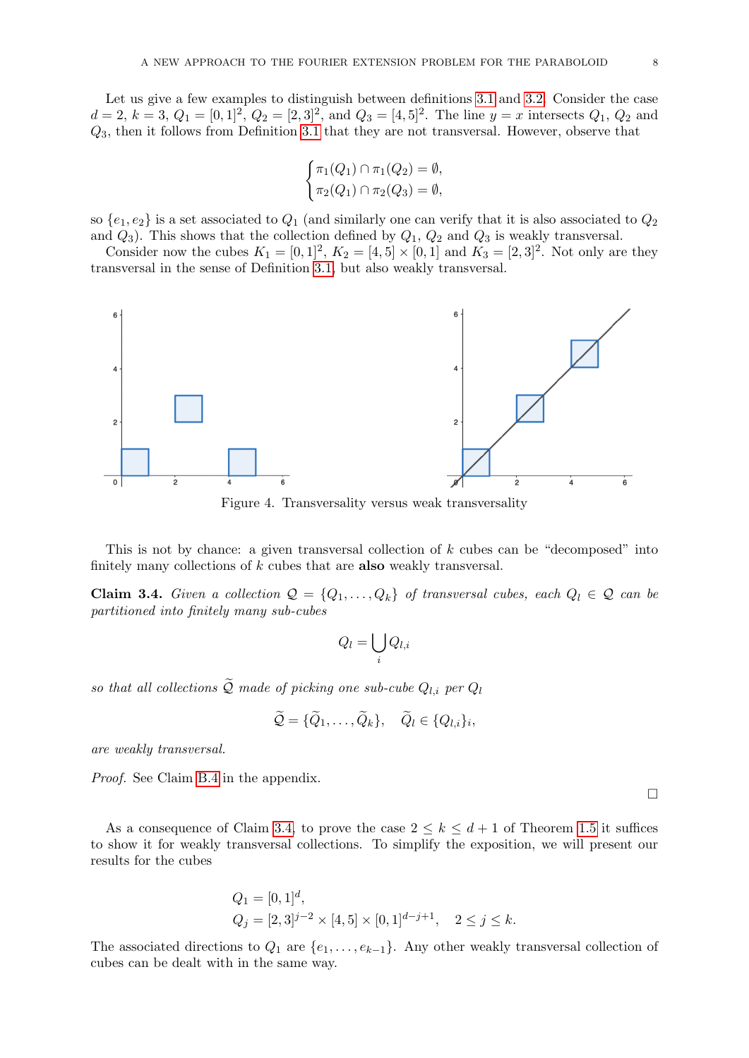Let us give a few examples to distinguish between definitions [3.1](#page-6-1) and [3.2.](#page-6-3) Consider the case  $d = 2, k = 3, Q_1 = [0, 1]^2, Q_2 = [2, 3]^2$ , and  $Q_3 = [4, 5]^2$ . The line  $y = x$  intersects  $Q_1, Q_2$  and  $Q_3$ , then it follows from Definition [3.1](#page-6-1) that they are not transversal. However, observe that

$$
\begin{cases} \pi_1(Q_1) \cap \pi_1(Q_2) = \emptyset, \\ \pi_2(Q_1) \cap \pi_2(Q_3) = \emptyset, \end{cases}
$$

so  $\{e_1, e_2\}$  is a set associated to  $Q_1$  (and similarly one can verify that it is also associated to  $Q_2$ and  $Q_3$ ). This shows that the collection defined by  $Q_1$ ,  $Q_2$  and  $Q_3$  is weakly transversal.

Consider now the cubes  $K_1 = [0, 1]^2$ ,  $K_2 = [4, 5] \times [0, 1]$  and  $K_3 = [2, 3]^2$ . Not only are they transversal in the sense of Definition [3.1,](#page-6-1) but also weakly transversal.



Figure 4. Transversality versus weak transversality

This is not by chance: a given transversal collection of k cubes can be "decomposed" into finitely many collections of  $k$  cubes that are **also** weakly transversal.

<span id="page-7-0"></span>**Claim 3.4.** Given a collection  $Q = \{Q_1, \ldots, Q_k\}$  of transversal cubes, each  $Q_l \in Q$  can be partitioned into finitely many sub-cubes

$$
Q_l = \bigcup_i Q_{l,i}
$$

so that all collections  $\widetilde{Q}$  made of picking one sub-cube  $Q_{l,i}$  per  $Q_l$ 

$$
\widetilde{\mathcal{Q}} = {\{\widetilde{Q}_1,\ldots,\widetilde{Q}_k\}}, \quad \widetilde{Q}_l \in \{Q_{l,i}\}_i,
$$

are weakly transversal.

Proof. See Claim [B.4](#page-43-1) in the appendix.

As a consequence of Claim [3.4,](#page-7-0) to prove the case  $2 \leq k \leq d+1$  of Theorem [1.5](#page-2-0) it suffices to show it for weakly transversal collections. To simplify the exposition, we will present our results for the cubes

$$
Q_1 = [0, 1]d,Q_j = [2, 3]j-2 × [4, 5] × [0, 1]d-j+1, 2 ≤ j ≤ k.
$$

The associated directions to  $Q_1$  are  $\{e_1, \ldots, e_{k-1}\}$ . Any other weakly transversal collection of cubes can be dealt with in the same way.

 $\Box$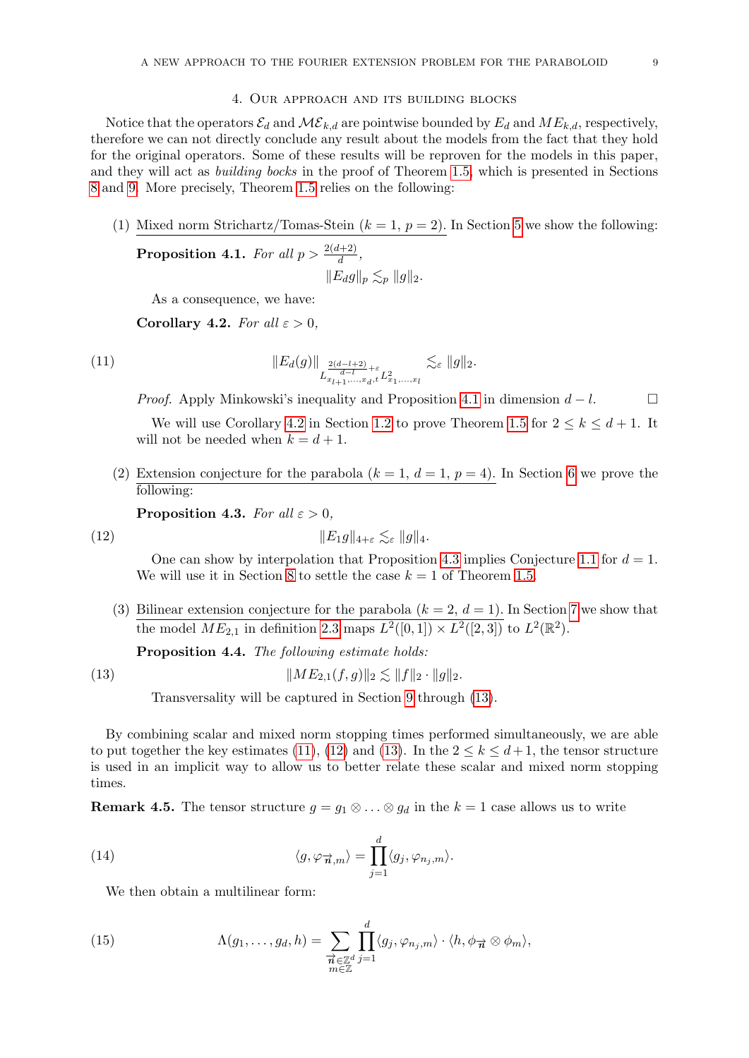## 4. Our approach and its building blocks

<span id="page-8-0"></span>Notice that the operators  $\mathcal{E}_d$  and  $\mathcal{ME}_{k,d}$  are pointwise bounded by  $E_d$  and  $ME_{k,d}$ , respectively, therefore we can not directly conclude any result about the models from the fact that they hold for the original operators. Some of these results will be reproven for the models in this paper, and they will act as building bocks in the proof of Theorem [1.5,](#page-2-0) which is presented in Sections [8](#page-14-1) and [9.](#page-16-0) More precisely, Theorem [1.5](#page-2-0) relies on the following:

(1) Mixed norm Strichartz/Tomas-Stein  $(k = 1, p = 2)$ . In Section [5](#page-9-0) we show the following:

<span id="page-8-1"></span>**Proposition 4.1.** For all  $p > \frac{2(d+2)}{d}$ ,  $||E_d g||_p \lesssim_p ||g||_2.$ 

<span id="page-8-6"></span>As a consequence, we have:

<span id="page-8-4"></span>Corollary 4.2. For all  $\varepsilon > 0$ ,

(11) 
$$
\|E_d(g)\|_{L^{\frac{2(d-l+2)}{d-l}+\varepsilon}_{x_{l+1},...,x_d,t}L^2_{x_1,...,x_l}} \lesssim_{\varepsilon} \|g\|_2.
$$

*Proof.* Apply Minkowski's inequality and Proposition [4.1](#page-8-1) in dimension  $d - l$ .

We will use Corollary [4.2](#page-8-4) in Section [1.2](#page-1-1) to prove Theorem [1.5](#page-2-0) for  $2 \leq k \leq d+1$ . It will not be needed when  $k = d + 1$ .

(2) Extension conjecture for the parabola  $(k = 1, d = 1, p = 4)$ . In Section [6](#page-12-0) we prove the following:

<span id="page-8-7"></span><span id="page-8-2"></span>**Proposition 4.3.** For all  $\varepsilon > 0$ ,

$$
||E_1g||_{4+\varepsilon} \lesssim_{\varepsilon} ||g||_4.
$$

One can show by interpolation that Proposition [4.3](#page-8-2) implies Conjecture [1.1](#page-1-0) for  $d = 1$ . We will use it in Section [8](#page-14-1) to settle the case  $k = 1$  of Theorem [1.5.](#page-2-0)

(3) Bilinear extension conjecture for the parabola  $(k = 2, d = 1)$ . In Section [7](#page-14-0) we show that the model  $ME_{2,1}$  in definition [2.3](#page-6-4) maps  $L^2([0,1]) \times L^2([2,3])$  to  $L^2(\mathbb{R}^2)$ .

<span id="page-8-3"></span>Proposition 4.4. The following estimate holds:

(13) 
$$
||ME_{2,1}(f,g)||_2 \lesssim ||f||_2 \cdot ||g||_2.
$$

<span id="page-8-5"></span>Transversality will be captured in Section [9](#page-16-0) through [\(13\)](#page-8-5).

By combining scalar and mixed norm stopping times performed simultaneously, we are able to put together the key estimates [\(11\)](#page-8-6), [\(12\)](#page-8-7) and [\(13\)](#page-8-5). In the  $2 \leq k \leq d+1$ , the tensor structure is used in an implicit way to allow us to better relate these scalar and mixed norm stopping times.

**Remark 4.5.** The tensor structure  $g = g_1 \otimes \ldots \otimes g_d$  in the  $k = 1$  case allows us to write

(14) 
$$
\langle g, \varphi_{\vec{n},m} \rangle = \prod_{j=1}^d \langle g_j, \varphi_{n_j,m} \rangle.
$$

We then obtain a multilinear form:

(15) 
$$
\Lambda(g_1,\ldots,g_d,h)=\sum_{\substack{\overrightarrow{n}\in\mathbb{Z}^d\\m\in\mathbb{Z}}} \prod_{j=1}^d\langle g_j,\varphi_{n_j,m}\rangle\cdot\langle h,\phi_{\overrightarrow{n}}\otimes\phi_m\rangle,
$$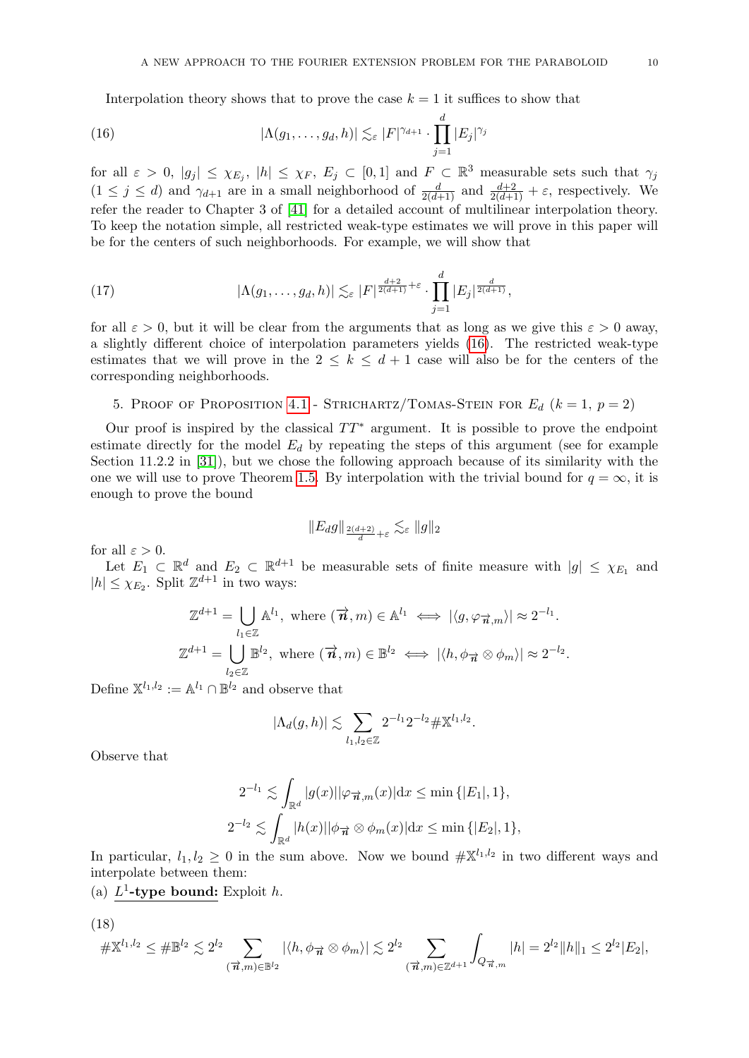<span id="page-9-1"></span>Interpolation theory shows that to prove the case  $k = 1$  it suffices to show that

(16) 
$$
|\Lambda(g_1,\ldots,g_d,h)| \lesssim_{\varepsilon} |F|^{\gamma_{d+1}} \cdot \prod_{j=1}^d |E_j|^{\gamma_j}
$$

for all  $\varepsilon > 0$ ,  $|g_j| \leq \chi_{E_j}$ ,  $|h| \leq \chi_F$ ,  $E_j \subset [0,1]$  and  $F \subset \mathbb{R}^3$  measurable sets such that  $\gamma_j$  $(1 \leq j \leq d)$  and  $\gamma_{d+1}$  are in a small neighborhood of  $\frac{d}{2(d+1)}$  and  $\frac{d+2}{2(d+1)} + \varepsilon$ , respectively. We refer the reader to Chapter 3 of [\[41\]](#page-48-6) for a detailed account of multilinear interpolation theory. To keep the notation simple, all restricted weak-type estimates we will prove in this paper will be for the centers of such neighborhoods. For example, we will show that

(17) 
$$
|\Lambda(g_1,\ldots,g_d,h)| \lesssim_{\varepsilon} |F|^{\frac{d+2}{2(d+1)}+\varepsilon} \cdot \prod_{j=1}^d |E_j|^{\frac{d}{2(d+1)}},
$$

for all  $\varepsilon > 0$ , but it will be clear from the arguments that as long as we give this  $\varepsilon > 0$  away. a slightly different choice of interpolation parameters yields [\(16\)](#page-9-1). The restricted weak-type estimates that we will prove in the  $2 \leq k \leq d+1$  case will also be for the centers of the corresponding neighborhoods.

# <span id="page-9-0"></span>5. PROOF OF PROPOSITION [4.1](#page-8-1) - STRICHARTZ/TOMAS-STEIN FOR  $E_d$   $(k = 1, p = 2)$

Our proof is inspired by the classical  $TT^*$  argument. It is possible to prove the endpoint estimate directly for the model  $E_d$  by repeating the steps of this argument (see for example Section 11.2.2 in [\[31\]](#page-47-17)), but we chose the following approach because of its similarity with the one we will use to prove Theorem [1.5.](#page-2-0) By interpolation with the trivial bound for  $q = \infty$ , it is enough to prove the bound

$$
\|E_d g\|_{\frac{2(d+2)}{d}+\varepsilon} \lesssim_\varepsilon \|g\|_2
$$

for all  $\varepsilon > 0$ .

Let  $E_1 \subset \mathbb{R}^d$  and  $E_2 \subset \mathbb{R}^{d+1}$  be measurable sets of finite measure with  $|g| \leq \chi_{E_1}$  and  $|h| \leq \chi_{E_2}$ . Split  $\mathbb{Z}^{d+1}$  in two ways:

$$
\mathbb{Z}^{d+1} = \bigcup_{l_1 \in \mathbb{Z}} \mathbb{A}^{l_1}, \text{ where } (\vec{n}, m) \in \mathbb{A}^{l_1} \iff |\langle g, \varphi_{\vec{n}, m} \rangle| \approx 2^{-l_1}.
$$
  

$$
\mathbb{Z}^{d+1} = \bigcup_{l_2 \in \mathbb{Z}} \mathbb{B}^{l_2}, \text{ where } (\vec{n}, m) \in \mathbb{B}^{l_2} \iff |\langle h, \phi_{\vec{n}} \otimes \phi_m \rangle| \approx 2^{-l_2}.
$$

Define  $\mathbb{X}^{l_1,l_2} := \mathbb{A}^{l_1} \cap \mathbb{B}^{l_2}$  and observe that

$$
|\Lambda_d(g,h)| \lesssim \sum_{l_1,l_2 \in \mathbb{Z}} 2^{-l_1} 2^{-l_2} \# \mathbb{X}^{l_1,l_2}.
$$

Observe that

$$
2^{-l_1} \lesssim \int_{\mathbb{R}^d} |g(x)| |\varphi_{\overrightarrow{n},m}(x)| dx \le \min\left\{ |E_1|, 1 \right\},
$$
  

$$
2^{-l_2} \lesssim \int_{\mathbb{R}^d} |h(x)| |\phi_{\overrightarrow{n}} \otimes \phi_m(x)| dx \le \min\left\{ |E_2|, 1 \right\},\
$$

In particular,  $l_1, l_2 \geq 0$  in the sum above. Now we bound  $\#\mathbb{X}^{l_1, l_2}$  in two different ways and interpolate between them:

(a)  $L^1$ -type bound: Exploit h.

(18)

<span id="page-9-2"></span>
$$
\# \mathbb{X}^{l_1, l_2} \leq \# \mathbb{B}^{l_2} \lesssim 2^{l_2} \sum_{(\vec{n}, m) \in \mathbb{B}^{l_2}} |\langle h, \phi_{\vec{n}} \otimes \phi_m \rangle| \lesssim 2^{l_2} \sum_{(\vec{n}, m) \in \mathbb{Z}^{d+1}} \int_{Q_{\vec{n}, m}} |h| = 2^{l_2} \|h\|_1 \leq 2^{l_2} |E_2|,
$$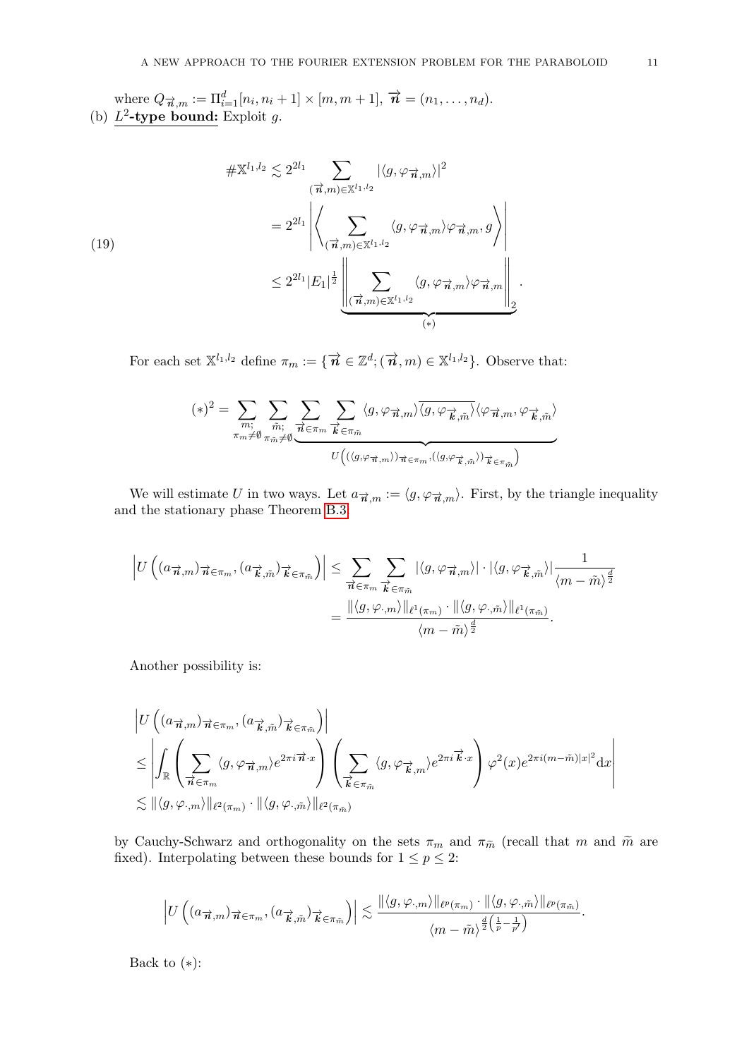where  $Q_{\vec{n},m} := \Pi_{i=1}^d[n_i, n_i + 1] \times [m, m + 1], \vec{n} = (n_1, \ldots, n_d).$ (b)  $L^2$ -type bound: Exploit g.

$$
\# \mathbb{X}^{l_1, l_2} \lesssim 2^{2l_1} \sum_{\substack{(\vec{\boldsymbol{\pi}}, m) \in \mathbb{X}^{l_1, l_2} \\ (\vec{\boldsymbol{\pi}}, m) \in \mathbb{X}^{l_1, l_2}}} |\langle g, \varphi_{\vec{\boldsymbol{\pi}}, m} \rangle|^2
$$
  

$$
= 2^{2l_1} \left| \left\langle \sum_{(\vec{\boldsymbol{\pi}}, m) \in \mathbb{X}^{l_1, l_2}} \langle g, \varphi_{\vec{\boldsymbol{\pi}}, m} \rangle \varphi_{\vec{\boldsymbol{\pi}}, m}, g \right\rangle \right|
$$
  

$$
\leq 2^{2l_1} |E_1|^{\frac{1}{2}} \left\| \sum_{(\vec{\boldsymbol{\pi}}, m) \in \mathbb{X}^{l_1, l_2}} \langle g, \varphi_{\vec{\boldsymbol{\pi}}, m} \rangle \varphi_{\vec{\boldsymbol{\pi}}, m} \right\|_{2}.
$$

<span id="page-10-0"></span>For each set  $\mathbb{X}^{l_1,l_2}$  define  $\pi_m := \{ \overrightarrow{n} \in \mathbb{Z}^d; (\overrightarrow{n},m) \in \mathbb{X}^{l_1,l_2} \}$ . Observe that:

$$
(*)^2 = \sum_{\substack{m; \\ \pi_m \neq \emptyset}} \sum_{\substack{\tilde{m}: \\ \pi_{\tilde{m}} \neq \emptyset}} \sum_{\substack{\tilde{m}: \\ \overrightarrow{\alpha} \in \pi_m}} \sum_{\overrightarrow{k} \in \pi_{\tilde{m}}} \langle g, \varphi_{\overrightarrow{n},m} \rangle \overline{\langle g, \varphi_{\overrightarrow{k},\tilde{m}} \rangle} \langle \varphi_{\overrightarrow{n},m}, \varphi_{\overrightarrow{k},\tilde{m}} \rangle
$$

We will estimate U in two ways. Let  $a_{\vec{n},m} := \langle g, \varphi_{\vec{n},m} \rangle$ . First, by the triangle inequality and the stationary phase Theorem [B.3:](#page-43-2)

$$
\left| U \left( (a_{\overrightarrow{n},m})_{\overrightarrow{n} \in \pi_m}, (a_{\overrightarrow{k},\tilde{m}})_{\overrightarrow{k} \in \pi_{\tilde{m}}} \right) \right| \leq \sum_{\overrightarrow{n} \in \pi_m} \sum_{\overrightarrow{k} \in \pi_{\tilde{m}}} |\langle g, \varphi_{\overrightarrow{n},m} \rangle| \cdot |\langle g, \varphi_{\overrightarrow{k},\tilde{m}} \rangle| \frac{1}{\langle m - \tilde{m} \rangle^{\frac{d}{2}}} \\ = \frac{\| \langle g, \varphi_{\cdot,m} \rangle \|_{\ell^1(\pi_m)} \cdot \| \langle g, \varphi_{\cdot,\tilde{m}} \rangle \|_{\ell^1(\pi_{\tilde{m}})}}{\langle m - \tilde{m} \rangle^{\frac{d}{2}}}.
$$

Another possibility is:

$$
\begin{split} &\left|U\left((a_{\overrightarrow{n},m})_{\overrightarrow{n}\in\pi_m}, (a_{\overrightarrow{k},\tilde{m}})_{\overrightarrow{k}\in\pi_{\tilde{m}}}\right)\right| \\ &\leq \left|\int_{\mathbb{R}}\left(\sum_{\overrightarrow{n}\in\pi_m}\langle g, \varphi_{\overrightarrow{n},m}\rangle e^{2\pi i \overrightarrow{n}\cdot x}\right)\left(\sum_{\overrightarrow{k}\in\pi_{\tilde{m}}}\langle g, \varphi_{\overrightarrow{k},m}\rangle e^{2\pi i \overrightarrow{k}\cdot x}\right)\varphi^2(x)e^{2\pi i(m-\tilde{m})|x|^2}\mathrm{d}x\right| \\ &\lesssim \|\langle g, \varphi_{\cdot,m}\rangle\|_{\ell^2(\pi_m)}\cdot \|\langle g, \varphi_{\cdot,\tilde{m}}\rangle\|_{\ell^2(\pi_{\tilde{m}})} \end{split}
$$

by Cauchy-Schwarz and orthogonality on the sets  $\pi_m$  and  $\pi_{\tilde{m}}$  (recall that m and  $\tilde{m}$  are fixed). Interpolating between these bounds for  $1 \le p \le 2$ :

$$
\left| U\left((a_{\overrightarrow{n},m})_{\overrightarrow{n} \in \pi_m}, (a_{\overrightarrow{k},\tilde{m}})_{\overrightarrow{k} \in \pi_{\tilde{m}}} \right) \right| \lesssim \frac{\| \langle g, \varphi_{\cdot,m} \rangle \|_{\ell^p(\pi_m)} \cdot \| \langle g, \varphi_{\cdot,\tilde{m}} \rangle \|_{\ell^p(\pi_{\tilde{m}})}}{\langle m - \tilde{m} \rangle^{\frac{d}{2}\left(\frac{1}{p} - \frac{1}{p'}\right)}}.
$$

Back to  $(*)$ :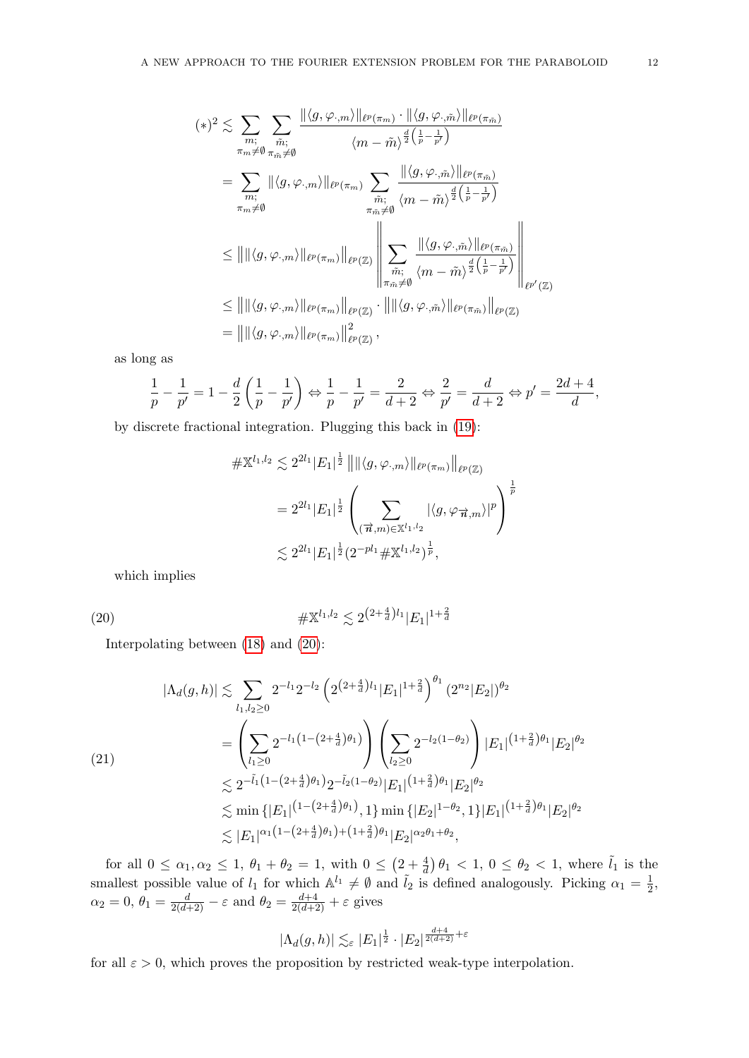$$
(*)^{2} \lesssim \sum_{m; \atop \pi_{m} \neq \emptyset} \sum_{\substack{\tilde{m}; \\ \tilde{m} \neq \emptyset}} \frac{\|\langle g, \varphi_{\cdot,m} \rangle\|_{\ell^{p}(\pi_{\tilde{m}})} \cdot \|\langle g, \varphi_{\cdot,\tilde{m}} \rangle\|_{\ell^{p}(\pi_{\tilde{m}})}}{\langle m - \tilde{m} \rangle^{\frac{d}{2}(\frac{1}{p} - \frac{1}{p'})}}\n= \sum_{\substack{m; \\ \pi_{m} \neq \emptyset}} \|\langle g, \varphi_{\cdot,m} \rangle\|_{\ell^{p}(\pi_{m})} \sum_{\substack{\tilde{m}; \\ \tilde{m} \neq \emptyset}} \frac{\|\langle g, \varphi_{\cdot,\tilde{m}} \rangle\|_{\ell^{p}(\pi_{\tilde{m}})}}{\langle m - \tilde{m} \rangle^{\frac{d}{2}(\frac{1}{p} - \frac{1}{p'})}}\n\leq ||\|\langle g, \varphi_{\cdot,m} \rangle\|_{\ell^{p}(\pi_{m})} ||_{\ell^{p}(\mathbb{Z})} \left\|\sum_{\substack{\tilde{m}; \\ \tilde{m} \neq \emptyset}} \frac{\|\langle g, \varphi_{\cdot,\tilde{m}} \rangle\|_{\ell^{p}(\pi_{\tilde{m}})}}{\langle m - \tilde{m} \rangle^{\frac{d}{2}(\frac{1}{p} - \frac{1}{p'})}}\right\|_{\ell^{p'}(\mathbb{Z})}\n\leq ||\|\langle g, \varphi_{\cdot,m} \rangle\|_{\ell^{p}(\pi_{m})} ||_{\ell^{p}(\mathbb{Z})} \cdot ||\|\langle g, \varphi_{\cdot,\tilde{m}} \rangle\|_{\ell^{p}(\pi_{\tilde{m}})} ||_{\ell^{p}(\mathbb{Z})}\n= ||\|\langle g, \varphi_{\cdot,m} \rangle\|_{\ell^{p}(\pi_{m})} ||_{\ell^{p}(\mathbb{Z})},
$$

as long as

$$
\frac{1}{p} - \frac{1}{p'} = 1 - \frac{d}{2} \left( \frac{1}{p} - \frac{1}{p'} \right) \Leftrightarrow \frac{1}{p} - \frac{1}{p'} = \frac{2}{d+2} \Leftrightarrow \frac{2}{p'} = \frac{d}{d+2} \Leftrightarrow p' = \frac{2d+4}{d},
$$

by discrete fractional integration. Plugging this back in [\(19\)](#page-10-0):

<span id="page-11-0"></span>
$$
\# \mathbb{X}^{l_1, l_2} \lesssim 2^{2l_1} |E_1|^{\frac{1}{2}} \left\| \|\langle g, \varphi_{\cdot,m} \rangle \|_{\ell^p(\pi_m)} \right\|_{\ell^p(\mathbb{Z})}
$$
  
=  $2^{2l_1} |E_1|^{\frac{1}{2}} \left( \sum_{(\vec{\boldsymbol{n}}, m) \in \mathbb{X}^{l_1, l_2}} |\langle g, \varphi_{\vec{\boldsymbol{n}}, m} \rangle|^p \right)^{\frac{1}{p}}$   
 $\lesssim 2^{2l_1} |E_1|^{\frac{1}{2}} (2^{-pl_1} \# \mathbb{X}^{l_1, l_2})^{\frac{1}{p}},$ 

which implies

(20)  $\#\mathbb{X}^{l_1,l_2} \lesssim 2^{\left(2+\frac{4}{d}\right)l_1} |E_1|^{1+\frac{2}{d}}$ 

Interpolating between [\(18\)](#page-9-2) and [\(20\)](#page-11-0):

$$
|\Lambda_{d}(g,h)| \lesssim \sum_{l_{1},l_{2}\geq 0} 2^{-l_{1}} 2^{-l_{2}} \left( 2^{\left(2+\frac{4}{d}\right)l_{1}} |E_{1}|^{1+\frac{2}{d}} \right)^{\theta_{1}} (2^{n_{2}} |E_{2}|)^{\theta_{2}}
$$
  
\n
$$
= \left( \sum_{l_{1}\geq 0} 2^{-l_{1}\left(1-(2+\frac{4}{d})\theta_{1}\right)} \right) \left( \sum_{l_{2}\geq 0} 2^{-l_{2}\left(1-\theta_{2}\right)} \right) |E_{1}|^{(1+\frac{2}{d})\theta_{1}} |E_{2}|^{\theta_{2}}
$$
  
\n
$$
\lesssim 2^{-\tilde{l}_{1}\left(1-(2+\frac{4}{d})\theta_{1}\right)} 2^{-\tilde{l}_{2}\left(1-\theta_{2}\right)} |E_{1}|^{\left(1+\frac{2}{d}\right)\theta_{1}} |E_{2}|^{\theta_{2}}
$$
  
\n
$$
\lesssim \min \{ |E_{1}|^{\left(1-(2+\frac{4}{d})\theta_{1}\right)}, 1 \} \min \{ |E_{2}|^{1-\theta_{2}}, 1 \} |E_{1}|^{\left(1+\frac{2}{d}\right)\theta_{1}} |E_{2}|^{\theta_{2}}
$$
  
\n
$$
\lesssim |E_{1}|^{\alpha_{1}\left(1-(2+\frac{4}{d})\theta_{1}\right)+\left(1+\frac{2}{d}\right)\theta_{1}} |E_{2}|^{\alpha_{2}\theta_{1}+\theta_{2}},
$$

for all  $0 \leq \alpha_1, \alpha_2 \leq 1$ ,  $\theta_1 + \theta_2 = 1$ , with  $0 \leq (2 + \frac{4}{d}) \theta_1 < 1$ ,  $0 \leq \theta_2 < 1$ , where  $\tilde{l}_1$  is the smallest possible value of  $l_1$  for which  $\mathbb{A}^{l_1} \neq \emptyset$  and  $\tilde{l}_2$  is defined analogously. Picking  $\alpha_1 = \frac{1}{2}$  $\frac{1}{2}$ ,  $\alpha_2 = 0, \ \theta_1 = \frac{d}{2(d+2)} - \varepsilon$  and  $\theta_2 = \frac{d+4}{2(d+2)} + \varepsilon$  gives

$$
|\Lambda_d(g,h)|\lesssim_\varepsilon |E_1|^{\frac{1}{2}}\cdot |E_2|^{\frac{d+4}{2(d+2)}+\varepsilon}
$$

for all  $\varepsilon > 0$ , which proves the proposition by restricted weak-type interpolation.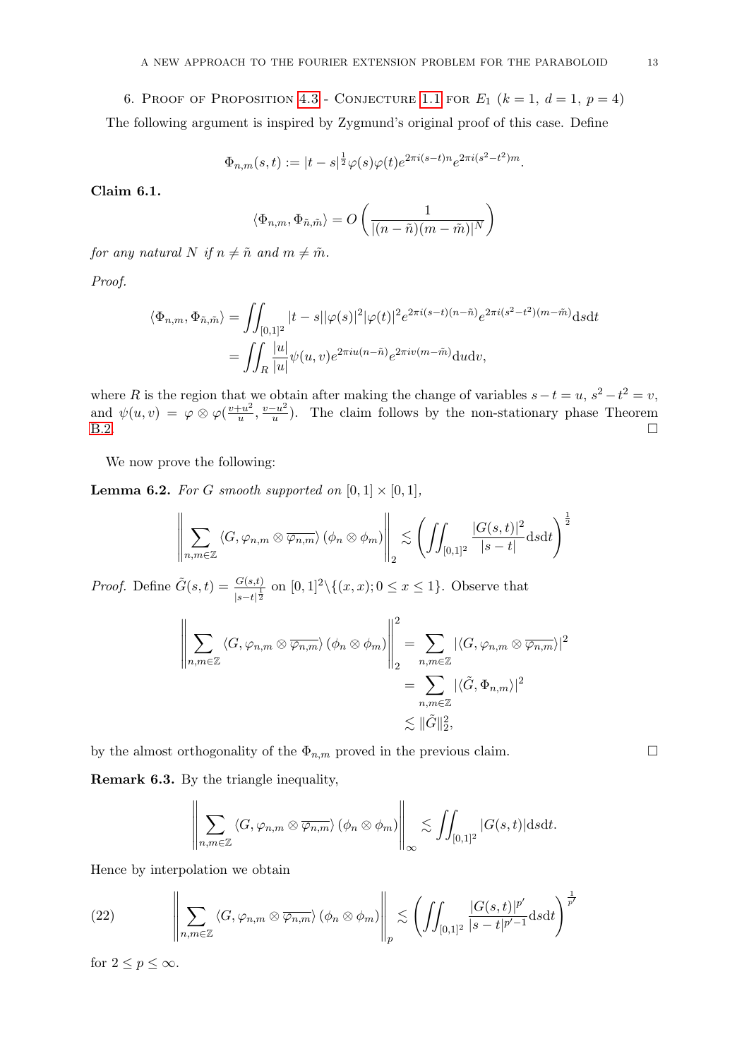<span id="page-12-0"></span>6. PROOF OF PROPOSITION [4.3](#page-8-2) - CONJECTURE [1.1](#page-1-0) FOR  $E_1$   $(k = 1, d = 1, p = 4)$ 

The following argument is inspired by Zygmund's original proof of this case. Define

$$
\Phi_{n,m}(s,t) := |t-s|^{\frac{1}{2}} \varphi(s) \varphi(t) e^{2\pi i (s-t)n} e^{2\pi i (s^2 - t^2)m}.
$$

Claim 6.1.

$$
\langle \Phi_{n,m}, \Phi_{\tilde{n},\tilde{m}} \rangle = O\left(\frac{1}{|(n-\tilde{n})(m-\tilde{m})|^N}\right)
$$

for any natural N if  $n \neq \tilde{n}$  and  $m \neq \tilde{m}$ .

Proof.

$$
\langle \Phi_{n,m}, \Phi_{\tilde{n},\tilde{m}} \rangle = \iint_{[0,1]^2} |t-s| |\varphi(s)|^2 |\varphi(t)|^2 e^{2\pi i (s-t)(n-\tilde{n})} e^{2\pi i (s^2-t^2)(m-\tilde{m})} ds dt
$$
  
= 
$$
\iint_R \frac{|u|}{|u|} \psi(u,v) e^{2\pi i u(n-\tilde{n})} e^{2\pi i v(m-\tilde{m})} du dv,
$$

where R is the region that we obtain after making the change of variables  $s - t = u$ ,  $s^2 - t^2 = v$ , and  $\psi(u, v) = \varphi \otimes \varphi(\frac{v + u^2}{u})$  $\frac{u^2}{u}, \frac{v-u^2}{u}$  $\frac{-u^2}{u}$ ). The claim follows by the non-stationary phase Theorem [B.2.](#page-43-3)

We now prove the following:

<span id="page-12-2"></span>**Lemma 6.2.** For G smooth supported on  $[0,1] \times [0,1]$ ,

$$
\left\|\sum_{n,m\in\mathbb{Z}}\left\langle G,\varphi_{n,m}\otimes\overline{\varphi_{n,m}}\right\rangle\left(\phi_{n}\otimes\phi_{m}\right)\right\|_{2}\lesssim\left(\iint_{[0,1]^{2}}\frac{|G(s,t)|^{2}}{|s-t|}\mathrm{d}s\mathrm{d}t\right)^{\frac{1}{2}}
$$

*Proof.* Define  $\tilde{G}(s,t) = \frac{G(s,t)}{|s-t|^{\frac{1}{2}}}$  on  $[0,1]^2 \setminus \{(x,x); 0 \le x \le 1\}$ . Observe that

$$
\left\| \sum_{n,m \in \mathbb{Z}} \langle G, \varphi_{n,m} \otimes \overline{\varphi_{n,m}} \rangle (\phi_n \otimes \phi_m) \right\|_2^2 = \sum_{n,m \in \mathbb{Z}} |\langle G, \varphi_{n,m} \otimes \overline{\varphi_{n,m}} \rangle|^2
$$
  

$$
= \sum_{n,m \in \mathbb{Z}} |\langle \tilde{G}, \Phi_{n,m} \rangle|^2
$$
  

$$
\lesssim \|\tilde{G}\|_2^2,
$$

by the almost orthogonality of the  $\Phi_{n,m}$  proved in the previous claim.

<span id="page-12-1"></span>Remark 6.3. By the triangle inequality,

$$
\left\|\sum_{n,m\in\mathbb{Z}}\left\langle G,\varphi_{n,m}\otimes\overline{\varphi_{n,m}}\right\rangle\left(\phi_n\otimes\phi_m\right)\right\|_{\infty}\lesssim\iint_{[0,1]^2}\left|G(s,t)\right|ds\mathrm{d}t.
$$

Hence by interpolation we obtain

(22) 
$$
\left\|\sum_{n,m\in\mathbb{Z}}\left\langle G,\varphi_{n,m}\otimes\overline{\varphi_{n,m}}\right\rangle(\phi_n\otimes\phi_m)\right\|_p\lesssim\left(\iint_{[0,1]^2}\frac{|G(s,t)|^{p'}}{|s-t|^{p'-1}}dsdt\right)^{\frac{1}{p'}}
$$

for  $2 \le p \le \infty$ .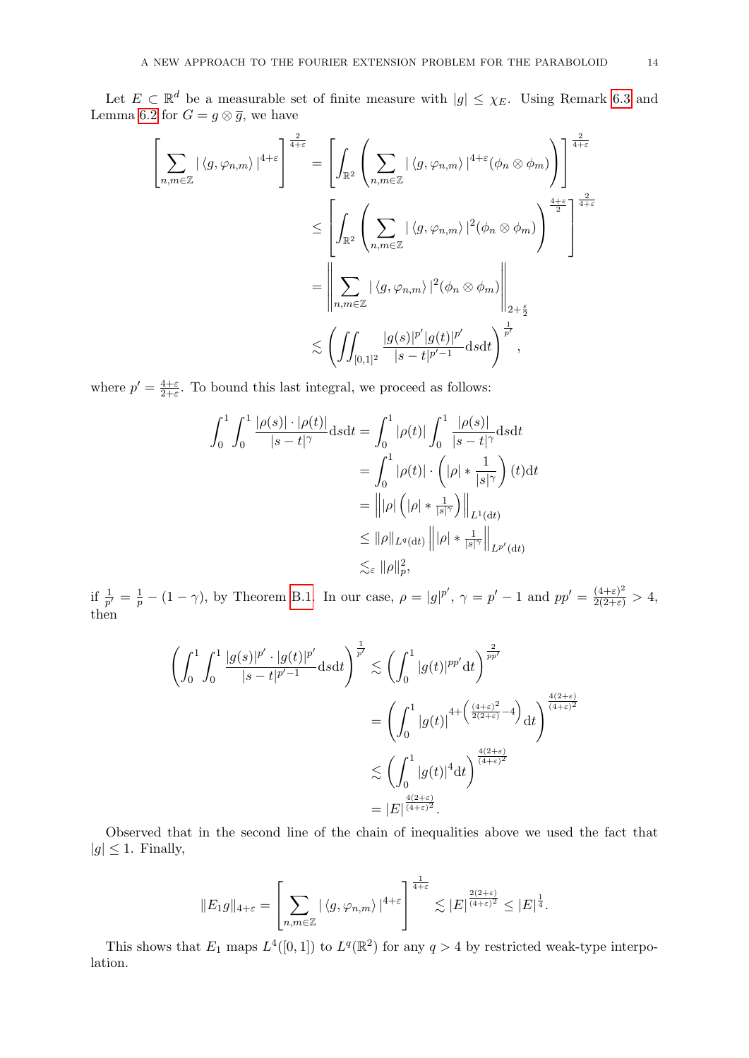Let  $E \subset \mathbb{R}^d$  be a measurable set of finite measure with  $|g| \leq \chi_E$ . Using Remark [6.3](#page-12-1) and Lemma [6.2](#page-12-2) for  $G = g \otimes \overline{g}$ , we have

$$
\left[\sum_{n,m\in\mathbb{Z}}|\langle g,\varphi_{n,m}\rangle|^{4+\varepsilon}\right]^{\frac{2}{4+\varepsilon}} = \left[\int_{\mathbb{R}^2}\left(\sum_{n,m\in\mathbb{Z}}|\langle g,\varphi_{n,m}\rangle|^{4+\varepsilon}(\phi_n\otimes\phi_m)\right)\right]^{\frac{2}{4+\varepsilon}}\right]^{\frac{2}{4+\varepsilon}}
$$

$$
\leq \left[\int_{\mathbb{R}^2}\left(\sum_{n,m\in\mathbb{Z}}|\langle g,\varphi_{n,m}\rangle|^{2}(\phi_n\otimes\phi_m)\right)^{\frac{4+\varepsilon}{2}}\right]^{\frac{2}{4+\varepsilon}}
$$

$$
= \left\|\sum_{n,m\in\mathbb{Z}}|\langle g,\varphi_{n,m}\rangle|^{2}(\phi_n\otimes\phi_m)\right\|_{2+\frac{\varepsilon}{2}}
$$

$$
\lesssim \left(\iint_{[0,1]^2}\frac{|g(s)|^{p'}|g(t)|^{p'}}{|s-t|^{p'-1}}dsdt\right)^{\frac{1}{p'}},
$$

where  $p' = \frac{4+\varepsilon}{2+\varepsilon}$  $\frac{4+\varepsilon}{2+\varepsilon}$ . To bound this last integral, we proceed as follows:

$$
\int_0^1 \int_0^1 \frac{|\rho(s)| \cdot |\rho(t)|}{|s-t|^{\gamma}} ds dt = \int_0^1 |\rho(t)| \int_0^1 \frac{|\rho(s)|}{|s-t|^{\gamma}} ds dt
$$

$$
= \int_0^1 |\rho(t)| \cdot \left( |\rho| * \frac{1}{|s|^{\gamma}} \right) (t) dt
$$

$$
= |||\rho| \left( |\rho| * \frac{1}{|s|^{\gamma}} \right) ||_{L^1(dt)}
$$

$$
\leq ||\rho||_{L^q(dt)} |||\rho| * \frac{1}{|s|^{\gamma}} ||_{L^{p'}(dt)}
$$

$$
\leq \epsilon ||\rho||_p^2,
$$

if  $\frac{1}{p'} = \frac{1}{p} - (1 - \gamma)$ , by Theorem [B.1.](#page-43-4) In our case,  $\rho = |g|^{p'}$ ,  $\gamma = p' - 1$  and  $pp' = \frac{(4+\varepsilon)^2}{2(2+\varepsilon)} > 4$ , then

$$
\left(\int_0^1 \int_0^1 \frac{|g(s)|^{p'} \cdot |g(t)|^{p'}}{|s-t|^{p'-1}} ds dt\right)^{\frac{1}{p'}} \lesssim \left(\int_0^1 |g(t)|^{pp'} dt\right)^{\frac{2}{pp'}} \n= \left(\int_0^1 |g(t)|^{4 + \left(\frac{(4+\varepsilon)^2}{2(2+\varepsilon)} - 4\right)} dt\right)^{\frac{4(2+\varepsilon)}{(4+\varepsilon)^2}} \n\lesssim \left(\int_0^1 |g(t)|^4 dt\right)^{\frac{4(2+\varepsilon)}{(4+\varepsilon)^2}} \n= |E|^{\frac{4(2+\varepsilon)}{(4+\varepsilon)^2}}.
$$

Observed that in the second line of the chain of inequalities above we used the fact that  $|g| \leq 1$ . Finally,

$$
||E_1 g||_{4+\varepsilon} = \left[\sum_{n,m\in\mathbb{Z}} |\langle g,\varphi_{n,m}\rangle|^{4+\varepsilon}\right]^{\frac{1}{4+\varepsilon}} \lesssim |E|^{\frac{2(2+\varepsilon)}{(4+\varepsilon)^2}} \leq |E|^{\frac{1}{4}}.
$$

This shows that  $E_1$  maps  $L^4([0,1])$  to  $L^q(\mathbb{R}^2)$  for any  $q > 4$  by restricted weak-type interpolation.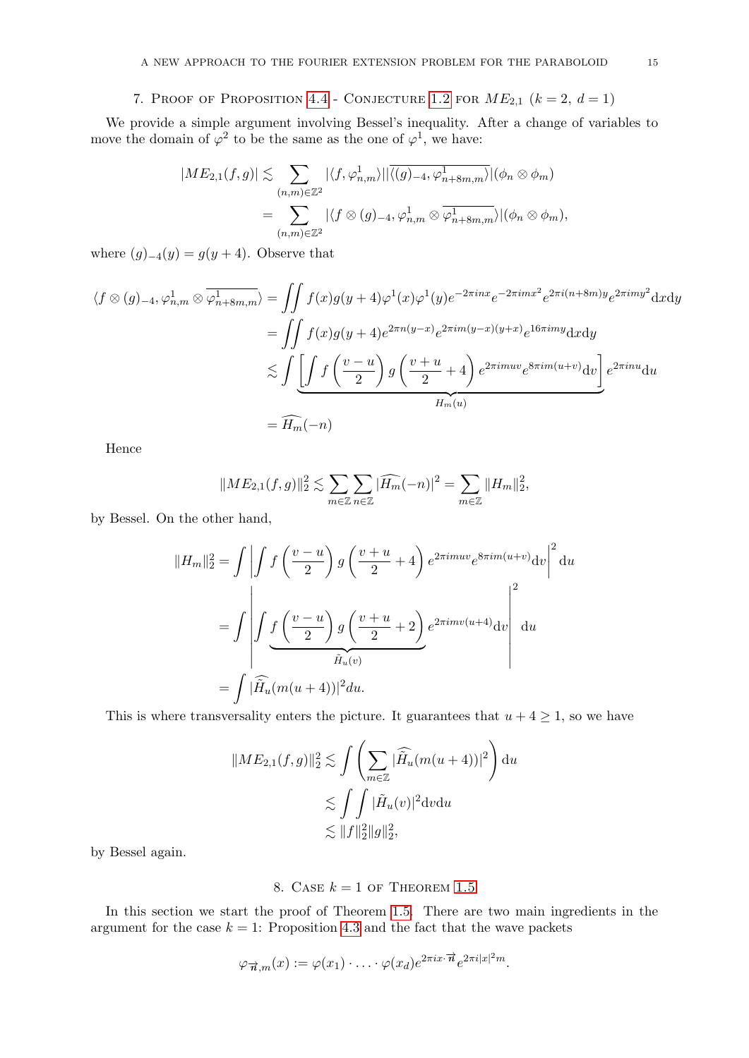# 7. PROOF OF PROPOSITION [4.4](#page-8-3) - CONJECTURE [1.2](#page-1-1) FOR  $ME_{2,1}$   $(k = 2, d = 1)$

<span id="page-14-0"></span>We provide a simple argument involving Bessel's inequality. After a change of variables to move the domain of  $\varphi^2$  to be the same as the one of  $\varphi^1$ , we have:

$$
|ME_{2,1}(f,g)| \lesssim \sum_{(n,m)\in\mathbb{Z}^2} |\langle f, \varphi_{n,m}^1\rangle| |\overline{\langle (g)_{-4}, \varphi_{n+8m,m}^1\rangle}| (\phi_n \otimes \phi_m)
$$
  
= 
$$
\sum_{(n,m)\in\mathbb{Z}^2} |\langle f \otimes (g)_{-4}, \varphi_{n,m}^1 \otimes \overline{\varphi_{n+8m,m}^1}\rangle| (\phi_n \otimes \phi_m),
$$

where  $(g)_{-4}(y) = g(y+4)$ . Observe that

$$
\langle f \otimes (g)_{-4}, \varphi_{n,m}^1 \otimes \overline{\varphi_{n+8m,m}^1} \rangle = \iint f(x)g(y+4)\varphi^1(x)\varphi^1(y)e^{-2\pi inx}e^{-2\pi imx^2}e^{2\pi i(n+8m)y}e^{2\pi imy^2}dxdy
$$
  

$$
= \iint f(x)g(y+4)e^{2\pi n(y-x)}e^{2\pi im(y-x)(y+x)}e^{16\pi imy}dxdy
$$
  

$$
\lesssim \iint \underbrace{\left[\int f\left(\frac{v-u}{2}\right)g\left(\frac{v+u}{2}+4\right)e^{2\pi imuv}e^{8\pi im(u+v)}dv\right]}_{H_m(u)}
$$
  

$$
= \widehat{H_m}(-n)
$$

Hence

$$
||ME_{2,1}(f,g)||_2^2 \lesssim \sum_{m \in \mathbb{Z}} \sum_{n \in \mathbb{Z}} |\widehat{H_m}(-n)|^2 = \sum_{m \in \mathbb{Z}} ||H_m||_2^2,
$$

by Bessel. On the other hand,

$$
||H_m||_2^2 = \int \left| \int f\left(\frac{v-u}{2}\right) g\left(\frac{v+u}{2} + 4\right) e^{2\pi imuv} e^{8\pi im(u+v)} dv \right|^2 du
$$
  
= 
$$
\int \left| \int f\left(\frac{v-u}{2}\right) g\left(\frac{v+u}{2} + 2\right) e^{2\pi imv(u+4)} dv \right|^2 du
$$
  
= 
$$
\int |\widehat{H}_u(m(u+4))|^2 du.
$$

This is where transversality enters the picture. It guarantees that  $u + 4 \geq 1$ , so we have

$$
||ME_{2,1}(f,g)||_2^2 \lesssim \int \left(\sum_{m\in\mathbb{Z}} |\widehat{H}_u(m(u+4))|^2\right) du
$$
  

$$
\lesssim \int \int |\widetilde{H}_u(v)|^2 dv du
$$
  

$$
\lesssim ||f||_2^2 ||g||_2^2,
$$

by Bessel again.

## 8. CASE  $k = 1$  of Theorem [1.5](#page-2-0)

<span id="page-14-1"></span>In this section we start the proof of Theorem [1.5.](#page-2-0) There are two main ingredients in the argument for the case  $k = 1$ : Proposition [4.3](#page-8-2) and the fact that the wave packets

$$
\varphi_{\overrightarrow{n},m}(x) := \varphi(x_1) \cdot \ldots \cdot \varphi(x_d) e^{2\pi i x \cdot \overrightarrow{n}} e^{2\pi i |x|^2 m}.
$$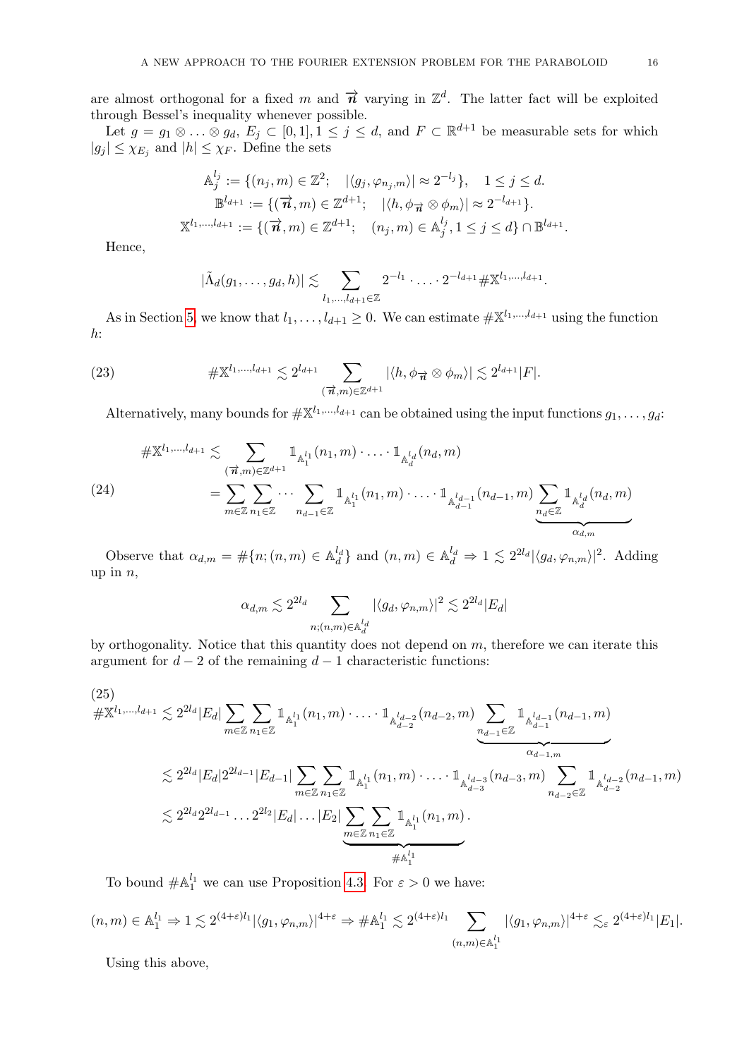are almost orthogonal for a fixed m and  $\vec{n}$  varying in  $\mathbb{Z}^d$ . The latter fact will be exploited through Bessel's inequality whenever possible.

Let  $g = g_1 \otimes \ldots \otimes g_d$ ,  $E_j \subset [0,1], 1 \leq j \leq d$ , and  $F \subset \mathbb{R}^{d+1}$  be measurable sets for which  $|g_j| \leq \chi_{E_j}$  and  $|h| \leq \chi_F$ . Define the sets

$$
\mathbb{A}_{j}^{l_{j}} := \{ (n_{j}, m) \in \mathbb{Z}^{2}; \quad |\langle g_{j}, \varphi_{n_{j}, m} \rangle| \approx 2^{-l_{j}} \}, \quad 1 \leq j \leq d.
$$
  

$$
\mathbb{B}^{l_{d+1}} := \{ (\vec{n}, m) \in \mathbb{Z}^{d+1}; \quad |\langle h, \phi_{\vec{n}} \otimes \phi_{m} \rangle| \approx 2^{-l_{d+1}} \}.
$$
  

$$
\mathbb{X}^{l_{1}, \dots, l_{d+1}} := \{ (\vec{n}, m) \in \mathbb{Z}^{d+1}; \quad (n_{j}, m) \in \mathbb{A}_{j}^{l_{j}}, 1 \leq j \leq d \} \cap \mathbb{B}^{l_{d+1}}.
$$

Hence,

<span id="page-15-0"></span>
$$
|\tilde{\Lambda}_{d}(g_1,\ldots,g_d,h)| \lesssim \sum_{l_1,\ldots,l_{d+1}\in\mathbb{Z}} 2^{-l_1}\cdot \ldots \cdot 2^{-l_{d+1}} \# \mathbb{X}^{l_1,\ldots,l_{d+1}}.
$$

As in Section [5,](#page-9-0) we know that  $l_1, \ldots, l_{d+1} \geq 0$ . We can estimate  $\#\mathbb{X}^{l_1,\ldots,l_{d+1}}$  using the function  $h$ :

(23) 
$$
\#\mathbb{X}^{l_1,\dots,l_{d+1}} \lesssim 2^{l_{d+1}} \sum_{(\vec{n},m)\in\mathbb{Z}^{d+1}} |\langle h,\phi_{\vec{n}}\otimes\phi_m\rangle| \lesssim 2^{l_{d+1}}|F|.
$$

Alternatively, many bounds for  $\#\mathbb{X}^{l_1,\dots,l_{d+1}}$  can be obtained using the input functions  $g_1,\dots,g_d$ :

$$
\# \mathbb{X}^{l_1, \dots, l_{d+1}} \lesssim \sum_{(\overrightarrow{n}, m) \in \mathbb{Z}^{d+1}} \mathbb{1}_{\mathbb{A}_1^{l_1}}(n_1, m) \cdot \ldots \cdot \mathbb{1}_{\mathbb{A}_d^{l_d}}(n_d, m)
$$
\n
$$
= \sum_{m \in \mathbb{Z}} \sum_{n_1 \in \mathbb{Z}} \cdots \sum_{n_{d-1} \in \mathbb{Z}} \mathbb{1}_{\mathbb{A}_1^{l_1}}(n_1, m) \cdot \ldots \cdot \mathbb{1}_{\mathbb{A}_{d-1}^{l_{d-1}}}(n_{d-1}, m) \underbrace{\sum_{n_d \in \mathbb{Z}} \mathbb{1}_{\mathbb{A}_d^{l_d}}(n_d, m)}_{\alpha_{d,m}}
$$

Observe that  $\alpha_{d,m} = \#\{n; (n,m) \in \mathbb{A}_d^{l_d}\}\$ and  $(n,m) \in \mathbb{A}_d^{l_d} \Rightarrow 1 \lesssim 2^{2l_d} |\langle g_d, \varphi_{n,m} \rangle|^2$ . Adding up in  $n$ ,

$$
\alpha_{d,m} \lesssim 2^{2l_d} \sum_{n;(n,m)\in \mathbb{A}_d^{l_d}} |\langle g_d,\varphi_{n,m}\rangle|^2 \lesssim 2^{2l_d} |E_d|
$$

by orthogonality. Notice that this quantity does not depend on  $m$ , therefore we can iterate this argument for  $d-2$  of the remaining  $d-1$  characteristic functions:

$$
(25)
$$
\n
$$
\# \mathbb{X}^{l_1, \dots, l_{d+1}} \lesssim 2^{2l_d} |E_d| \sum_{m \in \mathbb{Z}} \sum_{n_1 \in \mathbb{Z}} \mathbb{1}_{\mathbb{A}_1^{l_1}}(n_1, m) \cdot \dots \cdot \mathbb{1}_{\mathbb{A}_{d-2}^{l_{d-2}}}(n_{d-2}, m) \underbrace{\sum_{n_{d-1} \in \mathbb{Z}} \mathbb{1}_{\mathbb{A}_{d-1}^{l_{d-1}}}(n_{d-1}, m)}_{\text{mod } 2l_{d-1, m}}
$$
\n
$$
\lesssim 2^{2l_d} |E_d| 2^{2l_{d-1}} |E_{d-1}| \sum_{m \in \mathbb{Z}} \sum_{n_1 \in \mathbb{Z}} \mathbb{1}_{\mathbb{A}_1^{l_1}}(n_1, m) \cdot \dots \cdot \mathbb{1}_{\mathbb{A}_{d-3}^{l_{d-3}}}(n_{d-3}, m) \sum_{n_{d-2} \in \mathbb{Z}} \mathbb{1}_{\mathbb{A}_{d-2}^{l_{d-2}}}(n_{d-1}, m)
$$
\n
$$
\lesssim 2^{2l_d} 2^{2l_{d-1}} \dots 2^{2l_2} |E_d| \dots |E_2| \sum_{m \in \mathbb{Z}} \sum_{n_1 \in \mathbb{Z}} \mathbb{1}_{\mathbb{A}_1^{l_1}}(n_1, m).
$$

To bound  $\#\mathbb{A}_1^{l_1}$  we can use Proposition [4.3.](#page-8-2) For  $\varepsilon > 0$  we have:

 $(n,m) \in \mathbb{A}_1^{l_1} \Rightarrow 1 \lesssim 2^{(4+\varepsilon)l_1} |\langle g_1, \varphi_{n,m} \rangle|^{4+\varepsilon} \Rightarrow \# \mathbb{A}_1^{l_1} \lesssim 2^{(4+\varepsilon)l_1} \quad \sum$  $(n,m) \in \mathbb{A}_1^{l_1}$  $|\langle g_1, \varphi_{n,m}\rangle|^{4+\varepsilon} \lesssim_{\varepsilon} 2^{(4+\varepsilon)l_1} |E_1|$ .

Using this above,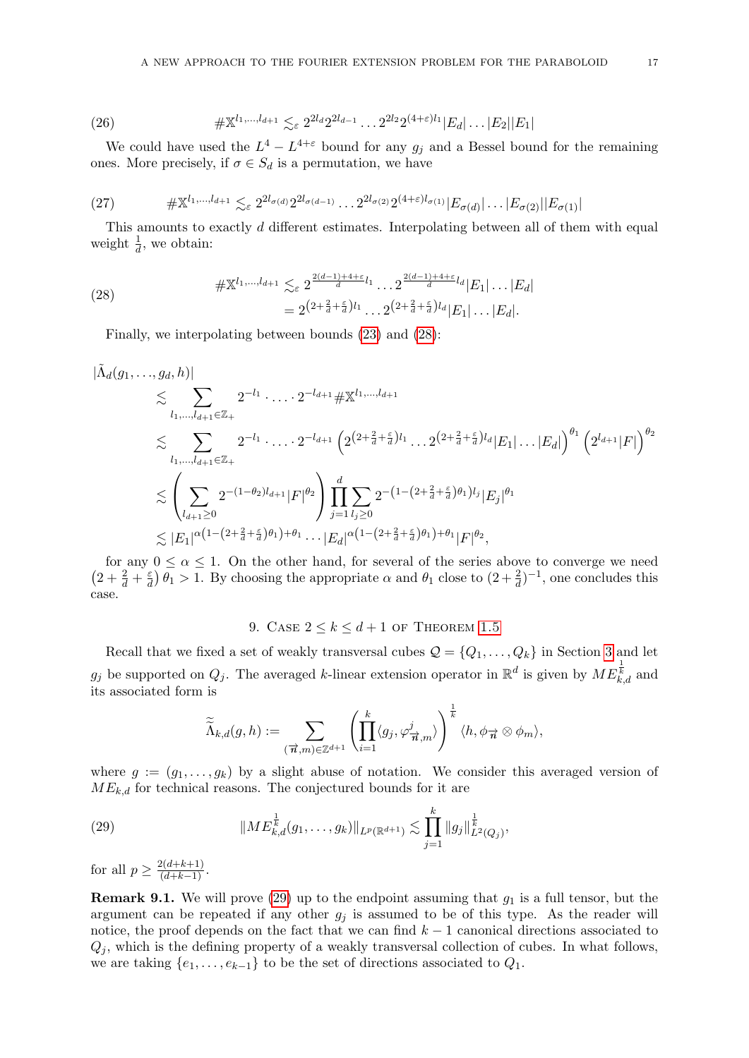(26) 
$$
\# \mathbb{X}^{l_1,\dots,l_{d+1}} \lesssim_{\varepsilon} 2^{2l_d} 2^{2l_{d-1}} \dots 2^{2l_2} 2^{(4+\varepsilon)l_1} |E_d| \dots |E_2||E_1|
$$

We could have used the  $L^4 - L^{4+\epsilon}$  bound for any  $g_j$  and a Bessel bound for the remaining ones. More precisely, if  $\sigma \in S_d$  is a permutation, we have

(27) 
$$
\# \mathbb{X}^{l_1, ..., l_{d+1}} \lesssim_{\varepsilon} 2^{2l_{\sigma(d)}} 2^{2l_{\sigma(d-1)}} \dots 2^{2l_{\sigma(2)}} 2^{(4+\varepsilon)l_{\sigma(1)}} |E_{\sigma(d)}| \dots |E_{\sigma(2)}||E_{\sigma(1)}|
$$

This amounts to exactly d different estimates. Interpolating between all of them with equal weight  $\frac{1}{d}$ , we obtain:

(28) 
$$
\# \mathbb{X}^{l_1, \dots, l_{d+1}} \lesssim_{\varepsilon} 2^{\frac{2(d-1)+4+\varepsilon}{d} l_1} \dots 2^{\frac{2(d-1)+4+\varepsilon}{d} l_d} |E_1| \dots |E_d|
$$

$$
= 2^{(2+\frac{2}{d}+\frac{\varepsilon}{d})l_1} \dots 2^{(2+\frac{2}{d}+\frac{\varepsilon}{d})l_d} |E_1| \dots |E_d|.
$$

<span id="page-16-1"></span>Finally, we interpolating between bounds [\(23\)](#page-15-0) and [\(28\)](#page-16-1):

$$
\begin{split}\n|\tilde{\Lambda}_{d}(g_{1},\ldots,g_{d},h)| &\lesssim \sum_{l_{1},\ldots,l_{d+1}\in\mathbb{Z}_{+}} 2^{-l_{1}}\cdot\ldots\cdot2^{-l_{d+1}} \# \mathbb{X}^{l_{1},\ldots,l_{d+1}} \\
&\lesssim \sum_{l_{1},\ldots,l_{d+1}\in\mathbb{Z}_{+}} 2^{-l_{1}}\cdot\ldots\cdot2^{-l_{d+1}} \left(2^{\left(2+\frac{2}{d}+\frac{\varepsilon}{d}\right)l_{1}}\cdot\ldots2^{\left(2+\frac{2}{d}+\frac{\varepsilon}{d}\right)l_{d}}|E_{1}|\ldots|E_{d}|\right)^{\theta_{1}} \left(2^{l_{d+1}}|F|\right)^{\theta_{2}} \\
&\lesssim \left(\sum_{l_{d+1}\geq 0} 2^{-(1-\theta_{2})l_{d+1}}|F|^{\theta_{2}}\right) \prod_{j=1}^{d} \sum_{l_{j}\geq 0} 2^{-(1-(2+\frac{2}{d}+\frac{\varepsilon}{d})\theta_{1})l_{j}}|E_{j}|^{\theta_{1}} \\
&\lesssim |E_{1}|^{\alpha\left(1-(2+\frac{2}{d}+\frac{\varepsilon}{d})\theta_{1}\right)+\theta_{1}}\cdot\ldots|E_{d}|^{\alpha\left(1-(2+\frac{2}{d}+\frac{\varepsilon}{d})\theta_{1}\right)+\theta_{1}}|F|^{\theta_{2}},\n\end{split}
$$

for any  $0 \le \alpha \le 1$ . On the other hand, for several of the series above to converge we need  $\left(2+\frac{2}{d}+\frac{\varepsilon}{d}\right)$  $\frac{\varepsilon}{d}$   $\theta_1 > 1$ . By choosing the appropriate  $\alpha$  and  $\theta_1$  close to  $(2 + \frac{2}{d})^{-1}$ , one concludes this case.

# 9. CASE  $2 \leq k \leq d+1$  of Theorem [1.5](#page-2-0)

<span id="page-16-0"></span>Recall that we fixed a set of weakly transversal cubes  $\mathcal{Q} = \{Q_1, \ldots, Q_k\}$  in Section [3](#page-6-0) and let  $g_j$  be supported on  $Q_j$ . The averaged k-linear extension operator in  $\mathbb{R}^d$  is given by  $ME_{k,d}^{\frac{1}{k}}$  and its associated form is

<span id="page-16-2"></span>
$$
\widetilde{\widetilde{\Lambda}}_{k,d}(g,h):=\sum_{(\overrightarrow{n},m)\in\mathbb{Z}^{d+1}}\left(\prod_{i=1}^k\langle g_j,\varphi_{\overrightarrow{n},m}^j\rangle\right)^{\frac{1}{k}}\langle h,\phi_{\overrightarrow{n}}\otimes\phi_m\rangle,
$$

where  $g := (g_1, \ldots, g_k)$  by a slight abuse of notation. We consider this averaged version of  $ME_{k,d}$  for technical reasons. The conjectured bounds for it are

(29) 
$$
||ME_{k,d}^{\frac{1}{k}}(g_1,\ldots,g_k)||_{L^p(\mathbb{R}^{d+1})} \lesssim \prod_{j=1}^k ||g_j||_{L^2(Q_j)}^{\frac{1}{k}},
$$

for all  $p \ge \frac{2(d+k+1)}{(d+k-1)}$ .

**Remark 9.1.** We will prove [\(29\)](#page-16-2) up to the endpoint assuming that  $g_1$  is a full tensor, but the argument can be repeated if any other  $g_i$  is assumed to be of this type. As the reader will notice, the proof depends on the fact that we can find  $k-1$  canonical directions associated to  $Q_i$ , which is the defining property of a weakly transversal collection of cubes. In what follows, we are taking  $\{e_1, \ldots, e_{k-1}\}\$  to be the set of directions associated to  $Q_1$ .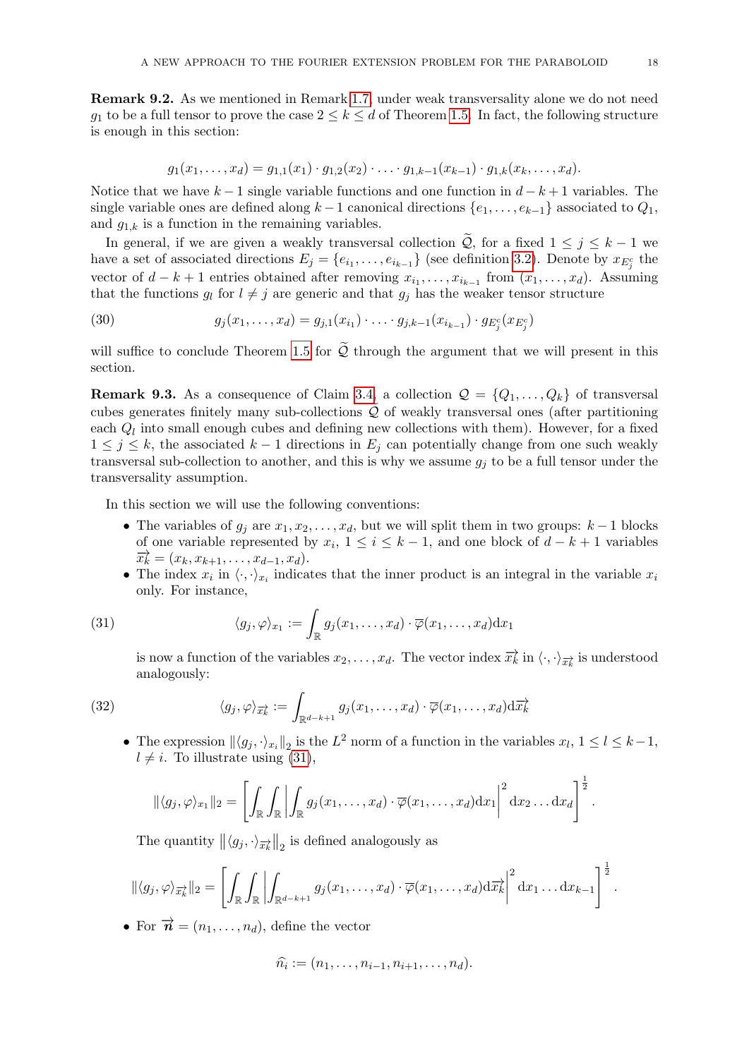Remark 9.2. As we mentioned in Remark [1.7,](#page-2-2) under weak transversality alone we do not need  $g_1$  to be a full tensor to prove the case  $2 \leq k \leq d$  of Theorem [1.5.](#page-2-0) In fact, the following structure is enough in this section:

$$
g_1(x_1,\ldots,x_d)=g_{1,1}(x_1)\cdot g_{1,2}(x_2)\cdot \ldots \cdot g_{1,k-1}(x_{k-1})\cdot g_{1,k}(x_k,\ldots,x_d).
$$

Notice that we have  $k-1$  single variable functions and one function in  $d-k+1$  variables. The single variable ones are defined along  $k-1$  canonical directions  $\{e_1, \ldots, e_{k-1}\}$  associated to  $Q_1$ , and  $g_{1,k}$  is a function in the remaining variables.

In general, if we are given a weakly transversal collection  $\widetilde{Q}$ , for a fixed  $1 \leq j \leq k-1$  we have a set of associated directions  $E_j = \{e_{i_1}, \ldots, e_{i_{k-1}}\}$  (see definition [3.2\)](#page-6-3). Denote by  $x_{E_j^c}$  the vector of  $d - k + 1$  entries obtained after removing  $x_{i_1}, \ldots, x_{i_{k-1}}$  from  $(x_1, \ldots, x_d)$ . Assuming that the functions  $g_l$  for  $l \neq j$  are generic and that  $g_j$  has the weaker tensor structure

(30)  $g_j(x_1, \ldots, x_d) = g_{j,1}(x_{i_1}) \cdot \ldots \cdot g_{j,k-1}(x_{i_{k-1}}) \cdot g_{E_j^c}(x_{E_j^c})$ 

will suffice to conclude Theorem [1.5](#page-2-0) for  $\widetilde{Q}$  through the argument that we will present in this section.

**Remark 9.3.** As a consequence of Claim [3.4,](#page-7-0) a collection  $\mathcal{Q} = \{Q_1, \ldots, Q_k\}$  of transversal cubes generates finitely many sub-collections  $\mathcal Q$  of weakly transversal ones (after partitioning each  $Q_l$  into small enough cubes and defining new collections with them). However, for a fixed  $1 \leq j \leq k$ , the associated  $k-1$  directions in  $E_j$  can potentially change from one such weakly transversal sub-collection to another, and this is why we assume  $g_i$  to be a full tensor under the transversality assumption.

In this section we will use the following conventions:

- The variables of  $g_i$  are  $x_1, x_2, \ldots, x_d$ , but we will split them in two groups:  $k-1$  blocks of one variable represented by  $x_i$ ,  $1 \le i \le k-1$ , and one block of  $d-k+1$  variables  $\vec{x_k} = (x_k, x_{k+1}, \ldots, x_{d-1}, x_d).$
- The index  $x_i$  in  $\langle \cdot, \cdot \rangle_{x_i}$  indicates that the inner product is an integral in the variable  $x_i$ only. For instance,

(31) 
$$
\langle g_j, \varphi \rangle_{x_1} := \int_{\mathbb{R}} g_j(x_1, \dots, x_d) \cdot \overline{\varphi}(x_1, \dots, x_d) dx_1
$$

<span id="page-17-0"></span>is now a function of the variables  $x_2, \ldots, x_d$ . The vector index  $\overrightarrow{x_k}$  in  $\langle \cdot, \cdot \rangle_{\overrightarrow{x_k}}$  is understood analogously:

(32) 
$$
\langle g_j, \varphi \rangle_{\overrightarrow{x_k}} := \int_{\mathbb{R}^{d-k+1}} g_j(x_1, \dots, x_d) \cdot \overline{\varphi}(x_1, \dots, x_d) \mathrm{d} \overrightarrow{x_k}
$$

• The expression  $\|\langle g_j, \cdot \rangle_{x_i}\|_2$  is the  $L^2$  norm of a function in the variables  $x_l, 1 \le l \le k-1$ ,  $l \neq i$ . To illustrate using [\(31\)](#page-17-0),

$$
\|\langle g_j, \varphi \rangle_{x_1}\|_2 = \left[ \int_{\mathbb{R}} \int_{\mathbb{R}} \left| \int_{\mathbb{R}} g_j(x_1, \dots, x_d) \cdot \overline{\varphi}(x_1, \dots, x_d) dx_1 \right|^2 dx_2 \dots dx_d \right]^{\frac{1}{2}}.
$$

The quantity  $||\langle g_j, \cdot \rangle_{\overrightarrow{x_k}}||_2$  is defined analogously as

$$
\|\langle g_j, \varphi \rangle_{\overrightarrow{x_k}}\|_2 = \left[ \int_{\mathbb{R}} \int_{\mathbb{R}} \left| \int_{\mathbb{R}^{d-k+1}} g_j(x_1, \ldots, x_d) \cdot \overline{\varphi}(x_1, \ldots, x_d) \mathrm{d} \overrightarrow{x_k} \right|^2 \mathrm{d} x_1 \ldots \mathrm{d} x_{k-1} \right]^{\frac{1}{2}}.
$$

• For  $\vec{n} = (n_1, \ldots, n_d)$ , define the vector

$$
\hat{n_i} := (n_1, \dots, n_{i-1}, n_{i+1}, \dots, n_d).
$$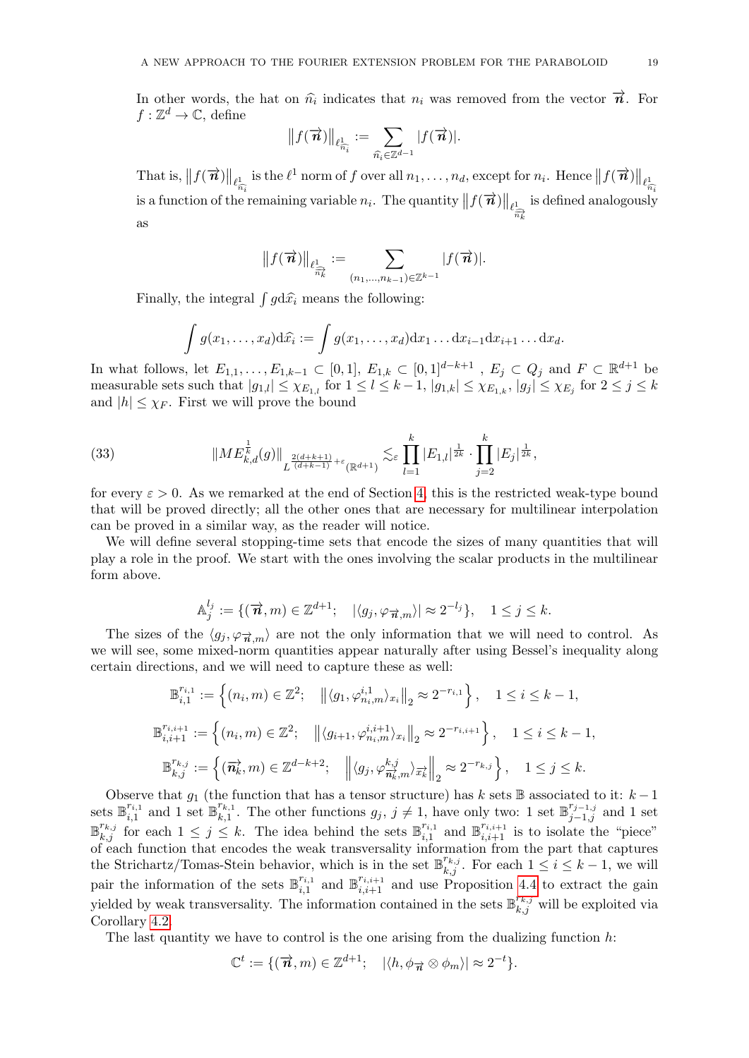In other words, the hat on  $\hat{n_i}$  indicates that  $n_i$  was removed from the vector  $\vec{n}$ . For  $f \cdot \mathbb{Z}^d \to \mathbb{C}$  define  $f: \mathbb{Z}^d \to \mathbb{C}$ , define

$$
||f(\overrightarrow{n})||_{\ell_{\widehat{n_i}}^1} := \sum_{\widehat{n_i} \in \mathbb{Z}^{d-1}} |f(\overrightarrow{n})|.
$$

That is,  $||f(\vec{n})||_{\ell_{\overline{n}}^1}$  is the  $\ell^1$  norm of f over all  $n_1, \ldots, n_d$ , except for  $n_i$ . Hence  $||f(\vec{n})||_{\ell_{\overline{n}}^1}$  $\widehat{n_i}$  is the contract of the contract of  $\widehat{n_i}$ is a function of the remaining variable  $n_i$ . The quantity  $|| f(\vec{n}) ||_{\ell_{\overrightarrow{n_k}}^1}$ is defined analogously as

$$
||f(\overrightarrow{\boldsymbol{n}})||_{\ell_{\widehat{\widetilde{n_{k}}}}}:=\sum_{(n_{1},\ldots,n_{k-1})\in\mathbb{Z}^{k-1}}|f(\overrightarrow{\boldsymbol{n}})|.
$$

Finally, the integral  $\int g d\hat{x}_i$  means the following:

$$
\int g(x_1,\ldots,x_d)\mathrm{d}\widehat{x_i} := \int g(x_1,\ldots,x_d)\mathrm{d} x_1\ldots\mathrm{d} x_{i-1}\mathrm{d} x_{i+1}\ldots\mathrm{d} x_d.
$$

In what follows, let  $E_{1,1},\ldots,E_{1,k-1}\subset [0,1], E_{1,k}\subset [0,1]^{d-k+1}$  ,  $E_j\subset Q_j$  and  $F\subset \mathbb{R}^{d+1}$  be measurable sets such that  $|g_{1,l}| \leq \chi_{E_{1,l}}$  for  $1 \leq l \leq k-1$ ,  $|g_{1,k}| \leq \chi_{E_{1,k}}$ ,  $|g_j| \leq \chi_{E_j}$  for  $2 \leq j \leq k$ and  $|h| \leq \chi_F$ . First we will prove the bound

<span id="page-18-0"></span>(33) 
$$
||ME_{k,d}^{\frac{1}{k}}(g)||_{L^{\frac{2(d+k+1)}{(d+k-1)}+\varepsilon}(\mathbb{R}^{d+1})} \lesssim_{\varepsilon} \prod_{l=1}^{k} |E_{1,l}|^{\frac{1}{2k}} \cdot \prod_{j=2}^{k} |E_j|^{\frac{1}{2k}},
$$

for every  $\varepsilon > 0$ . As we remarked at the end of Section [4,](#page-8-0) this is the restricted weak-type bound that will be proved directly; all the other ones that are necessary for multilinear interpolation can be proved in a similar way, as the reader will notice.

We will define several stopping-time sets that encode the sizes of many quantities that will play a role in the proof. We start with the ones involving the scalar products in the multilinear form above.

$$
\mathbb{A}_{j}^{l_{j}}:=\{(\overrightarrow{n},m)\in\mathbb{Z}^{d+1};\quad |\langle g_{j},\varphi_{\overrightarrow{n},m}\rangle|\approx 2^{-l_{j}}\},\quad 1\leq j\leq k.
$$

The sizes of the  $\langle g_j, \varphi_{\vec{n},m} \rangle$  are not the only information that we will need to control. As we will see, some mixed-norm quantities appear naturally after using Bessel's inequality along certain directions, and we will need to capture these as well:

$$
\mathbb{B}_{i,1}^{r_{i,1}} := \left\{ (n_i, m) \in \mathbb{Z}^2; \quad \left\| \langle g_1, \varphi_{n_i, m}^{i,1} \rangle_{x_i} \right\|_2 \approx 2^{-r_{i,1}} \right\}, \quad 1 \le i \le k - 1,
$$
  

$$
\mathbb{B}_{i,i+1}^{r_{i,i+1}} := \left\{ (n_i, m) \in \mathbb{Z}^2; \quad \left\| \langle g_{i+1}, \varphi_{n_i, m}^{i,i+1} \rangle_{x_i} \right\|_2 \approx 2^{-r_{i,i+1}} \right\}, \quad 1 \le i \le k - 1,
$$
  

$$
\mathbb{B}_{k,j}^{r_{k,j}} := \left\{ (\overrightarrow{n_k}, m) \in \mathbb{Z}^{d-k+2}; \quad \left\| \langle g_j, \varphi_{\overrightarrow{n_k}, m}^{k,j} \rangle_{\overrightarrow{x_k}} \right\|_2 \approx 2^{-r_{k,j}} \right\}, \quad 1 \le j \le k.
$$

Observe that  $g_1$  (the function that has a tensor structure) has k sets B associated to it:  $k-1$ sets  $\mathbb{B}_{i,1}^{r_{i,1}}$  $\sum_{i,1}^{r_{i,1}}$  and 1 set  $\mathbb{B}_{k,1}^{r_{k,1}}$  $\mathcal{F}_{k,1}^{r_{k,1}}$ . The other functions  $g_j, j \neq 1$ , have only two: 1 set  $\mathbb{B}_{j-1,j}^{r_{j-1,j}}$  and 1 set  $\mathbb{B}_{k,j}^{r_{k,j}}$  for each  $1 \leq j \leq k$ . The idea behind the sets  $\mathbb{B}_{i,1}^{r_{i,1}}$  $\tilde{r}_{i,1}^{r_{i,1}}$  and  $\mathbb{B}_{i,i+1}^{r_{i,i+1}}$  is to isolate the "piece" of each function that encodes the weak transversality information from the part that captures the Strichartz/Tomas-Stein behavior, which is in the set  $\mathbb{B}_{k,j}^{r_{k,j}}$ . For each  $1 \leq i \leq k-1$ , we will pair the information of the sets  $\mathbb{B}_{i,1}^{r_{i,1}}$  $\mathbb{B}_{i,1}^{r_{i,1}}$  and  $\mathbb{B}_{i,i+1}^{r_{i,i+1}}$  and use Proposition [4.4](#page-8-3) to extract the gain yielded by weak transversality. The information contained in the sets  $\mathbb{B}_{k,j}^{r_{k,j}}$  will be exploited via Corollary [4.2.](#page-8-4)

The last quantity we have to control is the one arising from the dualizing function  $h$ :

$$
\mathbb{C}^t := \{ (\overrightarrow{n}, m) \in \mathbb{Z}^{d+1}; \quad |\langle h, \phi_{\overrightarrow{n}} \otimes \phi_m \rangle| \approx 2^{-t} \}.
$$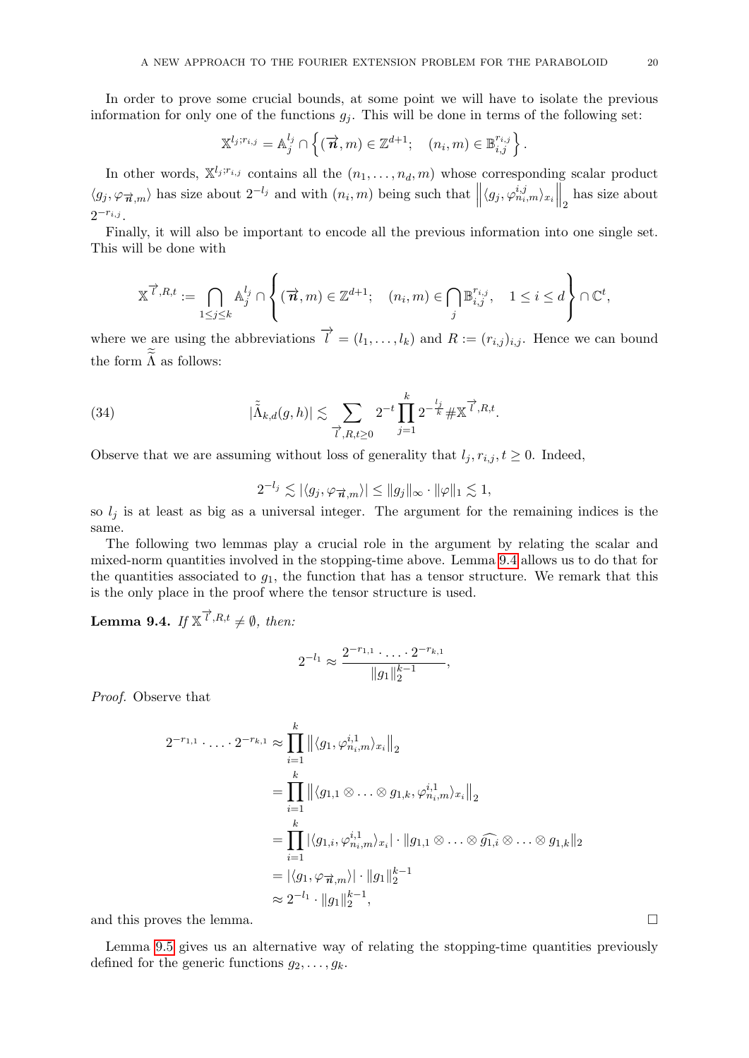In order to prove some crucial bounds, at some point we will have to isolate the previous information for only one of the functions  $g_j$ . This will be done in terms of the following set:

$$
\mathbb{X}^{l_j;r_{i,j}}=\mathbb{A}_j^{l_j}\cap\left\{(\overrightarrow{n},m)\in\mathbb{Z}^{d+1};\quad (n_i,m)\in\mathbb{B}_{i,j}^{r_{i,j}}\right\}.
$$

In other words,  $\mathbb{X}^{l_j; r_{i,j}}$  contains all the  $(n_1, \ldots, n_d, m)$  whose corresponding scalar product  $\langle g_j, \varphi_{\overrightarrow{n},m} \rangle$  has size about  $2^{-l_j}$  and with  $(n_i, m)$  being such that  $\left\| \langle g_j, \varphi_{n_i,m}^{i,j} \rangle_{x_i} \right\|_2$  has size about  $2^{-r_{i,j}}$ .

Finally, it will also be important to encode all the previous information into one single set. This will be done with

$$
\mathbb{X}^{\overrightarrow{l},R,t}:=\bigcap_{1\leq j\leq k}\mathbb{A}_j^{l_j}\cap \left\{(\overrightarrow{n},m)\in\mathbb{Z}^{d+1};\quad (n_i,m)\in\bigcap_j\mathbb{B}_{i,j}^{r_{i,j}},\quad 1\leq i\leq d\right\}\cap\mathbb{C}^t,
$$

where we are using the abbreviations  $\overrightarrow{l} = (l_1, \ldots, l_k)$  and  $R := (r_{i,j})_{i,j}$ . Hence we can bound the form  $\Lambda$  as follows:

(34) 
$$
|\tilde{\tilde{\Lambda}}_{k,d}(g,h)| \lesssim \sum_{\vec{\ell},R,t\geq 0} 2^{-t} \prod_{j=1}^k 2^{-\frac{l_j}{k}} \# \mathbb{X}^{\vec{\ell},R,t}.
$$

Observe that we are assuming without loss of generality that  $l_j, r_{i,j}, t \geq 0$ . Indeed,

<span id="page-19-1"></span>
$$
2^{-l_j} \lesssim |\langle g_j, \varphi_{\overrightarrow{n},m} \rangle| \le ||g_j||_{\infty} \cdot ||\varphi||_1 \lesssim 1,
$$

so  $l_j$  is at least as big as a universal integer. The argument for the remaining indices is the same.

The following two lemmas play a crucial role in the argument by relating the scalar and mixed-norm quantities involved in the stopping-time above. Lemma [9.4](#page-19-0) allows us to do that for the quantities associated to  $g_1$ , the function that has a tensor structure. We remark that this is the only place in the proof where the tensor structure is used.

<span id="page-19-0"></span>**Lemma 9.4.** If  $\mathbb{X}^{\overrightarrow{l},R,t} \neq \emptyset$ , then:

$$
2^{-l_1} \approx \frac{2^{-r_{1,1}} \cdot \ldots \cdot 2^{-r_{k,1}}}{\|g_1\|_2^{k-1}},
$$

Proof. Observe that

$$
2^{-r_{1,1}} \cdots 2^{-r_{k,1}} \approx \prod_{i=1}^{k} ||\langle g_1, \varphi_{n_i,m}^{i,1} \rangle_{x_i}||_2
$$
  
= 
$$
\prod_{i=1}^{k} ||\langle g_{1,1} \otimes \ldots \otimes g_{1,k}, \varphi_{n_i,m}^{i,1} \rangle_{x_i}||_2
$$
  
= 
$$
\prod_{i=1}^{k} |\langle g_{1,i}, \varphi_{n_i,m}^{i,1} \rangle_{x_i}| \cdot ||g_{1,1} \otimes \ldots \otimes \widehat{g_{1,i}} \otimes \ldots \otimes g_{1,k}||_2
$$
  
= 
$$
|\langle g_1, \varphi_{\overrightarrow{n},m} \rangle| \cdot ||g_1||_2^{k-1}
$$
  

$$
\approx 2^{-l_1} \cdot ||g_1||_2^{k-1},
$$

and this proves the lemma.

Lemma [9.5](#page-20-0) gives us an alternative way of relating the stopping-time quantities previously defined for the generic functions  $g_2, \ldots, g_k$ .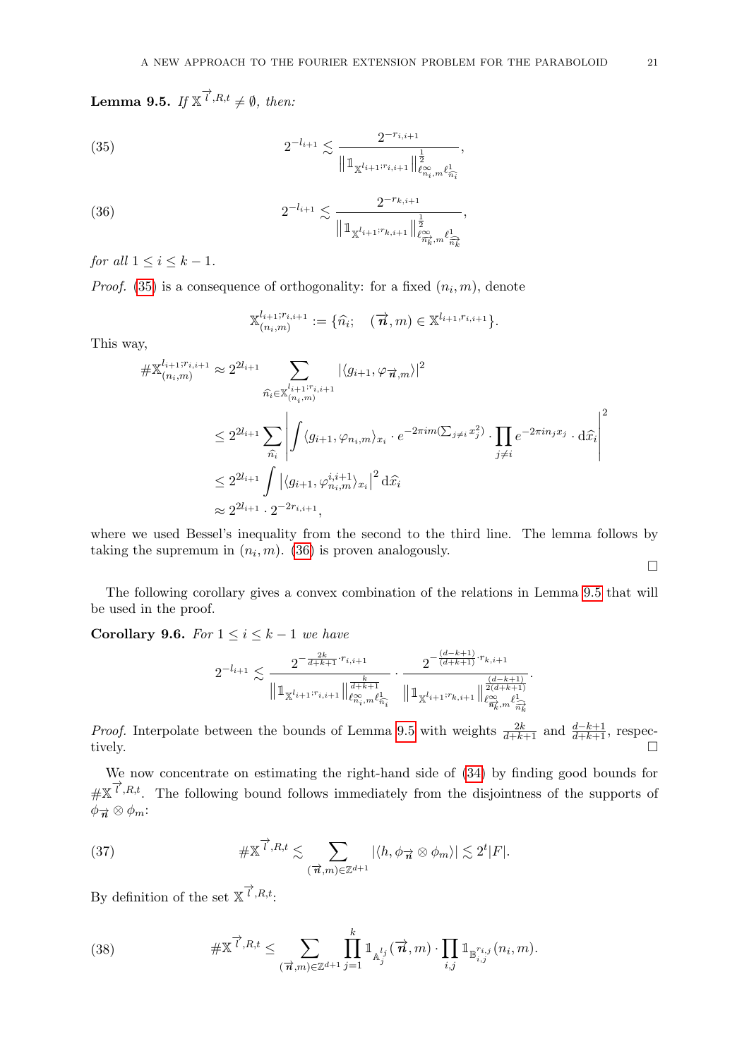<span id="page-20-0"></span>**Lemma 9.5.** If  $\mathbb{X}^{\overrightarrow{l},R,t} \neq \emptyset$ , then:

(35) 
$$
2^{-l_{i+1}} \lesssim \frac{2^{-r_{i,i+1}}}{\left\| \mathbb{1}_{\mathbb{X}^{l_{i+1}:r_{i,i+1}}}\right\|^{\frac{1}{2}}_{\ell^{\infty}_{n_i},m_{\ell^1_{n_i}}}}.
$$

(36) 
$$
2^{-l_{i+1}} \lesssim \frac{2^{-r_{k,i+1}}}{\|\mathbb{1}_{\mathbb{X}^{l_{i+1};r_{k,i+1}}}\|_{\ell^{\infty}_{\widetilde{n}_{k}^{\times},m}}^{\frac{1}{2}},
$$

for all  $1 \leq i \leq k-1$ .

*Proof.* [\(35\)](#page-20-1) is a consequence of orthogonality: for a fixed  $(n_i, m)$ , denote

<span id="page-20-2"></span><span id="page-20-1"></span>
$$
\mathbb{X}_{(n_i,m)}^{l_{i+1};r_{i,i+1}} := \{\widehat{n_i}; \quad (\vec{n},m) \in \mathbb{X}^{l_{i+1},r_{i,i+1}}\}.
$$

This way,

$$
\# \mathbb{X}_{(n_i,m)}^{l_{i+1};r_{i,i+1}} \approx 2^{2l_{i+1}} \sum_{\hat{n}_i \in \mathbb{X}_{(n_i,m)}^{l_{i+1};r_{i,i+1}}} |\langle g_{i+1}, \varphi_{\vec{n},m} \rangle|^2
$$
  

$$
\leq 2^{2l_{i+1}} \sum_{\hat{n}_i} \left| \int \langle g_{i+1}, \varphi_{n_i,m} \rangle_{x_i} \cdot e^{-2\pi im(\sum_{j\neq i} x_j^2)} \cdot \prod_{j\neq i} e^{-2\pi in_j x_j} \cdot d\hat{x}_i \right|^2
$$
  

$$
\leq 2^{2l_{i+1}} \int |\langle g_{i+1}, \varphi_{n_i,m}^{i,i+1} \rangle_{x_i}|^2 d\hat{x}_i
$$
  

$$
\approx 2^{2l_{i+1}} \cdot 2^{-2r_{i,i+1}},
$$

where we used Bessel's inequality from the second to the third line. The lemma follows by taking the supremum in  $(n_i, m)$ . [\(36\)](#page-20-2) is proven analogously.

 $\Box$ 

The following corollary gives a convex combination of the relations in Lemma [9.5](#page-20-0) that will be used in the proof.

<span id="page-20-5"></span>Corollary 9.6. For  $1 \leq i \leq k-1$  we have

$$
2^{-l_{i+1}}\lesssim \frac{2^{-\frac{2k}{d+k+1}\cdot r_{i,i+1}}}{\big\|\mathbb{1}_{\mathbb{X}^{l_{i+1} ; r_{i,i+1}}}\big\|^{\frac{k}{d+k+1}}_{\ell^{\infty}_{n_i},m\ell^1_{\widehat{n_i}}}}\cdot \frac{2^{-\frac{(d-k+1)}{(d+k+1)}\cdot r_{k,i+1}}}{\big\|\mathbb{1}_{\mathbb{X}^{l_{i+1} ; r_{k,i+1}}}\big\|^{\frac{(d-k+1)}{2(d+k+1)}}_{\ell^{\infty}_{n_k},m\ell^1_{\widehat{n_k}}}}.
$$

*Proof.* Interpolate between the bounds of Lemma [9.5](#page-20-0) with weights  $\frac{2k}{d+k+1}$  and  $\frac{d-k+1}{d+k+1}$ , respectively.

We now concentrate on estimating the right-hand side of [\(34\)](#page-19-1) by finding good bounds for  $\#X^{\overrightarrow{l},R,t}$ . The following bound follows immediately from the disjointness of the supports of  $\phi_{\overrightarrow{n}} \otimes \phi_m$ :

<span id="page-20-4"></span>(37) 
$$
\#\mathbb{X}^{\overrightarrow{l},R,t} \lesssim \sum_{(\overrightarrow{n},m)\in\mathbb{Z}^{d+1}} |\langle h,\phi_{\overrightarrow{n}}\otimes \phi_m\rangle| \lesssim 2^t|F|.
$$

By definition of the set  $\mathbb{X}^{\overrightarrow{l},R,t}$ :

<span id="page-20-3"></span>(38) 
$$
\#\mathbb{X}^{\overrightarrow{l},R,t} \leq \sum_{(\overrightarrow{n},m)\in\mathbb{Z}^{d+1}} \prod_{j=1}^k \mathbb{1}_{\mathbb{A}_j^{l_j}}(\overrightarrow{n},m) \cdot \prod_{i,j} \mathbb{1}_{\mathbb{B}_{i,j}^{r_{i,j}}(n_i,m)}.
$$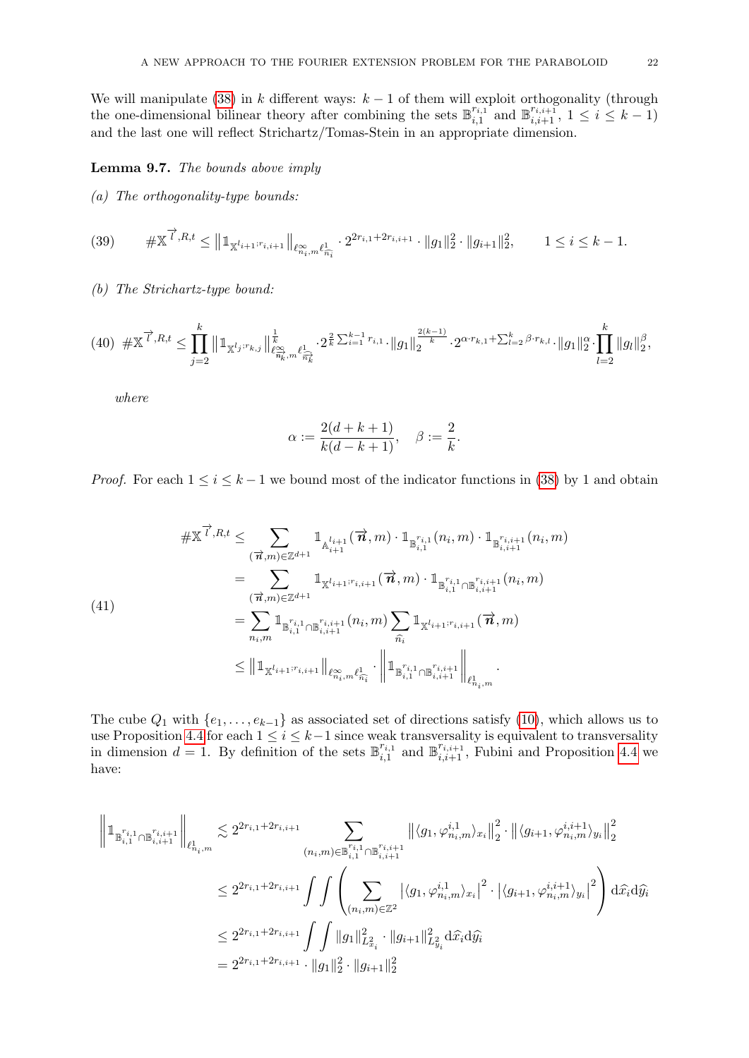We will manipulate [\(38\)](#page-20-3) in k different ways:  $k-1$  of them will exploit orthogonality (through the one-dimensional bilinear theory after combining the sets  $\mathbb{B}_{i}^{r_{i,1}}$  $\sum_{i=1}^{r_{i,1}}$  and  $\mathbb{B}_{i,i+1}^{r_{i,i+1}}, 1 \leq i \leq k-1$ and the last one will reflect Strichartz/Tomas-Stein in an appropriate dimension.

<span id="page-21-3"></span>Lemma 9.7. The bounds above imply

(a) The orthogonality-type bounds:

<span id="page-21-1"></span>
$$
(39) \qquad \# \mathbb{X}^{\overrightarrow{l}, R, t} \leq \left\|1_{\mathbb{X}^{l_{i+1}; r_{i,i+1}}}\right\|_{\ell^{\infty}_{n_i}, m\ell^1_{\overrightarrow{n_i}}} \cdot 2^{2r_{i,1} + 2r_{i,i+1}} \cdot \|g_1\|_2^2 \cdot \|g_{i+1}\|_2^2, \qquad 1 \leq i \leq k-1.
$$

(b) The Strichartz-type bound:

<span id="page-21-2"></span>
$$
(40) \# \mathbb{X}^{\overrightarrow{l},R,t} \leq \prod_{j=2}^{k} \left\|1_{\mathbb{X}^{l_j;r_{k,j}}}\right\|_{\ell^{\infty}_{\overrightarrow{n}_k,m}}^{\frac{1}{k}} \ell_{\overrightarrow{n}_k}^1 \cdot 2^{\frac{2}{k} \sum_{i=1}^{k-1} r_{i,1}} \cdot \left\|g_1\right\|_2^{\frac{2(k-1)}{k}} \cdot 2^{\alpha \cdot r_{k,1} + \sum_{l=2}^{k} \beta \cdot r_{k,l}} \cdot \left\|g_1\right\|_2^{\alpha} \cdot \prod_{l=2}^{k} \left\|g_l\right\|_2^{\beta},
$$

where

$$
\alpha := \frac{2(d+k+1)}{k(d-k+1)}, \quad \beta := \frac{2}{k}.
$$

*Proof.* For each  $1 \leq i \leq k-1$  we bound most of the indicator functions in [\(38\)](#page-20-3) by 1 and obtain

<span id="page-21-0"></span>
$$
\# \mathbb{X}^{\overrightarrow{l}, R, t} \leq \sum_{(\overrightarrow{n}, m) \in \mathbb{Z}^{d+1}} \mathbb{1}_{\mathbb{A}_{i+1}^{l_{i+1}}} (\overrightarrow{n}, m) \cdot \mathbb{1}_{\mathbb{B}_{i,1}^{r_{i,1}}}(n_i, m) \cdot \mathbb{1}_{\mathbb{B}_{i,i+1}^{r_{i,i+1}}}(n_i, m)
$$
\n
$$
= \sum_{(\overrightarrow{n}, m) \in \mathbb{Z}^{d+1}} \mathbb{1}_{\mathbb{X}^{l_{i+1}; r_{i,i+1}}} (\overrightarrow{n}, m) \cdot \mathbb{1}_{\mathbb{B}_{i,1}^{r_{i,1}} \cap \mathbb{B}_{i,i+1}^{r_{i,i+1}}}(n_i, m)
$$
\n
$$
= \sum_{n_i, m} \mathbb{1}_{\mathbb{B}_{i,1}^{r_{i,1}} \cap \mathbb{B}_{i,i+1}^{r_{i,i+1}}}(n_i, m) \sum_{\widehat{n_i}} \mathbb{1}_{\mathbb{X}^{l_{i+1}; r_{i,i+1}}} (\overrightarrow{n}, m)
$$
\n
$$
\leq || \mathbb{1}_{\mathbb{X}^{l_{i+1}; r_{i,i+1}}} ||_{\ell^{\infty}_{n_i, m}} \ell^1_{\widehat{n}_i} \cdot || \mathbb{1}_{\mathbb{B}_{i,1}^{r_{i,1}} \cap \mathbb{B}_{i,i+1}^{r_{i,i+1}}} ||_{\ell^1_{n_i, m}}
$$

The cube  $Q_1$  with  $\{e_1, \ldots, e_{k-1}\}$  as associated set of directions satisfy [\(10\)](#page-6-5), which allows us to use Proposition [4.4](#page-8-3) for each  $1 \leq i \leq k-1$  since weak transversality is equivalent to transversality in dimension  $d = 1$ . By definition of the sets  $\mathbb{B}_{i=1}^{r_{i,1}}$  $\sum_{i,1}^{r_{i,1}}$  and  $\mathbb{B}_{i,i+1}^{r_{i,i+1}}$ , Fubini and Proposition [4.4](#page-8-3) we have:

$$
\begin{split} \left\|1_{\mathbb{B}_{i,1}^{r_{i,1}} \cap \mathbb{B}_{i,i+1}^{r_{i,i+1}}} \right\|_{\ell^1_{n_i,m}} &\lesssim 2^{2r_{i,1}+2r_{i,i+1}} \sum_{(n_i,m) \in \mathbb{B}_{i,1}^{r_{i,1}} \cap \mathbb{B}_{i,i+1}^{r_{i,i+1}}} \left\| \langle g_1, \varphi_{n_i,m}^{i,1} \rangle_{x_i} \right\|_2^2 \cdot \left\| \langle g_{i+1}, \varphi_{n_i,m}^{i,i+1} \rangle_{y_i} \right\|_2^2 \\ &\le 2^{2r_{i,1}+2r_{i,i+1}} \int \int \left( \sum_{(n_i,m) \in \mathbb{Z}^2} \left| \langle g_1, \varphi_{n_i,m}^{i,1} \rangle_{x_i} \right|^2 \cdot \left| \langle g_{i+1}, \varphi_{n_i,m}^{i,i+1} \rangle_{y_i} \right|^2 \right) \mathrm{d}\hat{x_i} \mathrm{d}\hat{y_i} \\ &\le 2^{2r_{i,1}+2r_{i,i+1}} \int \int \|g_1\|_{L^2_{x_i}}^2 \cdot \|g_{i+1}\|_{L^2_{y_i}}^2 \mathrm{d}\hat{x_i} \mathrm{d}\hat{y_i} \\ &= 2^{2r_{i,1}+2r_{i,i+1}} \cdot \|g_1\|_2^2 \cdot \|g_{i+1}\|_2^2 \end{split}
$$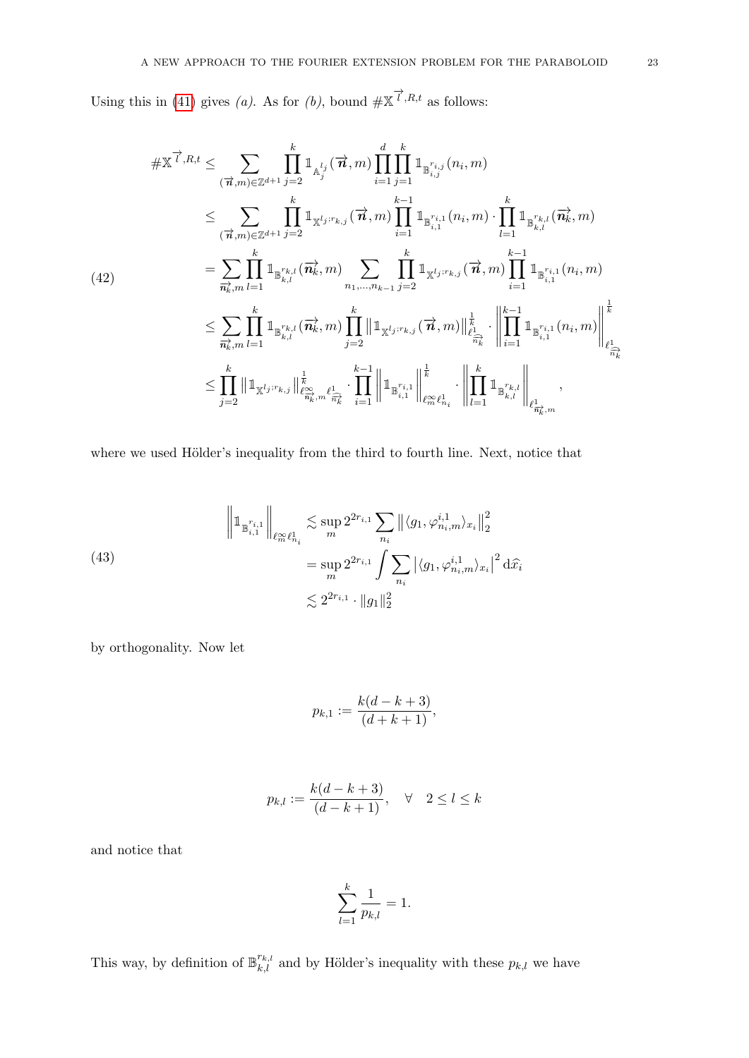Using this in [\(41\)](#page-21-0) gives (a). As for (b), bound  $\#\mathbb{X}^{\overrightarrow{l},R,t}$  as follows:

<span id="page-22-1"></span>
$$
\# \mathbb{X}^{\overrightarrow{l},R,t} \leq \sum_{(\overrightarrow{n},m) \in \mathbb{Z}^{d+1}} \prod_{j=2}^{k} \mathbb{1}_{\mathbb{A}_{j}^{l_{j}}}(\overrightarrow{n},m) \prod_{i=1}^{d} \prod_{j=1}^{k} \mathbb{1}_{\mathbb{B}_{i,j}^{r_{i,j}}(n_{i},m)} \n\leq \sum_{(\overrightarrow{n},m) \in \mathbb{Z}^{d+1}} \prod_{j=2}^{k} \mathbb{1}_{\mathbb{X}^{l_{j};r_{k,j}}(\overrightarrow{n},m) \prod_{i=1}^{k-1} \mathbb{1}_{\mathbb{B}_{i,1}^{r_{i,1}}(n_{i},m)} \cdot \prod_{l=1}^{k} \mathbb{1}_{\mathbb{B}_{k,l}^{r_{k,l}}(\overrightarrow{n},m)} \n= \sum_{\overrightarrow{n}_{k},m} \prod_{l=1}^{k} \mathbb{1}_{\mathbb{B}_{k,l}^{r_{k,l}}(\overrightarrow{n}_{k},m)} \sum_{n_{1},\ldots,n_{k-1}} \prod_{j=2}^{k} \mathbb{1}_{\mathbb{X}^{l_{j};r_{k,j}}(\overrightarrow{n},m) \prod_{i=1}^{k-1} \mathbb{1}_{\mathbb{B}_{i,1}^{r_{i,1}}(n_{i},m)} \n\leq \sum_{\overrightarrow{n}_{k},m} \prod_{l=1}^{k} \mathbb{1}_{\mathbb{B}_{k,l}^{r_{k,l}}(\overrightarrow{n}_{k},m)} \prod_{j=2}^{k} \mathbb{1}_{\mathbb{X}^{l_{j};r_{k,j}}(\overrightarrow{n},m) \Big\|_{\ell_{\overrightarrow{n},k}^{k}}^{1} \cdot \left\| \prod_{i=1}^{k-1} \mathbb{1}_{\mathbb{B}_{i,1}^{r_{i,1}}(n_{i},m)} \right\|_{\ell_{\overrightarrow{n},k}^{k}}^{1} \n\leq \prod_{j=2}^{k} \mathbb{1}_{\mathbb{X}^{l_{j};r_{k,j}} \Big\|_{\ell_{\overrightarrow{m}_{k}}^{\infty}, \ell_{\overrightarrow{n}_{k}}^{2}}^{1} \cdot \prod_{i=1}^{k} \mathbb{1}_{\mathbb{B}_{i,1}^{r_{i,1}} \Big\|_{\ell_{\overrightarrow{m}_{k}}^{\infty}, \ell_{i}}^{1}
$$

where we used Hölder's inequality from the third to fourth line. Next, notice that

<span id="page-22-0"></span>(43)  

$$
\left\|1_{\mathbb{B}_{i,1}^{r_{i,1}}}\right\|_{\ell^{\infty}_{m}\ell^{1}_{n_{i}}} \lesssim \sup_{m} 2^{2r_{i,1}} \sum_{n_{i}} \left\| \langle g_{1}, \varphi_{n_{i},m}^{i,1} \rangle_{x_{i}} \right\|_{2}^{2}
$$

$$
= \sup_{m} 2^{2r_{i,1}} \int \sum_{n_{i}} \left| \langle g_{1}, \varphi_{n_{i},m}^{i,1} \rangle_{x_{i}} \right|^{2} d\widehat{x_{i}}
$$

$$
\lesssim 2^{2r_{i,1}} \cdot \|g_{1}\|_{2}^{2}
$$

by orthogonality. Now let

$$
p_{k,1} := \frac{k(d-k+3)}{(d+k+1)},
$$

$$
p_{k,l} := \frac{k(d-k+3)}{(d-k+1)}, \quad \forall \quad 2 \le l \le k
$$

and notice that

$$
\sum_{l=1}^k \frac{1}{p_{k,l}} = 1.
$$

This way, by definition of  $\mathbb{B}_{k,l}^{r_{k,l}}$  and by Hölder's inequality with these  $p_{k,l}$  we have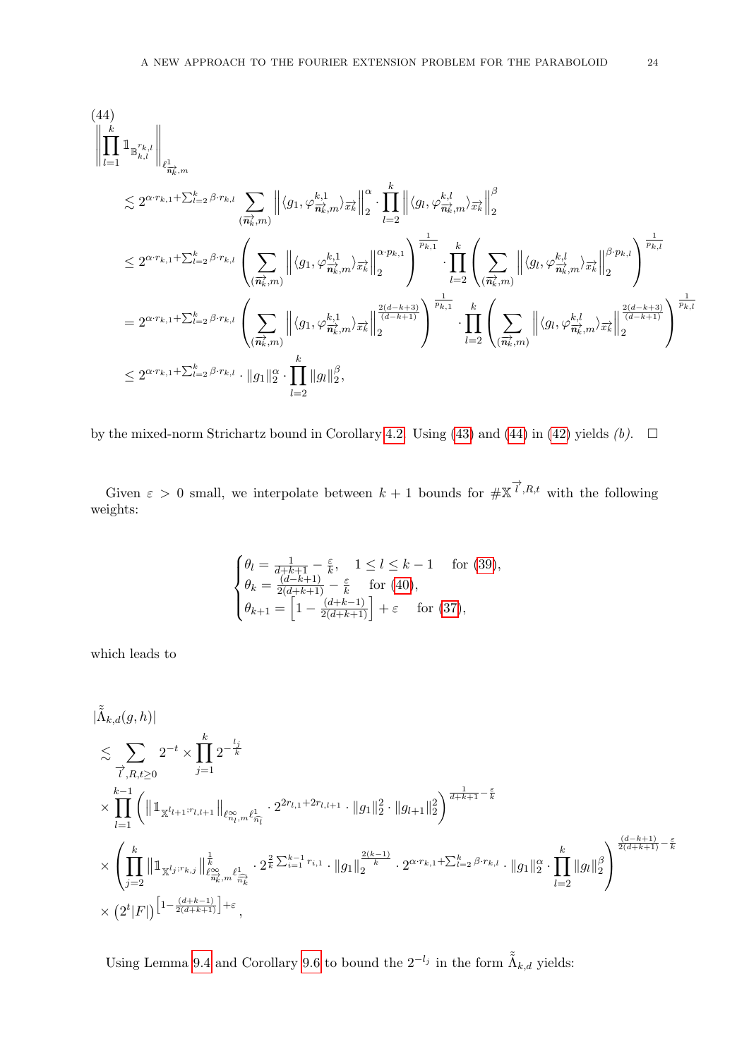<span id="page-23-0"></span>
$$
(44) \begin{aligned} &\left\|\prod_{l=1}^{k}\mathbbm{1}_{\mathbb{B}_{k,l}^{r_{k,l}}}\right\|_{\ell^1_{\mathbb{H}_k^1,m}}\\ &\lesssim 2^{\alpha\cdot r_{k,1}+\sum_{l=2}^k\beta\cdot r_{k,l}}\sum_{(\overrightarrow{n_k},m)}\left\|\langle g_1,\varphi^{k,1}_{\overrightarrow{n_k},m}\rangle_{\overrightarrow{x_k}}\right\|_2^{\alpha}\cdot\prod_{l=2}^k\left\|\langle g_l,\varphi^{k,l}_{\overrightarrow{n_k},m}\rangle_{\overrightarrow{x_k}}\right\|_2^{\beta}\\ &\le 2^{\alpha\cdot r_{k,1}+\sum_{l=2}^k\beta\cdot r_{k,l}}\left(\sum_{(\overrightarrow{n_k},m)}\left\|\langle g_1,\varphi^{k,1}_{\overrightarrow{n_k},m}\rangle_{\overrightarrow{x_k}}\right\|_2^{\alpha\cdot p_{k,1}}\right)^{\frac{1}{p_{k,1}}}\cdot\prod_{l=2}^k\left(\sum_{(\overrightarrow{n_k},m)}\left\|\langle g_l,\varphi^{k,l}_{\overrightarrow{n_k},m}\rangle_{\overrightarrow{x_l}}\right\|_2^{\beta\cdot p_{k,l}}\right)^{\frac{1}{p_{k,l}}}\\ &=2^{\alpha\cdot r_{k,1}+\sum_{l=2}^k\beta\cdot r_{k,l}}\left(\sum_{(\overrightarrow{n_k},m)}\left\|\langle g_1,\varphi^{k,1}_{\overrightarrow{n_k},m}\rangle_{\overrightarrow{x_k}}\right\|_2^{\frac{2(d-k+3)}{(d-k+1)}}\right)^{\frac{1}{p_{k,1}}} \cdot\prod_{l=2}^k\left(\sum_{(\overrightarrow{n_k},m)}\left\|\langle g_l,\varphi^{k,l}_{\overrightarrow{n_k},m}\rangle_{\overrightarrow{x_k}}\right\|_2^{\frac{2(d-k+3)}{(d-k+1)}}\right)^{\frac{1}{p_{k,1}}}\\ &\le 2^{\alpha\cdot r_{k,1}+\sum_{l=2}^k\beta\cdot r_{k,l}}\cdot\|g_1\|_2^{\alpha}\cdot\prod_{l=2}^k\|g_l\|_2^{\beta}, \end{aligned}
$$

by the mixed-norm Strichartz bound in Corollary [4.2.](#page-8-4) Using [\(43\)](#page-22-0) and [\(44\)](#page-23-0) in [\(42\)](#page-22-1) yields (b).  $\Box$ 

Given  $\varepsilon > 0$  small, we interpolate between  $k+1$  bounds for  $\# \mathbb{X}^{\overrightarrow{l},R,t}$  with the following weights:

$$
\begin{cases} \theta_l = \frac{1}{d+k+1} - \frac{\varepsilon}{k}, \quad 1 \le l \le k-1 \quad \text{ for (39)},\\ \theta_k = \frac{(d-k+1)}{2(d+k+1)} - \frac{\varepsilon}{k} \quad \text{ for (40)},\\ \theta_{k+1} = \left[1 - \frac{(d+k-1)}{2(d+k+1)}\right] + \varepsilon \quad \text{ for (37)}, \end{cases}
$$

which leads to

$$
\begin{split} &|\tilde{\Lambda}_{k,d}(g,h)|\\ &\lesssim \sum_{\vec{l}=1} 2^{-t}\times \prod_{j=1}^k 2^{-\frac{l_j}{k}}\\ &\times \prod_{l=1}^{k-1}\left( \|\mathbbm{1}_{\mathbbm{X}^{l_{l+1};r_{l,l+1}}}\|_{\ell^{\infty}_{n_l,m}\ell^1_{\widehat{n_l}}} \cdot 2^{2r_{l,1}+2r_{l,l+1}}\cdot \|g_1\|_2^2\cdot \|g_{l+1}\|_2^2 \right)^{\frac{1}{d+k+1}-\frac{\varepsilon}{k}}\\ &\times \left(\prod_{j=2}^k \|\mathbbm{1}_{\mathbbm{X}^{l_j;r_{k,j}}}\|_{\ell^{\infty}_{\widehat{n_k}},m\ell^1_{\widehat{n_k}}}\ell^1_{\widehat{n_k}}\cdot 2^{\frac{2}{k}\sum_{i=1}^{k-1}r_{i,1}}\cdot \|g_1\|_2^{\frac{2(k-1)}{k}}\cdot 2^{\alpha\cdot r_{k,1}+\sum_{l=2}^k \beta\cdot r_{k,l}}\cdot \|g_1\|_2^{\alpha}\cdot \prod_{l=2}^k \|g_l\|_2^{\beta} \right)^{\frac{(d-k+1)}{2(d+k+1)}-\frac{\varepsilon}{k}}\\ &\times \left(2^t|F|\right)^{\left[1-\frac{(d+k-1)}{2(d+k+1)}\right]+\varepsilon}, \end{split}
$$

Using Lemma [9.4](#page-19-0) and Corollary [9.6](#page-20-5) to bound the  $2^{-l_j}$  in the form  $\tilde{\tilde{\Lambda}}_{k,d}$  yields: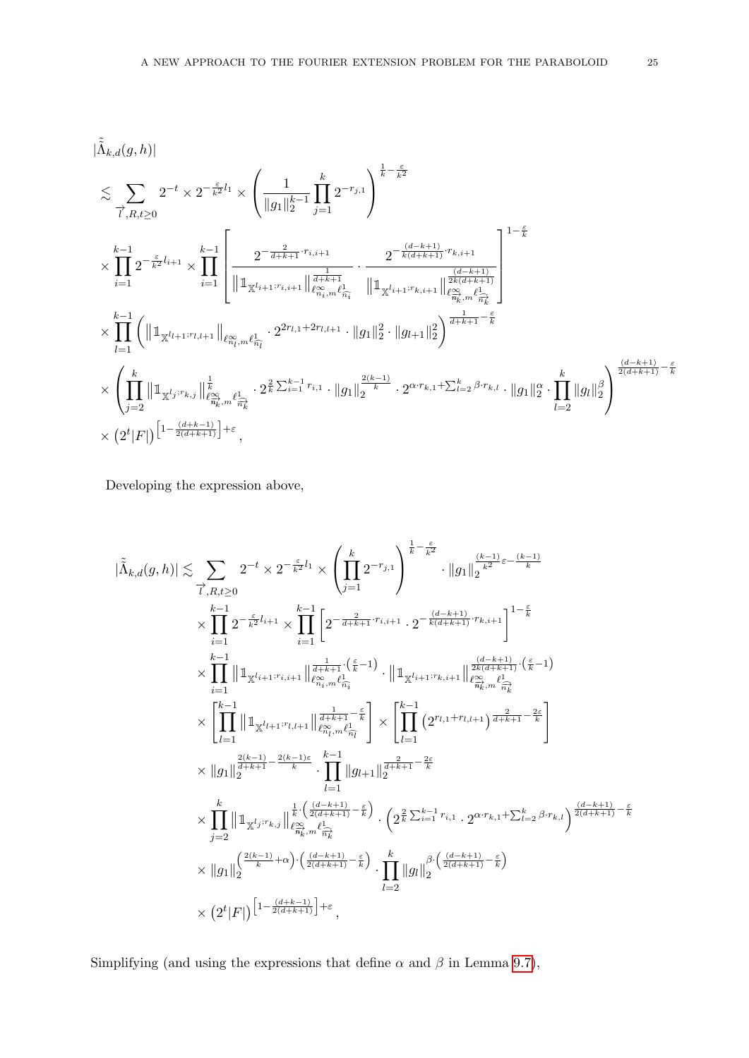$$
\begin{split} &|\tilde{\tilde{\Lambda}}_{k,d}(g,h)|\\ &\lesssim \sum_{\overrightarrow{l},R,t\geq 0}2^{-t}\times 2^{-\frac{\varepsilon}{k^2}l_1}\times \left(\frac{1}{\|g_1\|_{2}^{k-1}}\prod_{j=1}^{k}2^{-r_{j,1}}\right)^{\frac{1}{k}-\frac{\varepsilon}{k^2}}\\ &\times\prod_{i=1}^{k-1}2^{-\frac{\varepsilon}{k^2}l_{i+1}}\times\prod_{i=1}^{k-1}\left[\frac{2^{-\frac{2}{d+k+1}\cdot r_{i,i+1}}}{\|\mathbbm{1}_{\mathbbm{X}^{l_{i+1} ;r_{i,i+1}}\|\frac{1}{\ell^{\alpha}_{\mathbbm{N}},\ell^1_{\overrightarrow{n}_i}}}\cdot \frac{2^{-\frac{(d-k+1)}{k(d+k+1)}\cdot r_{k,i+1}}}{\|\mathbbm{1}_{\mathbbm{X}^{l_{i+1} ;r_{k,i+1}}\|\frac{2(k+d+1)}{\ell^{\alpha}_{\mathbbm{N}},\ell^1_{\overrightarrow{n}_i}}}\right]^{1-\frac{\varepsilon}{k}}\\ &\times\prod_{l=1}^{k-1}\left(\|\mathbbm{1}_{\mathbbm{X}^{l_{l+1} ;r_{l,l+1}}\|\frac{1}{\ell^{\alpha}_{\mathbbm{N}},\ell^1_{\overrightarrow{n}_l}}}\cdot 2^{2r_{l,1}+2r_{l,l+1}}\cdot\|g_1\|_2^2\cdot\|g_{l+1}\|_2^2\right)^{\frac{2(k+1)}{d+k+1}-\frac{\varepsilon}{k}}\\ &\times\left(\prod_{j=2}^{k}\|\mathbbm{1}_{\mathbbm{X}^{l_j ;r_{k,j}}\|\frac{1}{\ell^{\alpha}_{\mathbbm{N}},\ell^1_{\overrightarrow{n}_i}}}\cdot 2^{\frac{2}{k}\sum_{i=1}^{k-1} r_{i,1}}\cdot\|g_1\|_2^{\frac{2(k-1)}{k}}\cdot 2^{\alpha\cdot r_{k,1}+\sum_{l=2}^{k}\beta\cdot r_{k,l}}\cdot\|g_1\|_2^{\alpha}\cdot\prod_{l=2}^{k}\|g_l\|_2^{\beta}\right)^{\frac{(d-k+1)}{2(d+k+1)}-\frac{\varepsilon}{k}}\\ &\times\left(2^{t}|F|\right
$$

Developing the expression above,

$$
|\tilde{\hat{\Lambda}}_{k,d}(g,h)| \lesssim \sum_{\vec{l},R,t\geq 0} 2^{-t} \times 2^{-\frac{\varepsilon}{k^2}l_1} \times \left(\prod_{j=1}^k 2^{-r_{j,1}}\right)^{\frac{1}{k} - \frac{\varepsilon}{k^2}} \cdot \|g_1\|_2^{\frac{(k-1)}{k^2\varepsilon - \frac{(k-1)}{k}}}
$$
  

$$
\times \prod_{i=1}^{k-1} 2^{-\frac{\varepsilon}{k^2}l_{i+1}} \times \prod_{i=1}^{k-1} \left[2^{-\frac{2}{d+k+1} \cdot r_{i,i+1}} \cdot 2^{-\frac{(d-k+1)}{k(d+k+1)} \cdot r_{k,i+1}}\right]^{1-\frac{\varepsilon}{k}}
$$
  

$$
\times \prod_{i=1}^{k-1} \|\mathbb{1}_{\mathbb{X}^{l_{i+1} \cdot r_{i,i+1}}} \|\mathbb{1}_{\ell_{n_i,m}^{\infty} \ell_{\overline{n_i}}^{\infty}}^{\frac{1}{d+k+1} \cdot (\frac{\varepsilon}{k} - 1)} \cdot \|\mathbb{1}_{\mathbb{X}^{l_{i+1} \cdot r_{k,i+1}}} \|\mathbb{1}_{\ell_{n_k,m}^{\infty} \ell_{\overline{n_k}}^{\infty}}^{\frac{(d-k+1)}{2k(d+k+1)} \cdot (\frac{\varepsilon}{k} - 1)}
$$
  

$$
\times \left[\prod_{l=1}^{k-1} \|\mathbb{1}_{\mathbb{X}^{l_{l+1} \cdot r_{l,l+1}}} \|\mathbb{1}_{\ell_{n_l,m}^{\infty} \ell_{\overline{n_l}}^{\infty}}^{\frac{1}{d+k+1} - \frac{\varepsilon}{k}}\right] \times \left[\prod_{l=1}^{k-1} \left(2^{r_{l,1} + r_{l,l+1}}\right)^{\frac{2}{d+k+1} - \frac{2\varepsilon}{k}}\right]
$$
  

$$
\times \|\mathcal{g}_1\|_2^{\frac{2(k-1)}{2^{k+1}}} - \frac{2(k-1)\varepsilon}{k} \cdot \prod_{l=1}^{k-1} \|g_{l+1}\|_{2^{k+1}}^{\frac{2}{d+k+1} - \frac{2\varepsilon}{k}}
$$
  

$$
\times \prod_{j
$$

Simplifying (and using the expressions that define  $\alpha$  and  $\beta$  in Lemma [9.7\)](#page-21-3),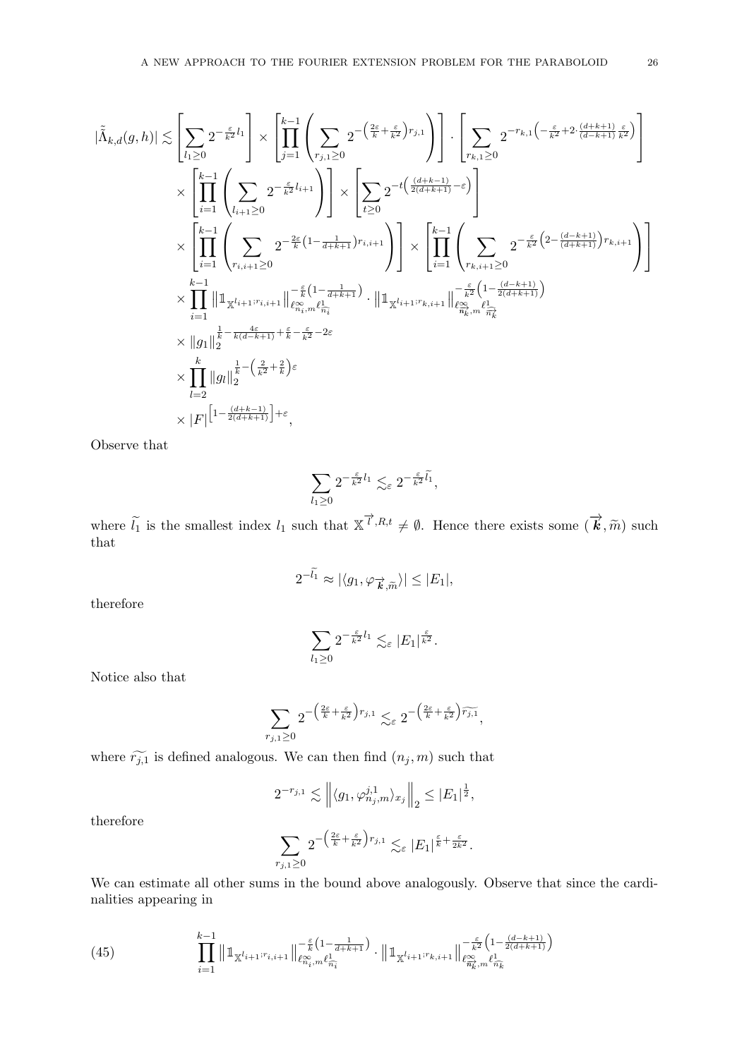$$
|\tilde{\Lambda}_{k,d}(g,h)| \lesssim \left[ \sum_{l_1 \geq 0} 2^{-\frac{\varepsilon}{k^2}l_1} \right] \times \left[ \prod_{j=1}^{k-1} \left( \sum_{r_{j,1} \geq 0} 2^{-\left(\frac{2\varepsilon}{k} + \frac{\varepsilon}{k^2}\right)r_{j,1}} \right) \right] \cdot \left[ \sum_{r_{k,1} \geq 0} 2^{-r_{k,1}\left(-\frac{\varepsilon}{k^2} + 2\cdot\frac{(d+k+1)}{(d-k+1)}\frac{\varepsilon}{k^2}\right)} \right] \times \left[ \sum_{t \geq 0} 2^{-t\left(\frac{(d+k-1)}{2(d+k+1)} - \varepsilon\right)} \right] \times \\ \times \left[ \prod_{i=1}^{k-1} \left( \sum_{r_{i,i+1} \geq 0} 2^{-\frac{\varepsilon}{k}(1 - \frac{1}{d+k+1})r_{i,i+1}} \right) \right] \times \left[ \prod_{i=1}^{k-1} \left( \sum_{r_{k,i+1} \geq 0} 2^{-\frac{\varepsilon}{k^2}\left(2 - \frac{(d-k+1)}{(d+k+1)}\right)r_{k,i+1}} \right) \right] \times \\ \times \prod_{i=1}^{k-1} \left\| \mathbbm{1}_{\mathbbm{X}^{l_{i+1} : r_{i,i+1}}} \right\| \left[ \mathbbm{e}_{n_i, m}^{\varepsilon} \ell_{n_i}^{\frac{1}{\varepsilon}} \right] \cdot \left\| \mathbbm{1}_{\mathbbm{X}^{l_{i+1} : r_{k,i+1}}} \right\| \left[ \sum_{r_{k,i+1} \geq 0} 2^{-\frac{\varepsilon}{k^2}\left(2 - \frac{(d-k+1)}{(d+k+1)}\right)r_{k,i+1}} \right] \right]
$$

$$
\times \prod_{i=1}^{k-1} \left\| \mathbbm{1}_{\mathbbm{X}^{l_{i+1} : r_{i,i+1}}} \right\| \left[ \mathbbm{e}_{n_i, m}^{\varepsilon} \ell_{n_i}^{\frac{1}{\varepsilon}} \right] \cdot \left\| \mathbbm{1}_{\mathbbm{X}^{l_{i+1} : r_{k,i+1}}} \right\| \left[ \mathbbm{e}_{n_k
$$

Observe that

$$
\sum_{l_1\geq 0} 2^{-\frac{\varepsilon}{k^2}l_1} \lesssim_{\varepsilon} 2^{-\frac{\varepsilon}{k^2}\tilde{l_1}},
$$

where  $\tilde{l}_1$  is the smallest index  $l_1$  such that  $\mathbb{X}^{\vec{l}}, R, t \neq \emptyset$ . Hence there exists some  $(\vec{k}, \tilde{m})$  such that that

$$
2^{-\tilde{l_1}} \approx |\langle g_1, \varphi_{\overrightarrow{k}, \tilde{m}} \rangle| \leq |E_1|,
$$

therefore

$$
\sum_{l_1\geq 0} 2^{-\frac{\varepsilon}{k^2}l_1} \lesssim_{\varepsilon} |E_1|^{\frac{\varepsilon}{k^2}}.
$$

Notice also that

$$
\sum_{r_{j,1}\geq 0} 2^{-\left(\frac{2\varepsilon}{k}+\frac{\varepsilon}{k^2}\right)r_{j,1}}\lesssim_\varepsilon 2^{-\left(\frac{2\varepsilon}{k}+\frac{\varepsilon}{k^2}\right)\widetilde{r_{j,1}}},
$$

where  $\widetilde{r_{j,1}}$  is defined analogous. We can then find  $(n_j, m)$  such that

$$
2^{-r_{j,1}} \lesssim \left\| \langle g_1, \varphi_{n_j,m}^{j,1} \rangle_{x_j} \right\|_2 \le |E_1|^{\frac{1}{2}},
$$

therefore

$$
\sum_{r_{j,1}\geq 0} 2^{-\left(\frac{2\varepsilon}{k}+\frac{\varepsilon}{k^2}\right)r_{j,1}} \lesssim_{\varepsilon} |E_1|^{\frac{\varepsilon}{k}+\frac{\varepsilon}{2k^2}}.
$$

We can estimate all other sums in the bound above analogously. Observe that since the cardinalities appearing in

<span id="page-25-0"></span>(45) 
$$
\prod_{i=1}^{k-1} \|\mathbb{1}_{\mathbb{X}^{l_{i+1};r_{i,i+1}}}\|_{\ell_{n_i,m}^{\infty}\ell_{\widehat{n_i}}^{\infty}}^{-\frac{\varepsilon}{k}(1-\frac{1}{d+k+1})} \cdot \|\mathbb{1}_{\mathbb{X}^{l_{i+1};r_{k,i+1}}}\|_{\ell_{\widehat{n_k},m}^{\infty}\ell_{\widehat{n_k}}^{\infty}}^{-\frac{\varepsilon}{2(d+k+1)}}\right)
$$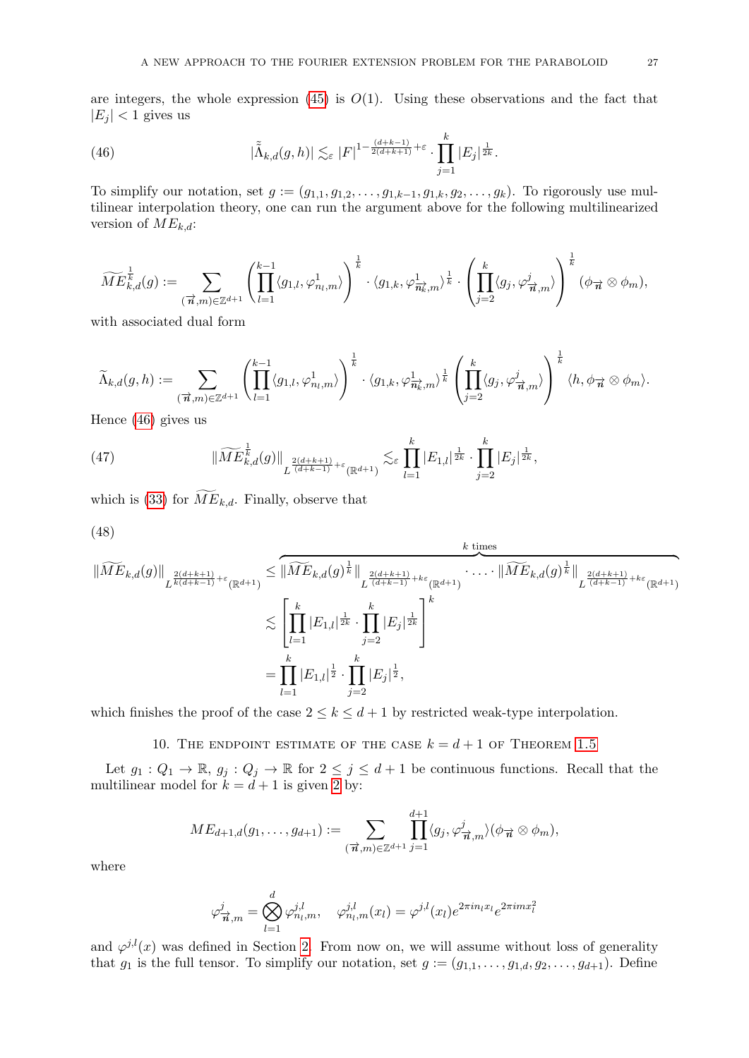are integers, the whole expression  $(45)$  is  $O(1)$ . Using these observations and the fact that  $|E_j|$  < 1 gives us

<span id="page-26-1"></span>(46) 
$$
|\tilde{\Lambda}_{k,d}(g,h)| \lesssim_{\varepsilon} |F|^{1-\frac{(d+k-1)}{2(d+k+1)}+\varepsilon} \cdot \prod_{j=1}^k |E_j|^{\frac{1}{2k}}.
$$

To simplify our notation, set  $g := (g_{1,1}, g_{1,2}, \ldots, g_{1,k-1}, g_{1,k}, g_2, \ldots, g_k)$ . To rigorously use multilinear interpolation theory, one can run the argument above for the following multilinearized version of  $ME_{k,d}$ :

$$
\widetilde{ME}_{k,d}^{\frac{1}{k}}(g):=\sum_{(\overrightarrow{n},m)\in\mathbb{Z}^{d+1}}\left(\prod_{l=1}^{k-1}\langle g_{1,l},\varphi_{n_l,m}^1\rangle\right)^{\frac{1}{k}}\cdot\langle g_{1,k},\varphi_{\overrightarrow{n_k},m}^1\rangle^{\frac{1}{k}}\cdot\left(\prod_{j=2}^{k}\langle g_j,\varphi_{\overrightarrow{n},m}^j\rangle\right)^{\frac{1}{k}}(\phi_{\overrightarrow{n}}\otimes\phi_m),
$$

with associated dual form

$$
\widetilde{\Lambda}_{k,d}(g,h) := \sum_{(\overrightarrow{\boldsymbol{n}},m) \in \mathbb{Z}^{d+1}} \left( \prod_{l=1}^{k-1} \langle g_{1,l}, \varphi_{n_l,m}^1 \rangle \right)^{\frac{1}{k}} \cdot \langle g_{1,k}, \varphi_{\overrightarrow{\boldsymbol{n}_k},m}^1 \rangle^{\frac{1}{k}} \left( \prod_{j=2}^k \langle g_j, \varphi_{\overrightarrow{\boldsymbol{n}},m}^j \rangle \right)^{\frac{1}{k}} \langle h, \phi_{\overrightarrow{\boldsymbol{n}}} \otimes \phi_m \rangle.
$$

Hence [\(46\)](#page-26-1) gives us

(47) 
$$
\|\widetilde{ME}_{k,d}^{\frac{1}{k}}(g)\|_{L^{\frac{2(d+k+1)}{(d+k-1)}+\varepsilon}(\mathbb{R}^{d+1})} \lesssim_{\varepsilon} \prod_{l=1}^{k} |E_{1,l}|^{\frac{1}{2k}} \cdot \prod_{j=2}^{k} |E_j|^{\frac{1}{2k}},
$$

which is [\(33\)](#page-18-0) for  $ME_{k,d}$ . Finally, observe that

$$
(48)
$$

$$
\| \widetilde{ME}_{k,d}(g) \|_{L^{\frac{2(d+k+1)}{k(d+k-1)}+\epsilon}(\mathbb{R}^{d+1})} \leq \| \widetilde{ME}_{k,d}(g)^{\frac{1}{k}} \|_{L^{\frac{2(d+k+1)}{(d+k-1)}+k\epsilon}(\mathbb{R}^{d+1})} \cdot \dots \cdot \| \widetilde{ME}_{k,d}(g)^{\frac{1}{k}} \|_{L^{\frac{2(d+k+1)}{(d+k-1)}+k\epsilon}(\mathbb{R}^{d+1})}
$$
  

$$
\lesssim \left[ \prod_{l=1}^k |E_{1,l}|^{\frac{1}{2k}} \cdot \prod_{j=2}^k |E_j|^{\frac{1}{2k}} \right]^k
$$
  

$$
= \prod_{l=1}^k |E_{1,l}|^{\frac{1}{2}} \cdot \prod_{j=2}^k |E_j|^{\frac{1}{2}},
$$

which finishes the proof of the case  $2 \leq k \leq d+1$  by restricted weak-type interpolation.

## 10. THE ENDPOINT ESTIMATE OF THE CASE  $k = d + 1$  OF THEOREM [1.5](#page-2-0)

<span id="page-26-0"></span>Let  $g_1: Q_1 \to \mathbb{R}$ ,  $g_j: Q_j \to \mathbb{R}$  for  $2 \leq j \leq d+1$  be continuous functions. Recall that the multilinear model for  $k = d + 1$  is given [2](#page-3-0) by:

$$
ME_{d+1,d}(g_1,\ldots,g_{d+1}) := \sum_{(\overrightarrow{n},m) \in \mathbb{Z}^{d+1}} \prod_{j=1}^{d+1} \langle g_j, \varphi^j_{\overrightarrow{n},m} \rangle (\phi_{\overrightarrow{n}} \otimes \phi_m),
$$

where

$$
\varphi^j_{\vec{n},m} = \bigotimes_{l=1}^d \varphi^{j,l}_{n_l,m}, \quad \varphi^{j,l}_{n_l,m}(x_l) = \varphi^{j,l}(x_l) e^{2\pi i n_l x_l} e^{2\pi i m x_l^2}
$$

and  $\varphi^{j,l}(x)$  was defined in Section [2.](#page-3-0) From now on, we will assume without loss of generality that  $g_1$  is the full tensor. To simplify our notation, set  $g := (g_{1,1}, \ldots, g_{1,d}, g_2, \ldots, g_{d+1})$ . Define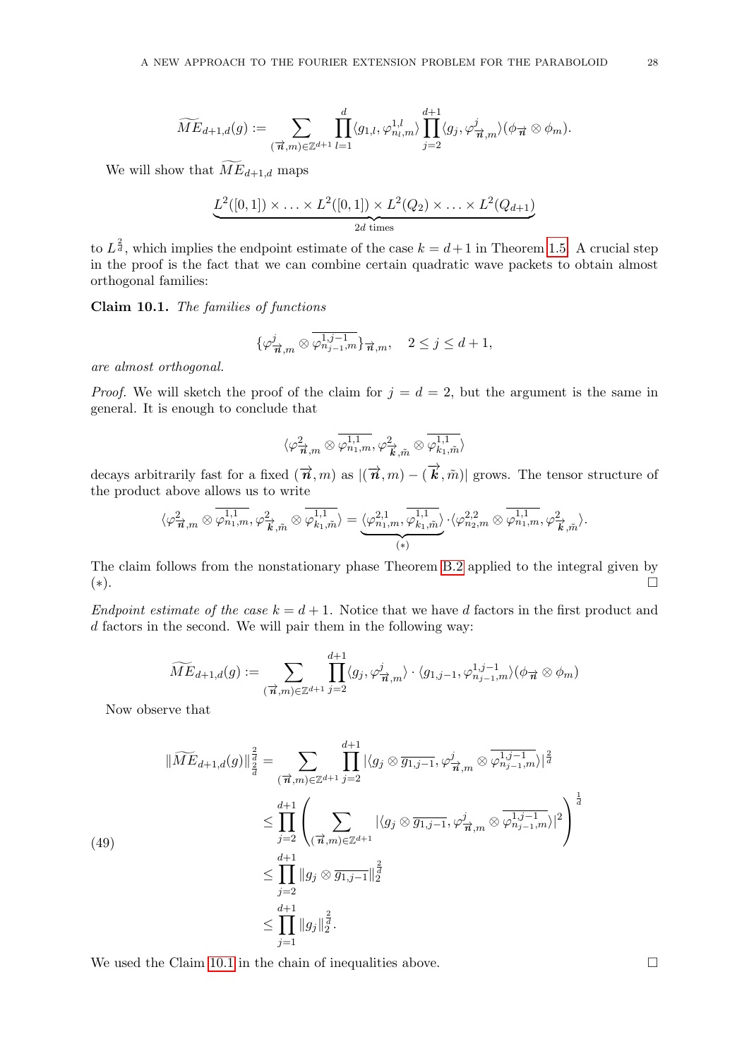$$
\widetilde{ME}_{d+1,d}(g) := \sum_{(\overrightarrow{n},m) \in \mathbb{Z}^{d+1}} \prod_{l=1}^d \langle g_{1,l}, \varphi_{n_l,m}^{1,l} \rangle \prod_{j=2}^{d+1} \langle g_j, \varphi_{\overrightarrow{n},m}^j \rangle (\phi_{\overrightarrow{n}} \otimes \phi_m).
$$

We will show that  $\widetilde{ME}_{d+1,d}$  maps

$$
\underbrace{L^2([0,1]) \times \ldots \times L^2([0,1]) \times L^2(Q_2) \times \ldots \times L^2(Q_{d+1})}_{2d \text{ times}}
$$

to  $L^{\frac{2}{d}}$ , which implies the endpoint estimate of the case  $k = d+1$  in Theorem [1.5.](#page-2-0) A crucial step in the proof is the fact that we can combine certain quadratic wave packets to obtain almost orthogonal families:

<span id="page-27-0"></span>Claim 10.1. The families of functions

$$
\{\varphi^j_{\overrightarrow{n},m}\otimes\overline{\varphi^{1,j-1}_{n_{j-1},m}}\}_{\overrightarrow{n},m},\quad 2\leq j\leq d+1,
$$

are almost orthogonal.

*Proof.* We will sketch the proof of the claim for  $j = d = 2$ , but the argument is the same in general. It is enough to conclude that

$$
\langle \varphi^2_{\overrightarrow{\boldsymbol{n}},m} \otimes \overline{\varphi^{1,1}_{n_1,m}}, \varphi^2_{\overrightarrow{\boldsymbol{k}},\tilde{m}} \otimes \overline{\varphi^{1,1}_{k_1,\tilde{m}}}\rangle
$$

decays arbitrarily fast for a fixed  $(\vec{n}, m)$  as  $|(\vec{n}, m) - (\vec{k}, \tilde{m})|$  grows. The tensor structure of the product above allows us to write

$$
\langle \varphi^2_{\overrightarrow{n},m} \otimes \overline{\varphi^{1,1}_{n_1,m}}, \varphi^2_{\overrightarrow{k},\tilde{m}} \otimes \overline{\varphi^{1,1}_{k_1,\tilde{m}}} \rangle = \underbrace{\langle \varphi^{2,1}_{n_1,m}, \overline{\varphi^{1,1}_{k_1,\tilde{m}}} \rangle}_{(*)} \cdot \langle \varphi^{2,2}_{n_2,m} \otimes \overline{\varphi^{1,1}_{n_1,m}}, \varphi^2_{\overrightarrow{k},\tilde{m}} \rangle.
$$

The claim follows from the nonstationary phase Theorem [B.2](#page-43-3) applied to the integral given by (∗).

Endpoint estimate of the case  $k = d + 1$ . Notice that we have d factors in the first product and d factors in the second. We will pair them in the following way:

$$
\widetilde{ME}_{d+1,d}(g) := \sum_{(\overrightarrow{n},m) \in \mathbb{Z}^{d+1}} \prod_{j=2}^{d+1} \langle g_j, \varphi^j_{\overrightarrow{n},m} \rangle \cdot \langle g_{1,j-1}, \varphi^{1,j-1}_{n_{j-1},m} \rangle (\phi_{\overrightarrow{n}} \otimes \phi_m)
$$

Now observe that

(49)

$$
\|\widetilde{ME}_{d+1,d}(g)\|_{\frac{2}{d}}^{\frac{2}{d}} = \sum_{\substack{(\vec{n},m)\in\mathbb{Z}^{d+1} \\ j=2}} \prod_{j=2}^{d+1} |\langle g_j \otimes \overline{g_{1,j-1}}, \varphi^j_{\overrightarrow{n},m} \otimes \overline{\varphi^{1,j-1}_{n_{j-1},m}} \rangle|^{\frac{2}{d}} \n\leq \prod_{j=2}^{d+1} \left( \sum_{\substack{(\vec{n},m)\in\mathbb{Z}^{d+1} \\ j=2}} |\langle g_j \otimes \overline{g_{1,j-1}}, \varphi^j_{\overrightarrow{n},m} \otimes \overline{\varphi^{1,j-1}_{n_{j-1},m}} \rangle|^2 \right)^{\frac{1}{d}} \n\leq \prod_{j=2}^{d+1} \|g_j \otimes \overline{g_{1,j-1}}\|_2^{\frac{2}{d}} \n\leq \prod_{j=1}^{d+1} \|g_j\|_2^{\frac{2}{d}}.
$$

We used the Claim [10.1](#page-27-0) in the chain of inequalities above.  $\Box$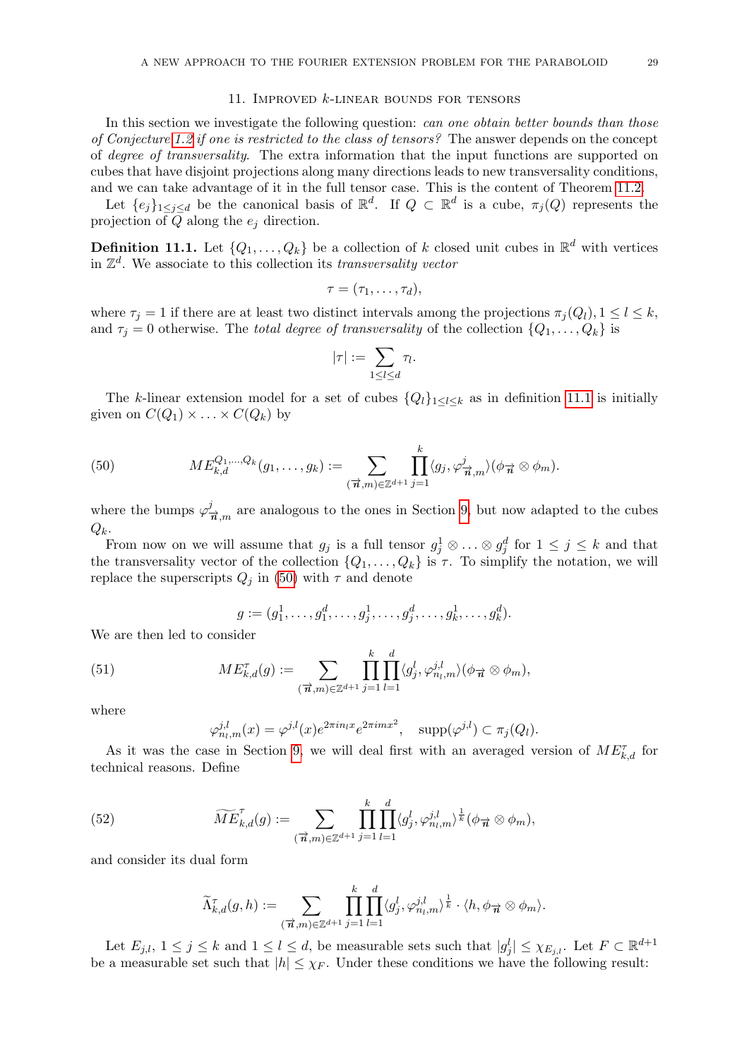## 11. Improved k-linear bounds for tensors

<span id="page-28-0"></span>In this section we investigate the following question: *can one obtain better bounds than those* of Conjecture [1.2](#page-1-1) if one is restricted to the class of tensors? The answer depends on the concept of degree of transversality. The extra information that the input functions are supported on cubes that have disjoint projections along many directions leads to new transversality conditions, and we can take advantage of it in the full tensor case. This is the content of Theorem [11.2.](#page-29-0)

Let  $\{e_j\}_{1\leq j\leq d}$  be the canonical basis of  $\mathbb{R}^d$ . If  $Q \subset \mathbb{R}^d$  is a cube,  $\pi_j(Q)$  represents the projection of  $Q$  along the  $e_j$  direction.

<span id="page-28-1"></span>**Definition 11.1.** Let  $\{Q_1, \ldots, Q_k\}$  be a collection of k closed unit cubes in  $\mathbb{R}^d$  with vertices in  $\mathbb{Z}^d$ . We associate to this collection its transversality vector

$$
\tau=(\tau_1,\ldots,\tau_d),
$$

where  $\tau_j = 1$  if there are at least two distinct intervals among the projections  $\pi_j(Q_l), 1 \leq l \leq k$ , and  $\tau_j = 0$  otherwise. The total degree of transversality of the collection  $\{Q_1, \ldots, Q_k\}$  is

$$
|\tau| := \sum_{1 \leq l \leq d} \tau_l.
$$

The k-linear extension model for a set of cubes  ${Q_l}_{1 \leq l \leq k}$  as in definition [11.1](#page-28-1) is initially given on  $C(Q_1) \times ... \times C(Q_k)$  by

<span id="page-28-2"></span>(50) 
$$
ME_{k,d}^{Q_1,...,Q_k}(g_1,...,g_k) := \sum_{(\vec{\boldsymbol{n}},m) \in \mathbb{Z}^{d+1}} \prod_{j=1}^k \langle g_j, \varphi_{\vec{\boldsymbol{n}},m}^j \rangle (\phi_{\vec{\boldsymbol{n}}} \otimes \phi_m).
$$

where the bumps  $\varphi_{\vec{n},m}^j$  are analogous to the ones in Section [9,](#page-16-0) but now adapted to the cubes  $Q_k$ .

From now on we will assume that  $g_j$  is a full tensor  $g_j^1 \otimes \ldots \otimes g_j^d$  for  $1 \leq j \leq k$  and that the transversality vector of the collection  $\{Q_1, \ldots, Q_k\}$  is  $\tau$ . To simplify the notation, we will replace the superscripts  $Q_j$  in [\(50\)](#page-28-2) with  $\tau$  and denote

<span id="page-28-3"></span>
$$
g := (g_1^1, \dots, g_1^d, \dots, g_j^1, \dots, g_j^d, \dots, g_k^1, \dots, g_k^d).
$$

We are then led to consider

(51) 
$$
ME_{k,d}^{\tau}(g) := \sum_{(\vec{\boldsymbol{n}},m) \in \mathbb{Z}^{d+1}} \prod_{j=1}^k \prod_{l=1}^d \langle g_j^l, \varphi_{n_l,m}^{j,l} \rangle (\phi_{\vec{\boldsymbol{n}}} \otimes \phi_m),
$$

where

$$
\varphi_{n_l,m}^{j,l}(x) = \varphi^{j,l}(x)e^{2\pi i n_l x} e^{2\pi i m x^2}, \quad \text{supp}(\varphi^{j,l}) \subset \pi_j(Q_l).
$$

As it was the case in Section [9,](#page-16-0) we will deal first with an averaged version of  $ME_{k,d}^{\tau}$  for technical reasons. Define

(52) 
$$
\widetilde{ME}_{k,d}^{\tau}(g) := \sum_{(\vec{n},m) \in \mathbb{Z}^{d+1}} \prod_{j=1}^k \prod_{l=1}^d \langle g_j^l, \varphi_{n_l,m}^{j,l} \rangle^{\frac{1}{k}} (\phi_{\vec{n}} \otimes \phi_m),
$$

and consider its dual form

$$
\widetilde{\Lambda}_{k,d}^{\tau}(g,h):=\sum_{(\overrightarrow{n},m)\in\mathbb{Z}^{d+1}}\prod_{j=1}^k\prod_{l=1}^d\langle g_j^l,\varphi_{n_l,m}^{j,l}\rangle^{\frac{1}{k}}\cdot\langle h,\phi_{\overrightarrow{n}}\otimes\phi_m\rangle.
$$

Let  $E_{j,l}, 1 \leq j \leq k$  and  $1 \leq l \leq d$ , be measurable sets such that  $|g_j^l| \leq \chi_{E_{j,l}}$ . Let  $F \subset \mathbb{R}^{d+1}$ be a measurable set such that  $|h| \leq \chi_F$ . Under these conditions we have the following result: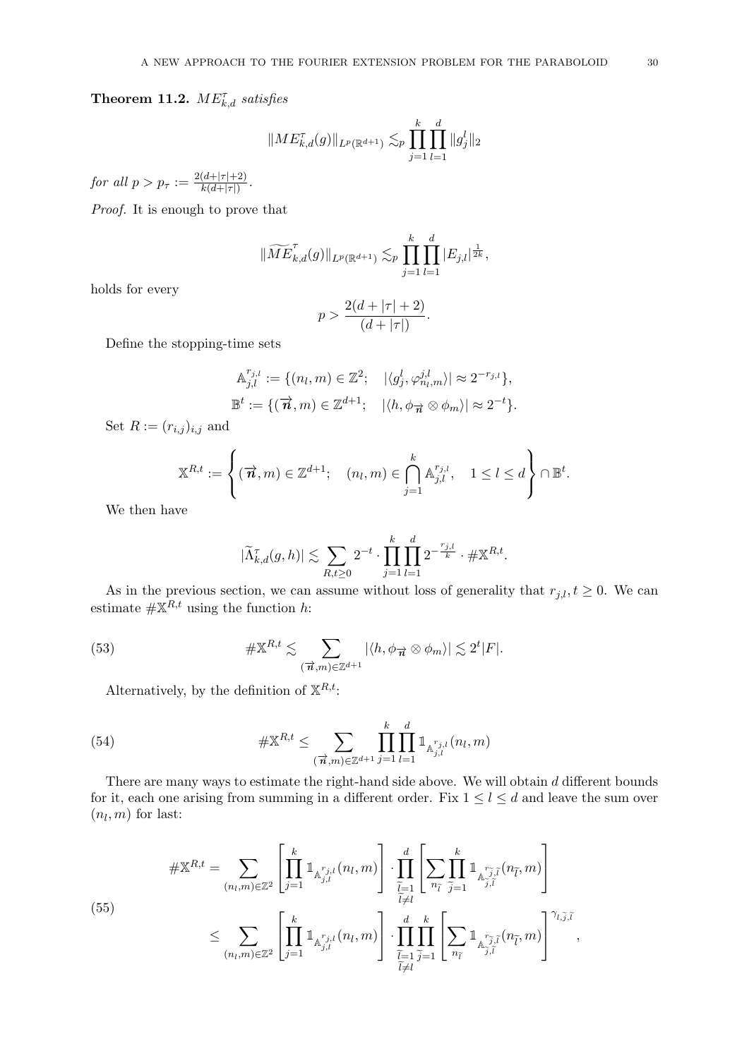<span id="page-29-0"></span>**Theorem 11.2.**  $ME_{k,d}^{\tau}$  satisfies

$$
||ME_{k,d}^{\tau}(g)||_{L^{p}(\mathbb{R}^{d+1})} \lesssim_{p} \prod_{j=1}^{k} \prod_{l=1}^{d} ||g_{j}^{l}||_{2}
$$

for all  $p > p_{\tau} := \frac{2(d+|\tau|+2)}{k(d+|\tau|)}$  $\frac{(d+|\tau|+2)}{k(d+|\tau|)}$ .

Proof. It is enough to prove that

$$
\|\widetilde{ME}_{k,d}^{\tau}(g)\|_{L^{p}(\mathbb{R}^{d+1})} \lesssim_p \prod_{j=1}^k \prod_{l=1}^d |E_{j,l}|^{\frac{1}{2k}},
$$

holds for every

$$
p > \frac{2(d + |\tau| + 2)}{(d + |\tau|)}
$$

.

Define the stopping-time sets

$$
\mathbb{A}_{j,l}^{r_{j,l}} := \{ (n_l, m) \in \mathbb{Z}^2; \quad |\langle g_j^l, \varphi_{n_l,m}^{j,l} \rangle| \approx 2^{-r_{j,l}} \},
$$
  

$$
\mathbb{B}^t := \{ (\overrightarrow{n}, m) \in \mathbb{Z}^{d+1}; \quad |\langle h, \phi_{\overrightarrow{n}} \otimes \phi_m \rangle| \approx 2^{-t} \}.
$$

Set  $R := (r_{i,j})_{i,j}$  and

$$
\mathbb{X}^{R,t} := \left\{ (\overrightarrow{n}, m) \in \mathbb{Z}^{d+1}; \quad (n_l, m) \in \bigcap_{j=1}^k \mathbb{A}_{j,l}^{r_{j,l}}, \quad 1 \leq l \leq d \right\} \cap \mathbb{B}^t.
$$

We then have

<span id="page-29-2"></span>
$$
|\widetilde{\Lambda}_{k,d}^{\tau}(g,h)| \lesssim \sum_{R,t \ge 0} 2^{-t} \cdot \prod_{j=1}^k \prod_{l=1}^d 2^{-\frac{r_{j,l}}{k}} \cdot \# \mathbb{X}^{R,t}.
$$

As in the previous section, we can assume without loss of generality that  $r_{j,l}$ ,  $t \geq 0$ . We can estimate  $\#\mathbb{X}^{R,t}$  using the function h:

(53) 
$$
\# \mathbb{X}^{R,t} \lesssim \sum_{(\vec{n},m) \in \mathbb{Z}^{d+1}} |\langle h, \phi_{\vec{n}} \otimes \phi_m \rangle| \lesssim 2^t |F|.
$$

Alternatively, by the definition of  $\mathbb{X}^{R,t}$ :

(54) 
$$
\#\mathbb{X}^{R,t} \leq \sum_{(\vec{n},m)\in\mathbb{Z}^{d+1}} \prod_{j=1}^k \prod_{l=1}^d \mathbb{1}_{\mathbb{A}_{j,l}^{r_{j,l}}(n_l,m)}
$$

There are many ways to estimate the right-hand side above. We will obtain  $d$  different bounds for it, each one arising from summing in a different order. Fix  $1 \leq l \leq d$  and leave the sum over  $(n_l, m)$  for last:

<span id="page-29-1"></span>(55)  

$$
\# \mathbb{X}^{R,t} = \sum_{(n_l,m)\in\mathbb{Z}^2} \left[ \prod_{j=1}^k \mathbb{1}_{\mathbb{A}_{j,l}^{r_{j,l}}(n_l,m)} \right] \cdot \prod_{\substack{\widetilde{l}=1 \\ \widetilde{l}\neq l}}^d \left[ \sum_{n_{\widetilde{l}}} \prod_{\substack{\widetilde{m} \\ \widetilde{l}\neq l}}^k \mathbb{1}_{\mathbb{A}_{j,\widetilde{l}}^{r_{\widetilde{j},\widetilde{l}}(n_{\widetilde{l}},m)} \right]
$$

$$
\leq \sum_{(n_l,m)\in\mathbb{Z}^2} \left[ \prod_{j=1}^k \mathbb{1}_{\mathbb{A}_{j,l}^{r_{j,l}}(n_l,m)} \right] \cdot \prod_{\substack{\widetilde{l}=1 \\ \widetilde{l}\neq l}}^d \prod_{\widetilde{j}\neq l}^k \left[ \sum_{n_{\widetilde{l}}} \mathbb{1}_{\mathbb{A}_{j,\widetilde{l}}^{r_{\widetilde{j},\widetilde{l}}(n_{\widetilde{l}},m)} \right]^{\gamma_{l,\widetilde{j},\widetilde{l}}},
$$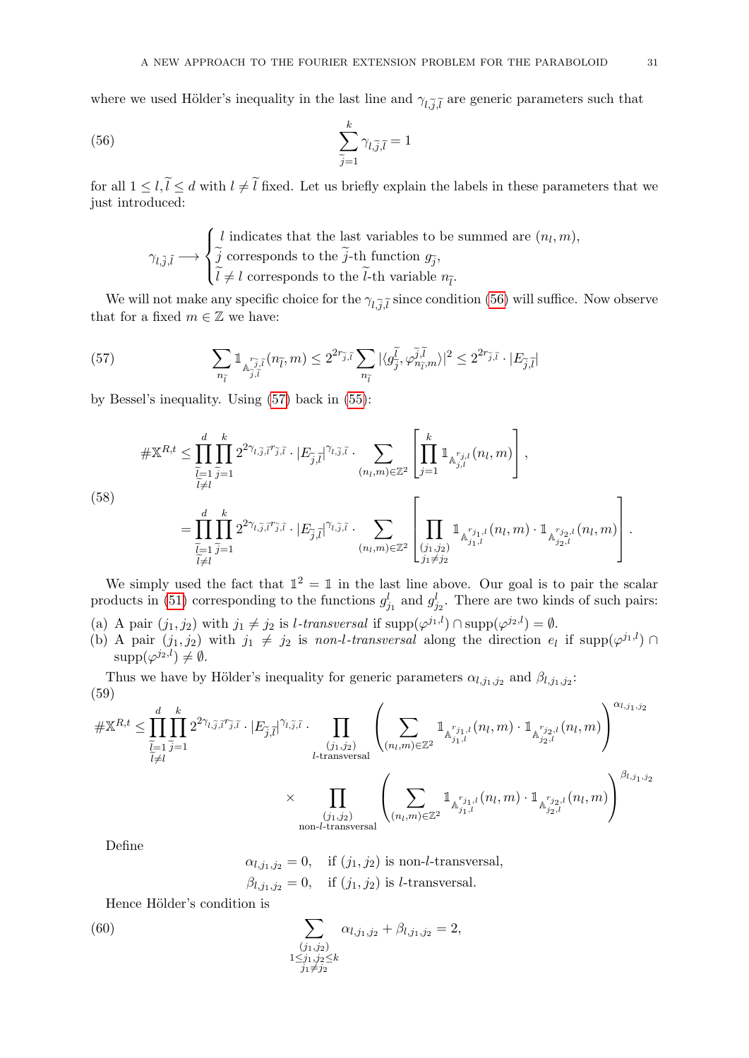where we used Hölder's inequality in the last line and  $\gamma_{l,\tilde{j},\tilde{l}}$  are generic parameters such that

(56) 
$$
\sum_{\widetilde{j}=1}^{k} \gamma_{l,\widetilde{j},\widetilde{l}} = 1
$$

for all  $1 \leq l,\tilde{l} \leq d$  with  $l \neq \tilde{l}$  fixed. Let us briefly explain the labels in these parameters that we just introduced:

<span id="page-30-0"></span>
$$
\gamma_{l,\tilde{j},\tilde{l}} \longrightarrow \begin{cases} l \text{ indicates that the last variables to be summed are } (n_l, m), \\ \tilde{j} \text{ corresponds to the } \tilde{j} \text{-th function } g_{\tilde{j}}, \\ \tilde{l} \neq l \text{ corresponds to the } \tilde{l} \text{-th variable } n_{\tilde{l}}. \end{cases}
$$

We will not make any specific choice for the  $\gamma_{l,\tilde{j},\tilde{l}}$  since condition [\(56\)](#page-30-0) will suffice. Now observe that for a fixed  $m\in\mathbb{Z}$  we have:

<span id="page-30-1"></span>(57) 
$$
\sum_{n_{\tilde{l}}}\mathbb{1}_{\mathbb{A}_{\tilde{j},\tilde{l}}^{\tilde{r}_{\tilde{j},\tilde{l}}}\left(n_{\tilde{l}},m\right)} \leq 2^{2r_{\tilde{j},\tilde{l}}} \sum_{n_{\tilde{l}}}\left|\langle g_{\tilde{j}}^{\tilde{l}},\varphi_{n_{\tilde{l}},m}^{\tilde{j},\tilde{l}}\rangle\right|^{2} \leq 2^{2r_{\tilde{j},\tilde{l}}}\cdot|E_{\tilde{j},\tilde{l}}|
$$

by Bessel's inequality. Using [\(57\)](#page-30-1) back in [\(55\)](#page-29-1):

$$
\# \mathbb{X}^{R,t} \leq \prod_{\substack{\widetilde{l}=1 \\ \widetilde{l} \neq l}}^{\widetilde{l}} \prod_{\widetilde{j}=1}^{k} 2^{2\gamma_{l,\widetilde{j},\widetilde{l}}\widetilde{r}_{\widetilde{j},\widetilde{l}} \cdot |E_{\widetilde{j},\widetilde{l}}|^{\gamma_{l,\widetilde{j},\widetilde{l}}} \cdot \sum_{(n_l,m)\in\mathbb{Z}^2} \left[ \prod_{j=1}^{k} \mathbbm{1}_{\mathbb{A}_{j,l}^{r_{j,l}}(n_l,m)} \right],
$$
\n(58)\n
$$
= \prod_{\substack{\widetilde{l}=1 \\ \widetilde{l}\neq l}}^{\widetilde{l}} \prod_{\widetilde{j}=1}^{k} 2^{2\gamma_{l,\widetilde{j},\widetilde{l}}\widetilde{r}_{\widetilde{j},\widetilde{l}}} \cdot |E_{\widetilde{j},\widetilde{l}}|^{\gamma_{l,\widetilde{j},\widetilde{l}}} \cdot \sum_{(n_l,m)\in\mathbb{Z}^2} \left[ \prod_{\substack{(j_1,j_2) \\ j_1 \neq j_2}}^{\widetilde{l}} \mathbbm{1}_{\mathbb{A}_{j_1,l}^{r_{j,1,l}}(n_l,m)} \cdot \mathbbm{1}_{\mathbb{A}_{j_2,l}^{r_{j_2,l}}(n_l,m)} \right].
$$

We simply used the fact that  $\mathbb{1}^2 = \mathbb{1}$  in the last line above. Our goal is to pair the scalar products in [\(51\)](#page-28-3) corresponding to the functions  $g_{j_1}^l$  and  $g_{j_2}^l$ . There are two kinds of such pairs:

- (a) A pair  $(j_1, j_2)$  with  $j_1 \neq j_2$  is *l*-transversal if supp $(\varphi^{j_1, l}) \cap \text{supp}(\varphi^{j_2, l}) = \emptyset$ .
- (b) A pair  $(j_1, j_2)$  with  $j_1 \neq j_2$  is non-l-transversal along the direction  $e_l$  if supp $(\varphi^{j_1, l}) \cap$  $supp(\varphi^{j_2,l}) \neq \emptyset.$

Thus we have by Hölder's inequality for generic parameters  $\alpha_{l,j_1,j_2}$  and  $\beta_{l,j_1,j_2}$ : (59)

$$
\#\mathbb{X}^{R,t} \leq \prod_{\substack{\widetilde{l}=1 \\ \widetilde{l}\neq l}}^d \prod_{j=1}^k 2^{2\gamma_{l,\widetilde{j},\widetilde{l}} r_{\widetilde{j},\widetilde{l}} } \cdot |E_{\widetilde{j},\widetilde{l}}|^{\gamma_{l,\widetilde{j},\widetilde{l}} } \cdot \prod_{\substack{(j_1,j_2) \\ l\text{-transversal} \\ \text{non-l-transversal}}} \left( \sum_{(n_l,m)\in\mathbb{Z}^2} \mathbbm{1}_{\substack{\mathbb{A}^{r_{j_1,l}}_{j_1,l}(n_l,m) \\ \vdots \\ \mathbb{A}^{r_{j_2,l}}_{j_2,l}(n_l,m)}} \mathbbm{1}_{\substack{\mathbb{A}^{r_{j_2,l}}_{j_2,l}(n_l,m) \\ \vdots \\ \mathbb{A}^{r_{j_2,l}}_{j_2,l}(n_l,m)}} \right)^{\alpha_{l,j_1,j_2}}
$$
\n
$$
\times \prod_{(j_1,j_2) \\ \text{non-l-transversal}} \left( \sum_{(n_l,m)\in\mathbb{Z}^2} \mathbbm{1}_{\substack{\mathbb{A}^{r_{j_1,l}}_{j_1,l}(n_l,m) \cdot \mathbbm{1}_{\substack{\mathbb{A}^{r_{j_2,l}}_{j_2,l}(n_l,m) \\ \vdots \\ \mathbb{A}^{r_{j_2,l}}_{j_2,l}(n_l,m)}}} \right)^{\beta_{l,j_1,j_2}}
$$

Define

<span id="page-30-2"></span>
$$
\alpha_{l,j_1,j_2} = 0
$$
, if  $(j_1, j_2)$  is non-l-transversal,  
 $\beta_{l,j_1,j_2} = 0$ , if  $(j_1, j_2)$  is l-transversal.

Hence Hölder's condition is

(60) 
$$
\sum_{\substack{(j_1,j_2)\\1\leq j_1,j_2\leq k}} \alpha_{l,j_1,j_2} + \beta_{l,j_1,j_2} = 2,
$$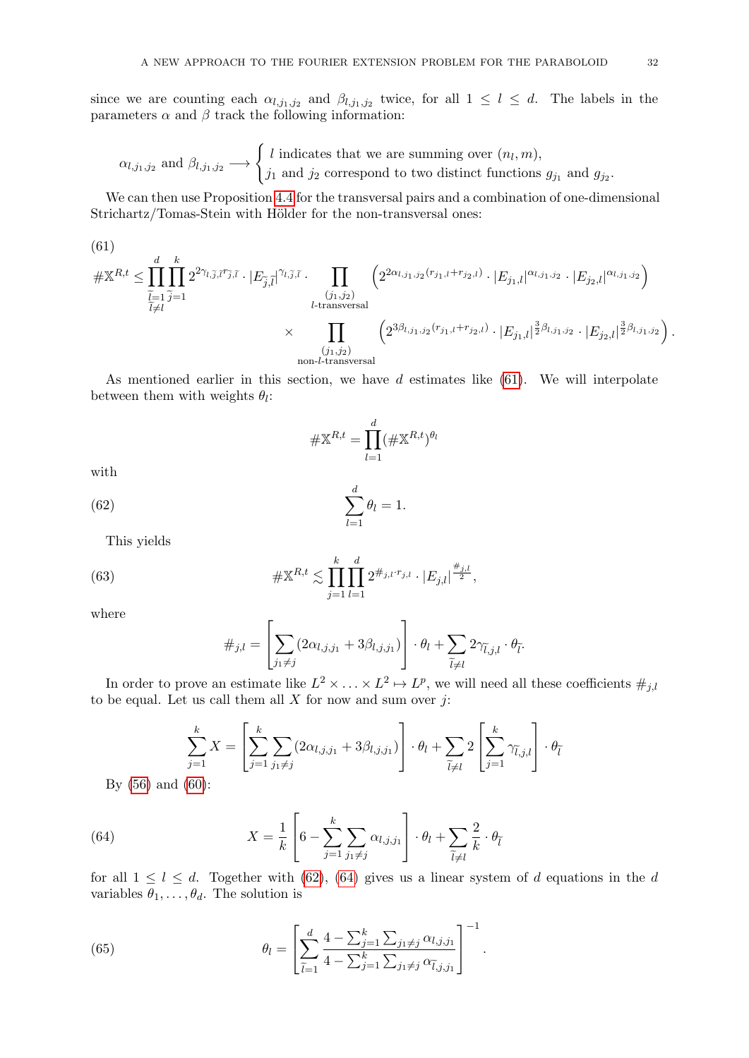since we are counting each  $\alpha_{l,j_1,j_2}$  and  $\beta_{l,j_1,j_2}$  twice, for all  $1 \leq l \leq d$ . The labels in the parameters  $\alpha$  and  $\beta$  track the following information:

$$
\alpha_{l,j_1,j_2} \text{ and } \beta_{l,j_1,j_2} \longrightarrow \begin{cases} l \text{ indicates that we are summing over } (n_l, m), \\ j_1 \text{ and } j_2 \text{ correspond to two distinct functions } g_{j_1} \text{ and } g_{j_2}. \end{cases}
$$

We can then use Proposition [4.4](#page-8-3) for the transversal pairs and a combination of one-dimensional Strichartz/Tomas-Stein with Hölder for the non-transversal ones:

<span id="page-31-0"></span>(61)  
\n
$$
\#\mathbb{X}^{R,t} \leq \prod_{\substack{\tilde{l}=1 \ \tilde{j}=1}}^d \prod_{\tilde{j}=1}^k 2^{2\gamma_{l,\tilde{j},\tilde{l}}\tilde{r}'\tilde{j},\tilde{l}} \cdot |E_{\tilde{j},\tilde{l}}|^{\gamma_{l,\tilde{j},\tilde{l}}} \cdot \prod_{\substack{(j_1,j_2) \\ l\text{-transversal} \\ (j_1,j_2)}} \left( 2^{2\alpha_{l,j_1,j_2}(r_{j_1,l}+r_{j_2,l})} \cdot |E_{j_1,l}|^{\alpha_{l,j_1,j_2}} \cdot |E_{j_2,l}|^{\alpha_{l,j_1,j_2}} \right)
$$
\n
$$
\times \prod_{\substack{(j_1,j_2) \\ (j_1,j_2)}} \left( 2^{3\beta_{l,j_1,j_2}(r_{j_1,l}+r_{j_2,l})} \cdot |E_{j_1,l}|^{\frac{3}{2}\beta_{l,j_1,j_2}} \cdot |E_{j_2,l}|^{\frac{3}{2}\beta_{l,j_1,j_2}} \right).
$$

As mentioned earlier in this section, we have  $d$  estimates like  $(61)$ . We will interpolate between them with weights  $\theta_l$ :

<span id="page-31-1"></span>
$$
\#\mathbb{X}^{R,t} = \prod_{l=1}^d (\#\mathbb{X}^{R,t})^{\theta_l}
$$

with

(62) 
$$
\sum_{l=1}^d \theta_l = 1.
$$

This yields

(63) 
$$
\#\mathbb{X}^{R,t} \lesssim \prod_{j=1}^k \prod_{l=1}^d 2^{\#_{j,l} \cdot r_{j,l}} \cdot |E_{j,l}|^{\frac{\#_{j,l}}{2}},
$$

where

$$
\#_{j,l} = \left[ \sum_{j_1 \neq j} (2\alpha_{l,j,j_1} + 3\beta_{l,j,j_1}) \right] \cdot \theta_l + \sum_{\widetilde{l} \neq l} 2\gamma_{\widetilde{l},j,l} \cdot \theta_{\widetilde{l}}.
$$

In order to prove an estimate like  $L^2 \times \ldots \times L^2 \mapsto L^p$ , we will need all these coefficients  $\#_{j,l}$ to be equal. Let us call them all  $X$  for now and sum over  $j$ :

<span id="page-31-2"></span>
$$
\sum_{j=1}^{k} X = \left[ \sum_{j=1}^{k} \sum_{j_1 \neq j} (2\alpha_{l,j,j_1} + 3\beta_{l,j,j_1}) \right] \cdot \theta_l + \sum_{\tilde{l} \neq l} 2 \left[ \sum_{j=1}^{k} \gamma_{\tilde{l},j,l} \right] \cdot \theta_{\tilde{l}}
$$

By [\(56\)](#page-30-0) and [\(60\)](#page-30-2):

(64) 
$$
X = \frac{1}{k} \left[ 6 - \sum_{j=1}^{k} \sum_{j_1 \neq j} \alpha_{l,j,j_1} \right] \cdot \theta_l + \sum_{\tilde{l} \neq l} \frac{2}{k} \cdot \theta_{\tilde{l}}
$$

for all  $1 \leq l \leq d$ . Together with [\(62\)](#page-31-1), [\(64\)](#page-31-2) gives us a linear system of d equations in the d variables  $\theta_1, \ldots, \theta_d$ . The solution is

<span id="page-31-3"></span>(65) 
$$
\theta_l = \left[ \sum_{\tilde{l}=1}^d \frac{4 - \sum_{j=1}^k \sum_{j_1 \neq j} \alpha_{l,j,j_1}}{4 - \sum_{j=1}^k \sum_{j_1 \neq j} \alpha_{\tilde{l},j,j_1}} \right]^{-1}.
$$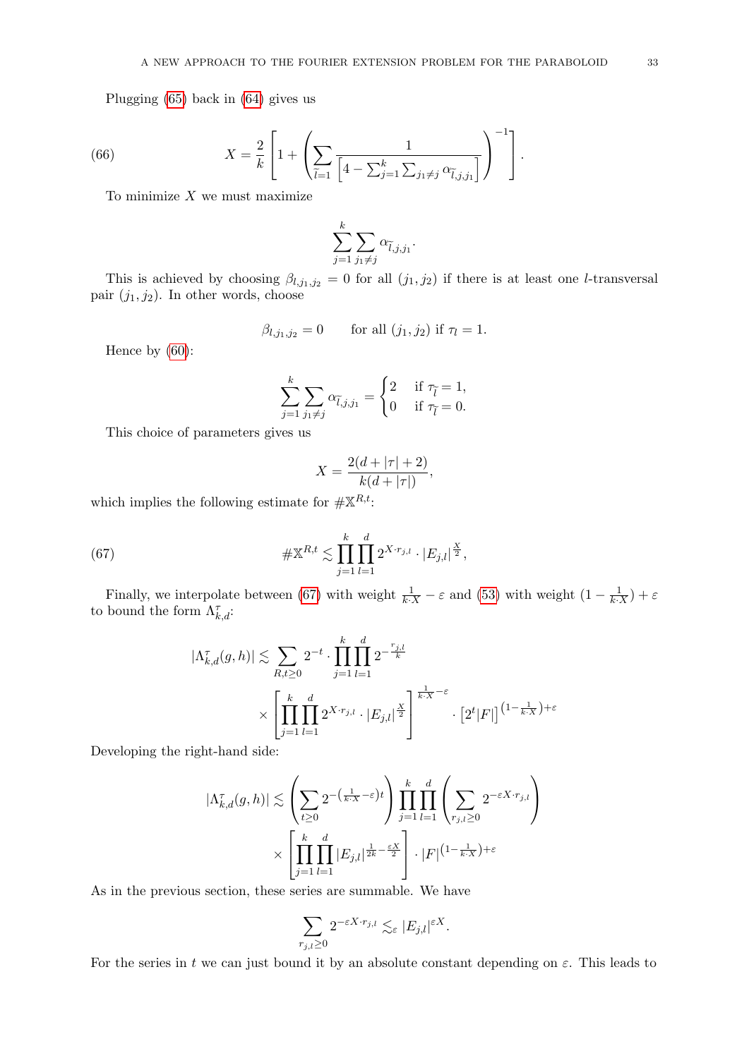Plugging [\(65\)](#page-31-3) back in [\(64\)](#page-31-2) gives us

(66) 
$$
X = \frac{2}{k} \left[ 1 + \left( \sum_{\tilde{l}=1} \frac{1}{\left[ 4 - \sum_{j=1}^k \sum_{j_1 \neq j} \alpha_{\tilde{l},j,j_1} \right]} \right)^{-1} \right].
$$

To minimize  $X$  we must maximize

$$
\sum_{j=1}^k \sum_{j_1 \neq j} \alpha_{\widetilde{l},j,j_1}.
$$

This is achieved by choosing  $\beta_{l,j_1,j_2} = 0$  for all  $(j_1, j_2)$  if there is at least one *l*-transversal pair  $(j_1, j_2)$ . In other words, choose

$$
\beta_{l,j_1,j_2} = 0
$$
 for all  $(j_1, j_2)$  if  $\tau_l = 1$ .

Hence by [\(60\)](#page-30-2):

$$
\sum_{j=1}^{k} \sum_{j_1 \neq j} \alpha_{\tilde{l},j,j_1} = \begin{cases} 2 & \text{if } \tau_{\tilde{l}} = 1, \\ 0 & \text{if } \tau_{\tilde{l}} = 0. \end{cases}
$$

This choice of parameters gives us

<span id="page-32-0"></span>
$$
X = \frac{2(d + |\tau| + 2)}{k(d + |\tau|)},
$$

which implies the following estimate for  $\#\mathbb{X}^{R,t}$ :

(67) 
$$
\# \mathbb{X}^{R,t} \lesssim \prod_{j=1}^k \prod_{l=1}^d 2^{X \cdot r_{j,l}} \cdot |E_{j,l}|^{\frac{X}{2}},
$$

Finally, we interpolate between [\(67\)](#page-32-0) with weight  $\frac{1}{k \cdot X} - \varepsilon$  and [\(53\)](#page-29-2) with weight  $(1 - \frac{1}{k \cdot X}) + \varepsilon$ to bound the form  $\Lambda_{k,d}^{\tau}$ :

$$
|\Lambda_{k,d}^{\tau}(g,h)| \lesssim \sum_{R,t\geq 0} 2^{-t} \cdot \prod_{j=1}^{k} \prod_{l=1}^{d} 2^{-\frac{r_{j,l}}{k}}
$$
  
 
$$
\times \left[ \prod_{j=1}^{k} \prod_{l=1}^{d} 2^{X \cdot r_{j,l}} \cdot |E_{j,l}|^{\frac{X}{2}} \right]^{\frac{1}{k \cdot X} - \varepsilon} \cdot [2^{t} |F|]^{(1-\frac{1}{k \cdot X}) + \varepsilon}
$$

Developing the right-hand side:

$$
|\Lambda_{k,d}^{\tau}(g,h)| \lesssim \left(\sum_{t\geq 0} 2^{-\left(\frac{1}{k\cdot X}-\varepsilon\right)t}\right) \prod_{j=1}^k \prod_{l=1}^d \left(\sum_{r_{j,l}\geq 0} 2^{-\varepsilon X\cdot r_{j,l}}\right) \times \left[\prod_{j=1}^k \prod_{l=1}^d |E_{j,l}|^{\frac{1}{2k}-\frac{\varepsilon X}{2}}\right] \cdot |F|^{(1-\frac{1}{k\cdot X})+\varepsilon}
$$

As in the previous section, these series are summable. We have

$$
\sum_{r_{j,l}\geq 0}2^{-\varepsilon X\cdot r_{j,l}}\lesssim_\varepsilon |E_{j,l}|^{\varepsilon X}.
$$

For the series in t we can just bound it by an absolute constant depending on  $\varepsilon$ . This leads to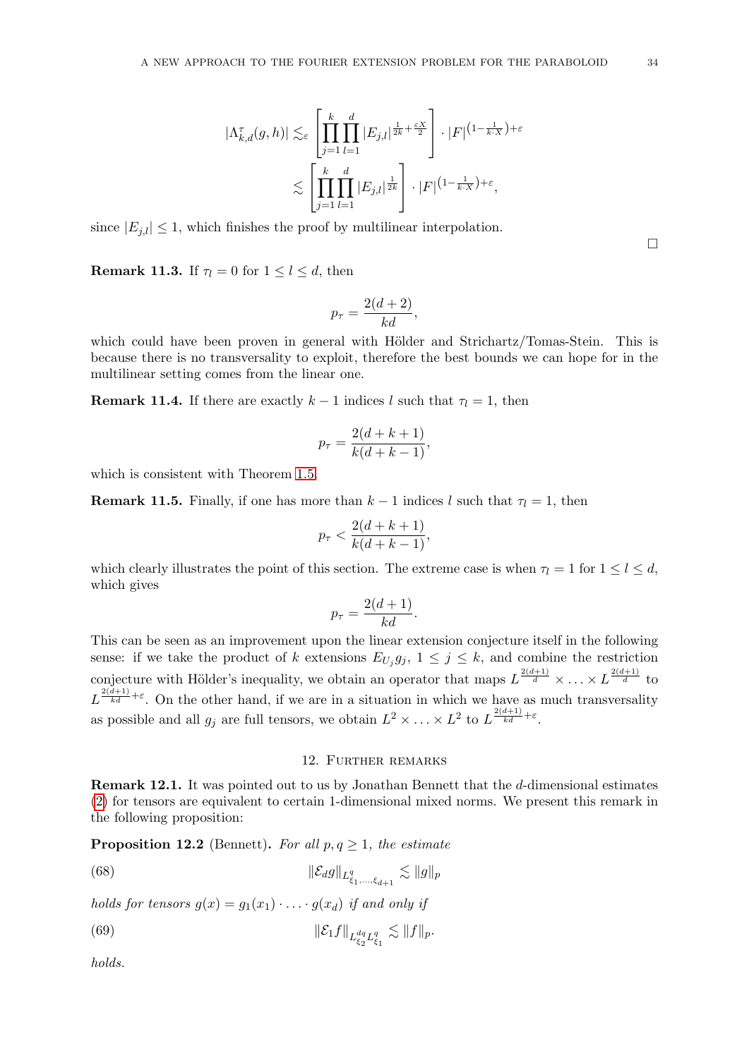$$
|\Lambda_{k,d}^{\tau}(g,h)| \lesssim_{\varepsilon} \left[ \prod_{j=1}^k \prod_{l=1}^d |E_{j,l}|^{\frac{1}{2k} + \frac{\varepsilon X}{2}} \right] \cdot |F|^{(1-\frac{1}{k \cdot X}) + \varepsilon}
$$
  

$$
\lesssim \left[ \prod_{j=1}^k \prod_{l=1}^d |E_{j,l}|^{\frac{1}{2k}} \right] \cdot |F|^{(1-\frac{1}{k \cdot X}) + \varepsilon},
$$

since  $|E_{i,l}| \leq 1$ , which finishes the proof by multilinear interpolation.

 $\Box$ 

**Remark 11.3.** If  $\tau_l = 0$  for  $1 \leq l \leq d$ , then

$$
p_{\tau} = \frac{2(d+2)}{kd},
$$

which could have been proven in general with Hölder and Strichartz/Tomas-Stein. This is because there is no transversality to exploit, therefore the best bounds we can hope for in the multilinear setting comes from the linear one.

**Remark 11.4.** If there are exactly  $k - 1$  indices l such that  $\tau_l = 1$ , then

$$
p_{\tau} = \frac{2(d+k+1)}{k(d+k-1)},
$$

which is consistent with Theorem [1.5.](#page-2-0)

**Remark 11.5.** Finally, if one has more than  $k-1$  indices l such that  $\tau_l = 1$ , then

$$
p_{\tau} < \frac{2(d+k+1)}{k(d+k-1)},
$$

which clearly illustrates the point of this section. The extreme case is when  $\tau_l = 1$  for  $1 \leq l \leq d$ , which gives

$$
p_{\tau} = \frac{2(d+1)}{kd}.
$$

This can be seen as an improvement upon the linear extension conjecture itself in the following sense: if we take the product of k extensions  $E_{U_j}g_j$ ,  $1 \leq j \leq k$ , and combine the restriction conjecture with Hölder's inequality, we obtain an operator that maps  $L^{\frac{2(d+1)}{d}} \times \ldots \times L^{\frac{2(d+1)}{d}}$  to  $L^{\frac{2(d+1)}{kd}+\varepsilon}$ . On the other hand, if we are in a situation in which we have as much transversality as possible and all  $g_j$  are full tensors, we obtain  $L^2 \times \ldots \times L^2$  to  $L^{\frac{2(d+1)}{kd} + \varepsilon}$ .

#### <span id="page-33-2"></span><span id="page-33-1"></span>12. Further remarks

<span id="page-33-0"></span>Remark 12.1. It was pointed out to us by Jonathan Bennett that the d-dimensional estimates [\(2\)](#page-1-3) for tensors are equivalent to certain 1-dimensional mixed norms. We present this remark in the following proposition:

**Proposition 12.2** (Bennett). For all  $p, q \geq 1$ , the estimate

(68) 
$$
\|\mathcal{E}_d g\|_{L^q_{\xi_1,\ldots,\xi_{d+1}}} \lesssim \|g\|_p
$$

holds for tensors  $q(x) = q_1(x_1) \cdot \ldots \cdot q(x_d)$  if and only if

(69) 
$$
\|\mathcal{E}_1 f\|_{L_{\xi_2}^{dq} L_{\xi_1}^q} \lesssim \|f\|_p.
$$

holds.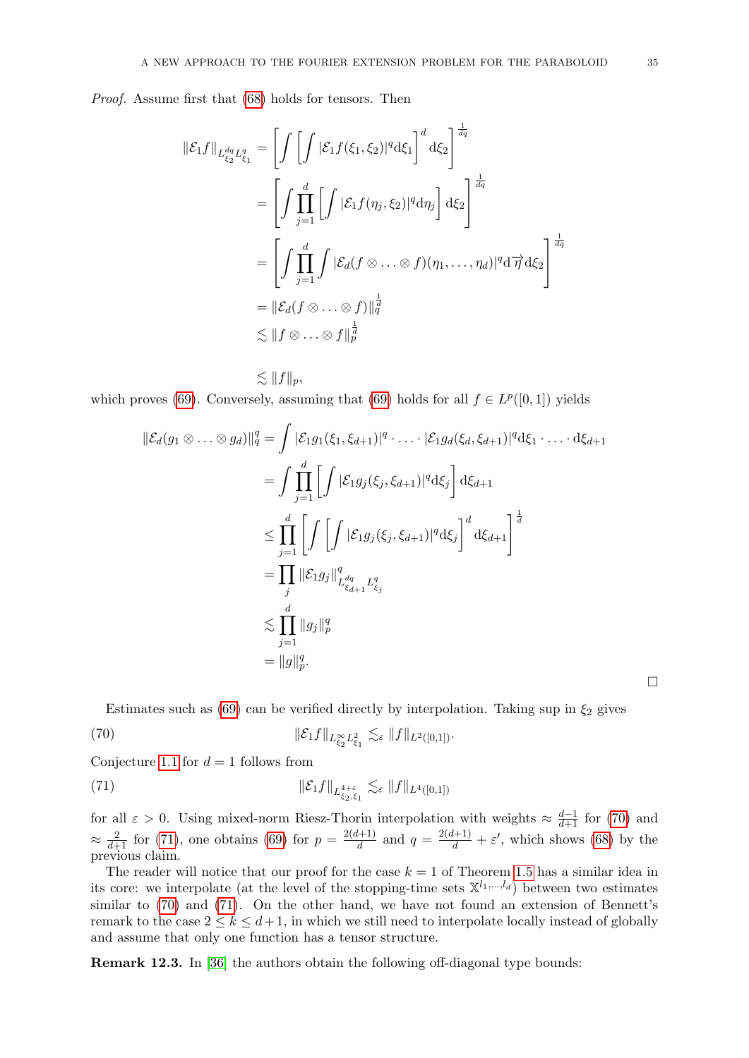Proof. Assume first that [\(68\)](#page-33-1) holds for tensors. Then

$$
\|\mathcal{E}_1 f\|_{L_{\xi_2}^{dq} L_{\xi_1}^q} = \left[ \int \left[ \int |\mathcal{E}_1 f(\xi_1, \xi_2)|^q \mathrm{d}\xi_1 \right]^d \mathrm{d}\xi_2 \right]^{\frac{1}{dq}}
$$
  
\n
$$
= \left[ \int \prod_{j=1}^d \left[ \int |\mathcal{E}_1 f(\eta_j, \xi_2)|^q \mathrm{d}\eta_j \right] \mathrm{d}\xi_2 \right]^{\frac{1}{dq}}
$$
  
\n
$$
= \left[ \int \prod_{j=1}^d \int |\mathcal{E}_d (f \otimes \ldots \otimes f)(\eta_1, \ldots, \eta_d)|^q \mathrm{d}\vec{\eta} \, \mathrm{d}\xi_2 \right]^{\frac{1}{dq}}
$$
  
\n
$$
\lesssim \|f \otimes \ldots \otimes f\|_p^{\frac{1}{d}}
$$

 $\lesssim ||f||_p,$ which proves [\(69\)](#page-33-2). Conversely, assuming that (69) holds for all  $f \in L^p([0,1])$  yields

$$
\begin{split} \|\mathcal{E}_{d}(g_{1} \otimes \ldots \otimes g_{d})\|_{q}^{q} &= \int |\mathcal{E}_{1}g_{1}(\xi_{1}, \xi_{d+1})|^{q} \cdot \ldots \cdot |\mathcal{E}_{1}g_{d}(\xi_{d}, \xi_{d+1})|^{q} d\xi_{1} \cdot \ldots \cdot d\xi_{d+1} \\ &= \int \prod_{j=1}^{d} \left[ \int |\mathcal{E}_{1}g_{j}(\xi_{j}, \xi_{d+1})|^{q} d\xi_{j} \right] d\xi_{d+1} \\ &\leq \prod_{j=1}^{d} \left[ \int \left[ \int |\mathcal{E}_{1}g_{j}(\xi_{j}, \xi_{d+1})|^{q} d\xi_{j} \right]^{d} d\xi_{d+1} \right]^{\frac{1}{d}} \\ &= \prod_{j} \|\mathcal{E}_{1}g_{j}\|_{L_{\xi_{d+1}}^{dq} L_{\xi_{j}}^{q}}^{q} \\ &\lesssim \prod_{j=1}^{d} \|g_{j}\|_{p}^{q} \\ &= \|g\|_{p}^{q} .\end{split}
$$

<span id="page-34-1"></span><span id="page-34-0"></span>Estimates such as [\(69\)](#page-33-2) can be verified directly by interpolation. Taking sup in  $\xi_2$  gives

(70) 
$$
\|\mathcal{E}_1 f\|_{L_{\xi_2}^{\infty} L_{\xi_1}^2} \lesssim_{\varepsilon} \|f\|_{L^2([0,1])}.
$$

Conjecture [1.1](#page-1-0) for  $d = 1$  follows from

(71) 
$$
\|\mathcal{E}_1 f\|_{L_{\xi_2,\xi_1}^{4+\varepsilon}} \lesssim_{\varepsilon} \|f\|_{L^4([0,1])}
$$

for all  $\varepsilon > 0$ . Using mixed-norm Riesz-Thorin interpolation with weights  $\approx \frac{d-1}{d+1}$  for [\(70\)](#page-34-0) and  $\approx \frac{2}{d+1}$  for [\(71\)](#page-34-1), one obtains [\(69\)](#page-33-2) for  $p = \frac{2(d+1)}{d}$  $\frac{d^{(l+1)}}{d}$  and  $q = \frac{2(d+1)}{d} + \varepsilon'$ , which shows [\(68\)](#page-33-1) by the previous claim.

The reader will notice that our proof for the case  $k = 1$  of Theorem [1.5](#page-2-0) has a similar idea in its core: we interpolate (at the level of the stopping-time sets  $\mathbb{X}^{l_1,\dots,l_d}$ ) between two estimates similar to [\(70\)](#page-34-0) and [\(71\)](#page-34-1). On the other hand, we have not found an extension of Bennett's remark to the case  $2 \leq k \leq d+1$ , in which we still need to interpolate locally instead of globally and assume that only one function has a tensor structure.

Remark 12.3. In [\[36\]](#page-47-18) the authors obtain the following off-diagonal type bounds:

 $\Box$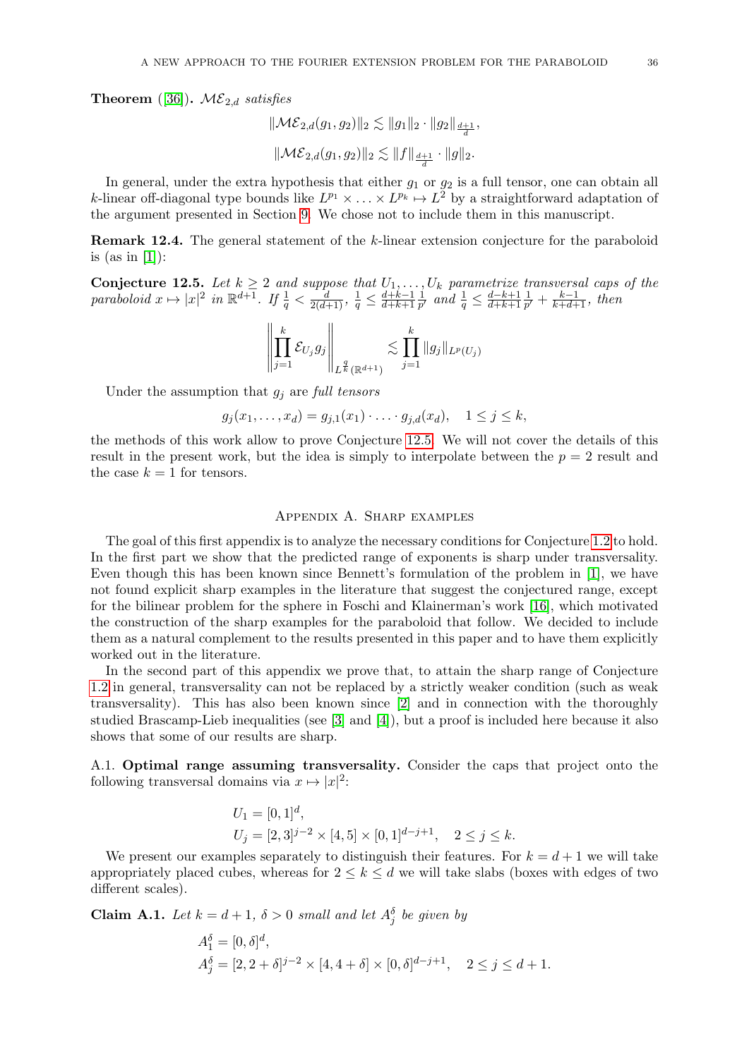**Theorem** ([\[36\]](#page-47-18)).  $\mathcal{ME}_{2,d}$  satisfies

$$
\begin{aligned} & \| \mathcal{ME}_{2,d}(g_1,g_2) \|_2 \lesssim \|g_1\|_2 \cdot \|g_2\|_{\frac{d+1}{d}}, \\ & \| \mathcal{ME}_{2,d}(g_1,g_2) \|_2 \lesssim \|f\|_{\frac{d+1}{d}} \cdot \|g\|_2. \end{aligned}
$$

In general, under the extra hypothesis that either  $g_1$  or  $g_2$  is a full tensor, one can obtain all k-linear off-diagonal type bounds like  $L^{p_1} \times \ldots \times L^{p_k} \mapsto L^2$  by a straightforward adaptation of the argument presented in Section [9.](#page-16-0) We chose not to include them in this manuscript.

Remark 12.4. The general statement of the k-linear extension conjecture for the paraboloid is (as in  $[1]$ ):

<span id="page-35-0"></span>**Conjecture 12.5.** Let  $k \geq 2$  and suppose that  $U_1, \ldots, U_k$  parametrize transversal caps of the paraboloid  $x \mapsto |x|^2$  in  $\mathbb{R}^{d+1}$ . If  $\frac{1}{q} < \frac{d}{2(d+1)}$ ,  $\frac{1}{q} \leq \frac{d+k-1}{d+k+1}$  $\overline{d+k+1}$ 1  $\frac{1}{p'}$  and  $\frac{1}{q} \leq \frac{d-k+1}{d+k+1}$  $\overline{d+k+1}$ 1  $\frac{1}{p'} + \frac{k-1}{k+d+1}$ , then

$$
\left\| \prod_{j=1}^k \mathcal{E}_{U_j} g_j \right\|_{L^{\frac{q}{k}}(\mathbb{R}^{d+1})} \lesssim \prod_{j=1}^k \|g_j\|_{L^p(U_j)}
$$

Under the assumption that  $g_i$  are full tensors

$$
g_j(x_1,...,x_d) = g_{j,1}(x_1) \cdot ... \cdot g_{j,d}(x_d), \quad 1 \leq j \leq k,
$$

the methods of this work allow to prove Conjecture [12.5.](#page-35-0) We will not cover the details of this result in the present work, but the idea is simply to interpolate between the  $p = 2$  result and the case  $k = 1$  for tensors.

## Appendix A. Sharp examples

<span id="page-35-1"></span>The goal of this first appendix is to analyze the necessary conditions for Conjecture [1.2](#page-1-1) to hold. In the first part we show that the predicted range of exponents is sharp under transversality. Even though this has been known since Bennett's formulation of the problem in [\[1\]](#page-46-1), we have not found explicit sharp examples in the literature that suggest the conjectured range, except for the bilinear problem for the sphere in Foschi and Klainerman's work [\[16\]](#page-47-19), which motivated the construction of the sharp examples for the paraboloid that follow. We decided to include them as a natural complement to the results presented in this paper and to have them explicitly worked out in the literature.

In the second part of this appendix we prove that, to attain the sharp range of Conjecture [1.2](#page-1-1) in general, transversality can not be replaced by a strictly weaker condition (such as weak transversality). This has also been known since [\[2\]](#page-46-3) and in connection with the thoroughly studied Brascamp-Lieb inequalities (see [\[3\]](#page-46-5) and [\[4\]](#page-46-6)), but a proof is included here because it also shows that some of our results are sharp.

<span id="page-35-2"></span>A.1. Optimal range assuming transversality. Consider the caps that project onto the following transversal domains via  $x \mapsto |x|^2$ :

$$
\begin{aligned} U_1 &= [0,1]^d, \\ U_j &= [2,3]^{j-2} \times [4,5] \times [0,1]^{d-j+1}, \quad 2 \le j \le k. \end{aligned}
$$

We present our examples separately to distinguish their features. For  $k = d + 1$  we will take appropriately placed cubes, whereas for  $2 \leq k \leq d$  we will take slabs (boxes with edges of two different scales).

<span id="page-35-3"></span>**Claim A.1.** Let  $k = d + 1$ ,  $\delta > 0$  small and let  $A_j^{\delta}$  be given by

$$
A_1^{\delta} = [0, \delta]^d,
$$
  
\n
$$
A_j^{\delta} = [2, 2 + \delta]^{j-2} \times [4, 4 + \delta] \times [0, \delta]^{d-j+1}, \quad 2 \le j \le d+1.
$$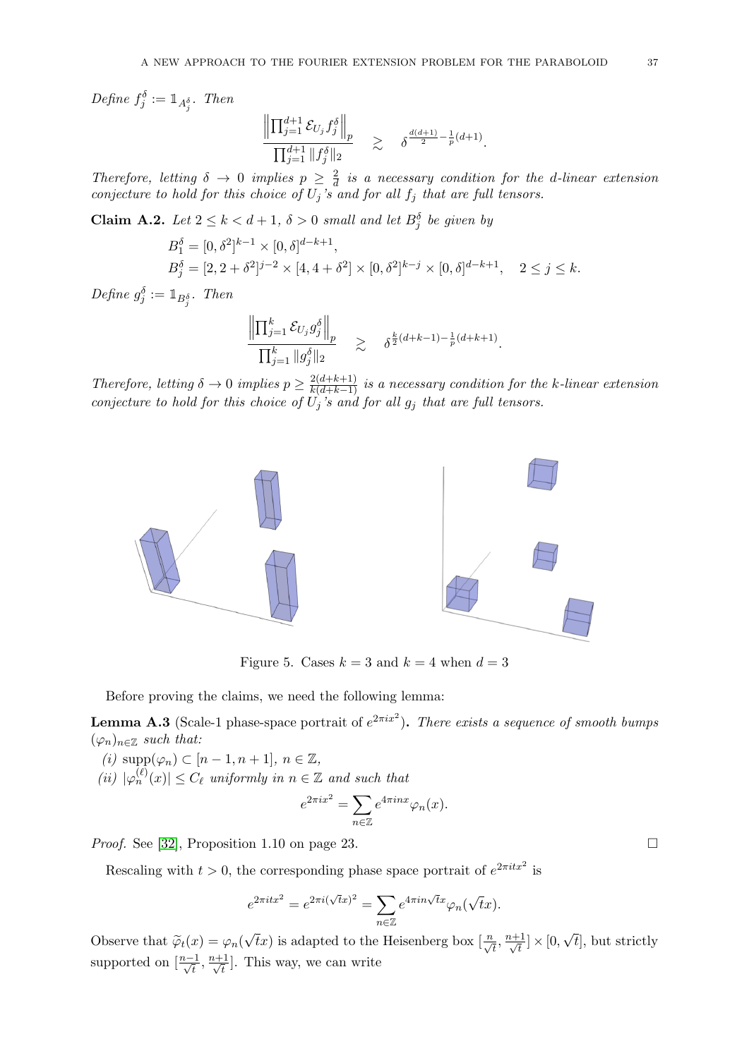Define  $f_j^{\delta} := \mathbb{1}_{A_j^{\delta}}$ . Then

$$
\frac{\left\|\prod_{j=1}^{d+1} \mathcal{E}_{U_j} f_j^{\delta}\right\|_p}{\prod_{j=1}^{d+1} \|f_j^{\delta}\|_2} \geq \delta^{\frac{d(d+1)}{2} - \frac{1}{p}(d+1)}.
$$

Therefore, letting  $\delta \rightarrow 0$  implies  $p \geq \frac{2}{d}$  $\frac{2}{d}$  is a necessary condition for the d-linear extension conjecture to hold for this choice of  $U_j$ 's and for all  $f_j$  that are full tensors.

<span id="page-36-0"></span>**Claim A.2.** Let  $2 \leq k < d+1$ ,  $\delta > 0$  small and let  $B_j^{\delta}$  be given by

$$
B_1^{\delta} = [0, \delta^2]^{k-1} \times [0, \delta]^{d-k+1},
$$
  
\n
$$
B_j^{\delta} = [2, 2 + \delta^2]^{j-2} \times [4, 4 + \delta^2] \times [0, \delta^2]^{k-j} \times [0, \delta]^{d-k+1}, \quad 2 \le j \le k.
$$

Define  $g_j^{\delta} := \mathbb{1}_{B_j^{\delta}}$ . Then

$$
\frac{\left\|\prod_{j=1}^k \mathcal{E}_{U_j} g_j^{\delta}\right\|_p}{\prod_{j=1}^k \|g_j^{\delta}\|_2} \geq \delta^{\frac{k}{2}(d+k-1) - \frac{1}{p}(d+k+1)}.
$$

Therefore, letting  $\delta \to 0$  implies  $p \geq \frac{2(d+k+1)}{k(d+k-1)}$  is a necessary condition for the k-linear extension conjecture to hold for this choice of  $U_j$ 's and for all  $g_j$  that are full tensors.



Figure 5. Cases  $k = 3$  and  $k = 4$  when  $d = 3$ 

Before proving the claims, we need the following lemma:

**Lemma A.3** (Scale-1 phase-space portrait of  $e^{2\pi ix^2}$ ). There exists a sequence of smooth bumps  $(\varphi_n)_{n\in\mathbb{Z}}$  such that:

(i)  $\text{supp}(\varphi_n) \subset [n-1, n+1], n \in \mathbb{Z},$ 

(ii)  $|\varphi_n^{(\ell)}(x)| \leq C_{\ell}$  uniformly in  $n \in \mathbb{Z}$  and such that

$$
e^{2\pi ix^2} = \sum_{n \in \mathbb{Z}} e^{4\pi inx} \varphi_n(x).
$$

*Proof.* See [\[32\]](#page-47-14), Proposition 1.10 on page 23.

Rescaling with  $t > 0$ , the corresponding phase space portrait of  $e^{2\pi i t x^2}$  is

$$
e^{2\pi itx^2} = e^{2\pi i(\sqrt{t}x)^2} = \sum_{n \in \mathbb{Z}} e^{4\pi i n \sqrt{t}x} \varphi_n(\sqrt{t}x).
$$

Observe that  $\widetilde{\varphi}_t(x) = \varphi_n(x)$  $\sqrt{t}x$ ) is adapted to the Heisenberg box  $\left[\frac{n}{\sqrt{t}}, \frac{n+1}{\sqrt{t}}\right]$  $\frac{1}{\overline{t}}]\times [0,$ √ t], but strictly supported on  $\left[\frac{n-1}{\sqrt{t}}, \frac{n+1}{\sqrt{t}}\right]$  $\frac{1}{\overline{t}}$ . This way, we can write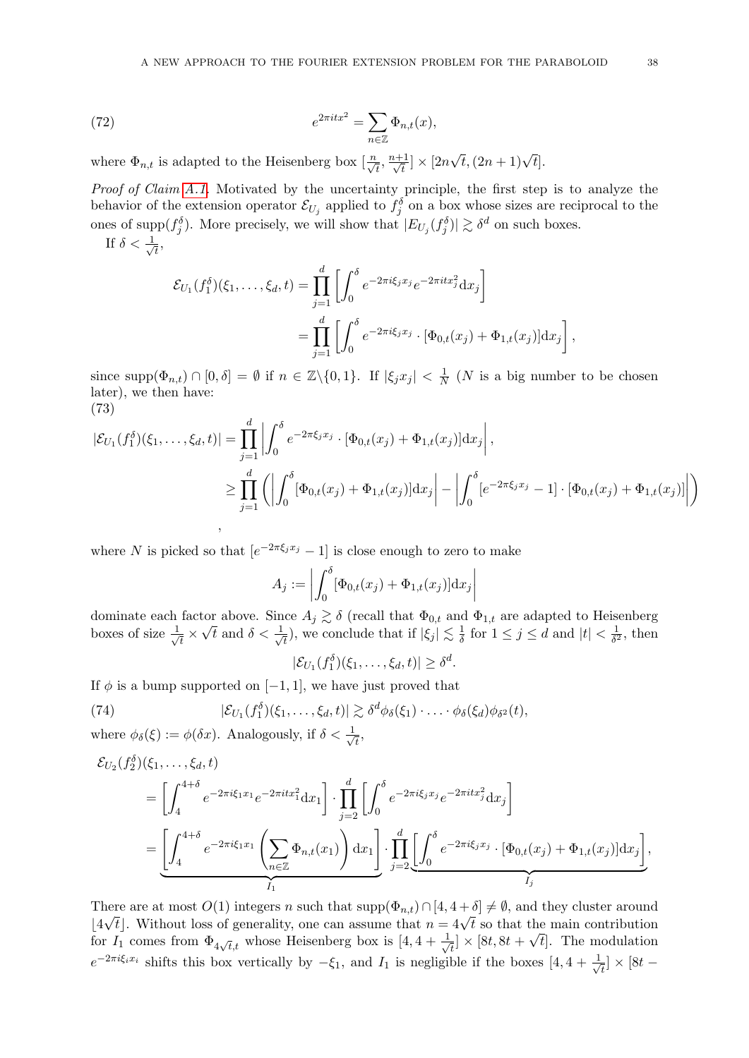(72) 
$$
e^{2\pi itx^2} = \sum_{n\in\mathbb{Z}} \Phi_{n,t}(x),
$$

where  $\Phi_{n,t}$  is adapted to the Heisenberg box  $\left[\frac{n}{\sqrt{t}}, \frac{n+1}{\sqrt{t}}\right]$  $\frac{1}{\overline{t}}] \times [2n]$  $\sqrt{t}$ ,  $(2n+1)\sqrt{t}$ .

Proof of Claim [A.1.](#page-35-3) Motivated by the uncertainty principle, the first step is to analyze the behavior of the extension operator  $\mathcal{E}_{U_j}$  applied to  $f_j^{\delta}$  on a box whose sizes are reciprocal to the ones of supp $(f_j^{\delta})$ . More precisely, we will show that  $|E_{U_j}(f_j^{\delta})| \gtrsim \delta^d$  on such boxes. If  $\delta < \frac{1}{\sqrt{2}}$ 

 $\overline{t}$ ,

$$
\mathcal{E}_{U_1}(f_1^{\delta})(\xi_1,\ldots,\xi_d,t) = \prod_{j=1}^d \left[ \int_0^{\delta} e^{-2\pi i \xi_j x_j} e^{-2\pi i t x_j^2} dx_j \right]
$$
  
= 
$$
\prod_{j=1}^d \left[ \int_0^{\delta} e^{-2\pi i \xi_j x_j} \cdot [\Phi_{0,t}(x_j) + \Phi_{1,t}(x_j)] dx_j \right],
$$

since  $\text{supp}(\Phi_{n,t}) \cap [0,\delta] = \emptyset$  if  $n \in \mathbb{Z} \setminus \{0,1\}$ . If  $|\xi_j x_j| < \frac{1}{\Lambda}$  $\frac{1}{N}$  (N is a big number to be chosen later), we then have: (73)

<span id="page-37-1"></span>
$$
|\mathcal{E}_{U_1}(f_1^{\delta})(\xi_1,\ldots,\xi_d,t)| = \prod_{j=1}^d \left| \int_0^{\delta} e^{-2\pi\xi_j x_j} \cdot [\Phi_{0,t}(x_j) + \Phi_{1,t}(x_j)] dx_j \right|,
$$
  

$$
\geq \prod_{j=1}^d \left( \left| \int_0^{\delta} [\Phi_{0,t}(x_j) + \Phi_{1,t}(x_j)] dx_j \right| - \left| \int_0^{\delta} [e^{-2\pi\xi_j x_j} - 1] \cdot [\Phi_{0,t}(x_j) + \Phi_{1,t}(x_j)] \right| \right),
$$

where N is picked so that  $[e^{-2\pi \xi_j x_j} - 1]$  is close enough to zero to make

$$
A_j := \left| \int_0^\delta [\Phi_{0,t}(x_j) + \Phi_{1,t}(x_j)] dx_j \right|
$$

dominate each factor above. Since  $A_j \gtrsim \delta$  (recall that  $\Phi_{0,t}$  and  $\Phi_{1,t}$  are adapted to Heisenberg boxes of size  $\frac{1}{4}$  $\frac{1}{\overline{t}} \times \sqrt{t}$  and  $\delta < \frac{1}{\sqrt{t}}$  $\frac{1}{\overline{t}}$ , we conclude that if  $|\xi_j| \lesssim \frac{1}{\delta}$  $\frac{1}{\delta}$  for  $1 \leq j \leq d$  and  $|t| < \frac{1}{\delta^2}$  $\frac{1}{\delta^2}$ , then

<span id="page-37-0"></span>
$$
|\mathcal{E}_{U_1}(f_1^{\delta})(\xi_1,\ldots,\xi_d,t)| \geq \delta^d.
$$

If  $\phi$  is a bump supported on [−1, 1], we have just proved that

(74) 
$$
|\mathcal{E}_{U_1}(f_1^{\delta})(\xi_1,\ldots,\xi_d,t)| \gtrsim \delta^d \phi_{\delta}(\xi_1) \cdot \ldots \cdot \phi_{\delta}(\xi_d) \phi_{\delta^2}(t),
$$

where  $\phi_{\delta}(\xi) := \phi(\delta x)$ . Analogously, if  $\delta < \frac{1}{\sqrt{\delta}}$  $\bar{t}$ ,

$$
\mathcal{E}_{U_2}(f_2^{\delta})(\xi_1, \dots, \xi_d, t) = \left[ \int_4^{4+\delta} e^{-2\pi i \xi_1 x_1} e^{-2\pi i t x_1^2} dx_1 \right] \cdot \prod_{j=2}^d \left[ \int_0^{\delta} e^{-2\pi i \xi_j x_j} e^{-2\pi i t x_j^2} dx_j \right]
$$
  
= 
$$
\underbrace{\left[ \int_4^{4+\delta} e^{-2\pi i \xi_1 x_1} \left( \sum_{n \in \mathbb{Z}} \Phi_{n,t}(x_1) \right) dx_1 \right] \cdot \prod_{j=2}^d \underbrace{\left[ \int_0^{\delta} e^{-2\pi i \xi_j x_j} \cdot [\Phi_{0,t}(x_j) + \Phi_{1,t}(x_j)] dx_j \right]}_{I_j},
$$

There are at most  $O(1)$  integers n such that  $\text{supp}(\Phi_{n,t}) \cap [4, 4 + \delta] \neq \emptyset$ , and they cluster around There are at most  $O(1)$  integers *n* such that supp $(\Psi_{n,t}) \cap [4, 4+0] \neq \emptyset$ , and they cluster around  $[4\sqrt{t}]$ . Without loss of generality, one can assume that  $n = 4\sqrt{t}$  so that the main contribution for  $I_1$  comes from  $\Phi_{4\sqrt{t},t}$  whose Heisenberg box is  $[4, 4 + \frac{1}{\sqrt{t}}]$  $\overline{t}_{\overline{t}} \times [8t, 8t + \sqrt{t}]$ . The modulation  $e^{-2\pi i \xi_i x_i}$  shifts this box vertically by  $-\xi_1$ , and  $I_1$  is negligible if the boxes  $[4, 4 + \frac{1}{\sqrt{2}}]$  $_{\overline{\overline{t}}}$ ] × [8t –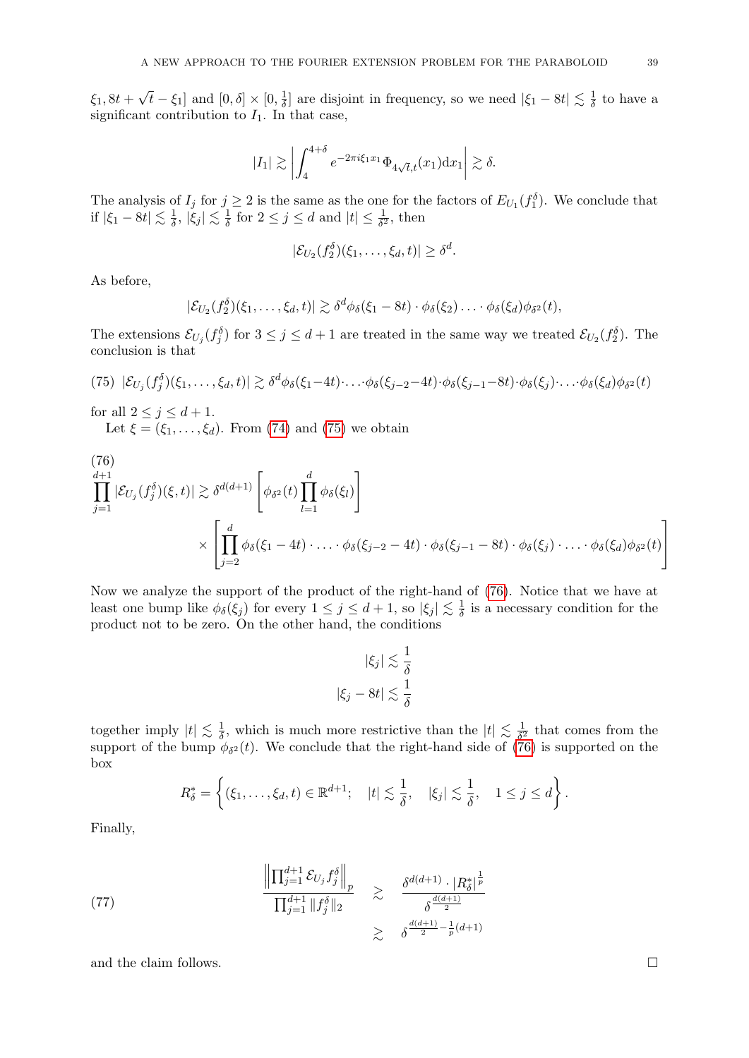$\xi_1, 8t +$ √  $\overline{t} - \xi_1$ ] and  $[0, \delta] \times [0, \frac{1}{\delta}]$  $\frac{1}{\delta}$ ] are disjoint in frequency, so we need  $|\xi_1 - 8t| \lesssim \frac{1}{\delta}$  $\frac{1}{\delta}$  to have a significant contribution to  $I_1$ . In that case,

$$
|I_1| \gtrsim \left| \int_4^{4+\delta} e^{-2\pi i \xi_1 x_1} \Phi_{4\sqrt{t},t}(x_1) \mathrm{d}x_1 \right| \gtrsim \delta.
$$

The analysis of  $I_j$  for  $j \geq 2$  is the same as the one for the factors of  $E_{U_1}(f_1^{\delta})$ . We conclude that if  $|\xi_1 - 8t| \lesssim \frac{1}{\delta}$  $\frac{1}{\delta}$ ,  $|\xi_j| \lesssim \frac{1}{\delta}$  $\frac{1}{\delta}$  for  $2 \leq j \leq d$  and  $|t| \leq \frac{1}{\delta^2}$ , then

$$
|\mathcal{E}_{U_2}(f_2^{\delta})(\xi_1,\ldots,\xi_d,t)| \geq \delta^d.
$$

As before,

$$
|\mathcal{E}_{U_2}(f_2^{\delta})(\xi_1,\ldots,\xi_d,t)| \gtrsim \delta^d \phi_{\delta}(\xi_1-\delta t) \cdot \phi_{\delta}(\xi_2) \ldots \cdot \phi_{\delta}(\xi_d) \phi_{\delta^2}(t),
$$

The extensions  $\mathcal{E}_{U_j}(f_j^{\delta})$  for  $3 \leq j \leq d+1$  are treated in the same way we treated  $\mathcal{E}_{U_2}(f_2^{\delta})$ . The conclusion is that

<span id="page-38-0"></span>
$$
(75) |\mathcal{E}_{U_j}(f_j^{\delta})(\xi_1,\ldots,\xi_d,t)| \gtrsim \delta^d \phi_{\delta}(\xi_1-4t)\cdot \ldots \cdot \phi_{\delta}(\xi_{j-2}-4t) \cdot \phi_{\delta}(\xi_{j-1}-8t) \cdot \phi_{\delta}(\xi_j)\cdot \ldots \cdot \phi_{\delta}(\xi_d) \phi_{\delta^2}(t)
$$

for all  $2 \leq j \leq d+1$ .

Let  $\xi = (\xi_1, \ldots, \xi_d)$ . From [\(74\)](#page-37-0) and [\(75\)](#page-38-0) we obtain

<span id="page-38-1"></span>(76)  
\n
$$
\prod_{j=1}^{d+1} |\mathcal{E}_{U_j}(f_j^{\delta})(\xi, t)| \gtrsim \delta^{d(d+1)} \left[ \phi_{\delta^2}(t) \prod_{l=1}^d \phi_{\delta}(\xi_l) \right]
$$
\n
$$
\times \left[ \prod_{j=2}^d \phi_{\delta}(\xi_1 - 4t) \cdot \ldots \cdot \phi_{\delta}(\xi_{j-2} - 4t) \cdot \phi_{\delta}(\xi_{j-1} - 8t) \cdot \phi_{\delta}(\xi_j) \cdot \ldots \cdot \phi_{\delta}(\xi_d) \phi_{\delta^2}(t) \right]
$$

Now we analyze the support of the product of the right-hand of [\(76\)](#page-38-1). Notice that we have at least one bump like  $\phi_{\delta}(\xi_j)$  for every  $1 \leq j \leq d+1$ , so  $|\xi_j| \lesssim \frac{1}{\delta}$  $\frac{1}{\delta}$  is a necessary condition for the product not to be zero. On the other hand, the conditions

$$
|\xi_j| \lesssim \frac{1}{\delta}
$$
  

$$
|\xi_j - 8t| \lesssim \frac{1}{\delta}
$$

together imply  $|t| \lesssim \frac{1}{\delta}$  $\frac{1}{\delta}$ , which is much more restrictive than the  $|t| \lesssim \frac{1}{\delta^2}$  $\frac{1}{\delta^2}$  that comes from the support of the bump  $\phi_{\delta^2}(t)$ . We conclude that the right-hand side of [\(76\)](#page-38-1) is supported on the box

$$
R_{\delta}^* = \left\{ (\xi_1, \ldots, \xi_d, t) \in \mathbb{R}^{d+1}; \quad |t| \lesssim \frac{1}{\delta}, \quad |\xi_j| \lesssim \frac{1}{\delta}, \quad 1 \leq j \leq d \right\}.
$$

Finally,

(77) 
$$
\frac{\left\| \prod_{j=1}^{d+1} \mathcal{E}_{U_j} f_j^{\delta} \right\|_p}{\prod_{j=1}^{d+1} \|f_j^{\delta}\|_2} \geq \frac{\delta^{d(d+1)} \cdot |R_{\delta}^*|^{\frac{1}{p}}}{\delta^{\frac{d(d+1)}{2}} \sum_{\lambda} \delta^{\frac{d(d+1)}{2} - \frac{1}{p}(d+1)}}
$$

and the claim follows.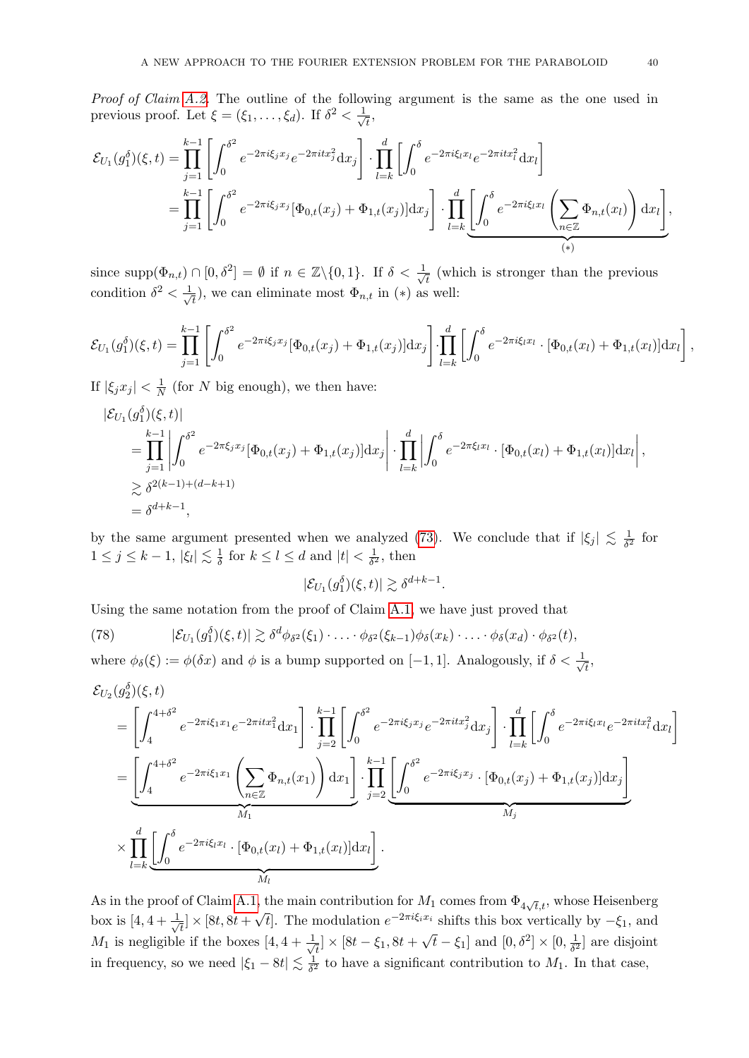Proof of Claim [A.2.](#page-36-0) The outline of the following argument is the same as the one used in previous proof. Let  $\xi = (\xi_1, \ldots, \xi_d)$ . If  $\delta^2 < \frac{1}{\sqrt{2}}$  $\bar{t}$ ,

$$
\mathcal{E}_{U_1}(g_1^{\delta})(\xi,t) = \prod_{j=1}^{k-1} \left[ \int_0^{\delta^2} e^{-2\pi i \xi_j x_j} e^{-2\pi i t x_j^2} dx_j \right] \cdot \prod_{l=k}^d \left[ \int_0^{\delta} e^{-2\pi i \xi_l x_l} e^{-2\pi i t x_l^2} dx_l \right]
$$
  
= 
$$
\prod_{j=1}^{k-1} \left[ \int_0^{\delta^2} e^{-2\pi i \xi_j x_j} [\Phi_{0,t}(x_j) + \Phi_{1,t}(x_j)] dx_j \right] \cdot \prod_{l=k}^d \left[ \int_0^{\delta} e^{-2\pi i \xi_l x_l} \left( \sum_{n \in \mathbb{Z}} \Phi_{n,t}(x_l) \right) dx_l \right],
$$

since supp $(\Phi_{n,t}) \cap [0, \delta^2] = \emptyset$  if  $n \in \mathbb{Z} \setminus \{0,1\}$ . If  $\delta < \frac{1}{\sqrt{2\pi}}$  $\overline{t}$  (which is stronger than the previous condition  $\delta^2 < \frac{1}{\sqrt{2}}$  $(\overline{t}_{\overline{t}})$ , we can eliminate most  $\Phi_{n,t}$  in  $(*)$  as well:

$$
\mathcal{E}_{U_1}(g_1^{\delta})(\xi,t) = \prod_{j=1}^{k-1} \left[ \int_0^{\delta^2} e^{-2\pi i \xi_j x_j} [\Phi_{0,t}(x_j) + \Phi_{1,t}(x_j)] dx_j \right] \cdot \prod_{l=k}^d \left[ \int_0^{\delta} e^{-2\pi i \xi_l x_l} \cdot [\Phi_{0,t}(x_l) + \Phi_{1,t}(x_l)] dx_l \right],
$$

If  $|\xi_j x_j| < \frac{1}{N}$  $\frac{1}{N}$  (for N big enough), we then have:

$$
\begin{split}\n&|\mathcal{E}_{U_1}(g_1^{\delta})(\xi,t)| \\
&= \prod_{j=1}^{k-1} \left| \int_0^{\delta^2} e^{-2\pi \xi_j x_j} [\Phi_{0,t}(x_j) + \Phi_{1,t}(x_j)] \mathrm{d}x_j \right| \cdot \prod_{l=k}^d \left| \int_0^{\delta} e^{-2\pi \xi_l x_l} \cdot [\Phi_{0,t}(x_l) + \Phi_{1,t}(x_l)] \mathrm{d}x_l \right|, \\
&\geq \delta^{2(k-1)+(d-k+1)} \\
&= \delta^{d+k-1},\n\end{split}
$$

by the same argument presented when we analyzed [\(73\)](#page-37-1). We conclude that if  $|\xi_j| \lesssim \frac{1}{\delta^2}$  $rac{1}{\delta^2}$  for  $1 \leq j \leq k-1, |\xi_l| \lesssim \frac{1}{\delta}$  $\frac{1}{\delta}$  for  $k \leq l \leq d$  and  $|t| < \frac{1}{\delta^2}$  $\frac{1}{\delta^2}$ , then

$$
|\mathcal{E}_{U_1}(g_1^{\delta})(\xi,t)| \gtrsim \delta^{d+k-1}.
$$

Using the same notation from the proof of Claim [A.1,](#page-35-3) we have just proved that

<span id="page-39-0"></span>(78) 
$$
|\mathcal{E}_{U_1}(g_1^{\delta})(\xi,t)| \gtrsim \delta^d \phi_{\delta^2}(\xi_1) \cdot \ldots \cdot \phi_{\delta^2}(\xi_{k-1}) \phi_{\delta}(x_k) \cdot \ldots \cdot \phi_{\delta}(x_d) \cdot \phi_{\delta^2}(t),
$$

where  $\phi_{\delta}(\xi) := \phi(\delta x)$  and  $\phi$  is a bump supported on [-1, 1]. Analogously, if  $\delta < \frac{1}{\sqrt{\epsilon}}$  $\overline{\overline{t}}$ ,

$$
\mathcal{E}_{U_{2}}(g_{2}^{\delta})(\xi,t) = \left[\int_{4}^{4+\delta^{2}} e^{-2\pi i \xi_{1}x_{1}} e^{-2\pi i t x_{1}^{2}} dx_{1}\right] \cdot \prod_{j=2}^{k-1} \left[\int_{0}^{\delta^{2}} e^{-2\pi i \xi_{j}x_{j}} e^{-2\pi i t x_{j}^{2}} dx_{j}\right] \cdot \prod_{l=k}^{d} \left[\int_{0}^{\delta} e^{-2\pi i \xi_{l}x_{l}} e^{-2\pi i t x_{l}^{2}} dx_{l}\right]
$$

$$
= \underbrace{\left[\int_{4}^{4+\delta^{2}} e^{-2\pi i \xi_{1}x_{1}} \left(\sum_{n \in \mathbb{Z}} \Phi_{n,t}(x_{1})\right) dx_{1}\right] \cdot \prod_{j=2}^{k-1} \left[\int_{0}^{\delta^{2}} e^{-2\pi i \xi_{j}x_{j}} \cdot [\Phi_{0,t}(x_{j}) + \Phi_{1,t}(x_{j})] dx_{j}\right]}_{M_{j}}
$$

$$
\times \prod_{l=k}^{d} \underbrace{\left[\int_{0}^{\delta} e^{-2\pi i \xi_{l}x_{l}} \cdot [\Phi_{0,t}(x_{l}) + \Phi_{1,t}(x_{l})] dx_{l}\right]}_{M_{l}}.
$$

As in the proof of Claim [A.1,](#page-35-3) the main contribution for  $M_1$  comes from  $\Phi_{4\sqrt{t},t}$ , whose Heisenberg box is  $[4, 4 + \frac{1}{4}]$  $\left[\frac{1}{t}\right] \times [8t, 8t +$ √  $\bar{t}$ . The modulation  $e^{-2\pi i \xi_i x_i}$  shifts this box vertically by  $-\xi_1$ , and  $M_1$  is negligible if the boxes  $\left[4, 4+\frac{1}{\sqrt{2}}\right]$  $\frac{1}{\bar{t}} \times [8t - \xi_1, 8t + \sqrt{t} - \xi_1]$  and  $[0, \delta^2] \times [0, \frac{1}{\delta^2}]$  $\frac{1}{\delta^2}$  are disjoint in frequency, so we need  $|\xi_1 - 8t| \lesssim \frac{1}{\delta^2}$  $\frac{1}{\delta^2}$  to have a significant contribution to  $M_1$ . In that case,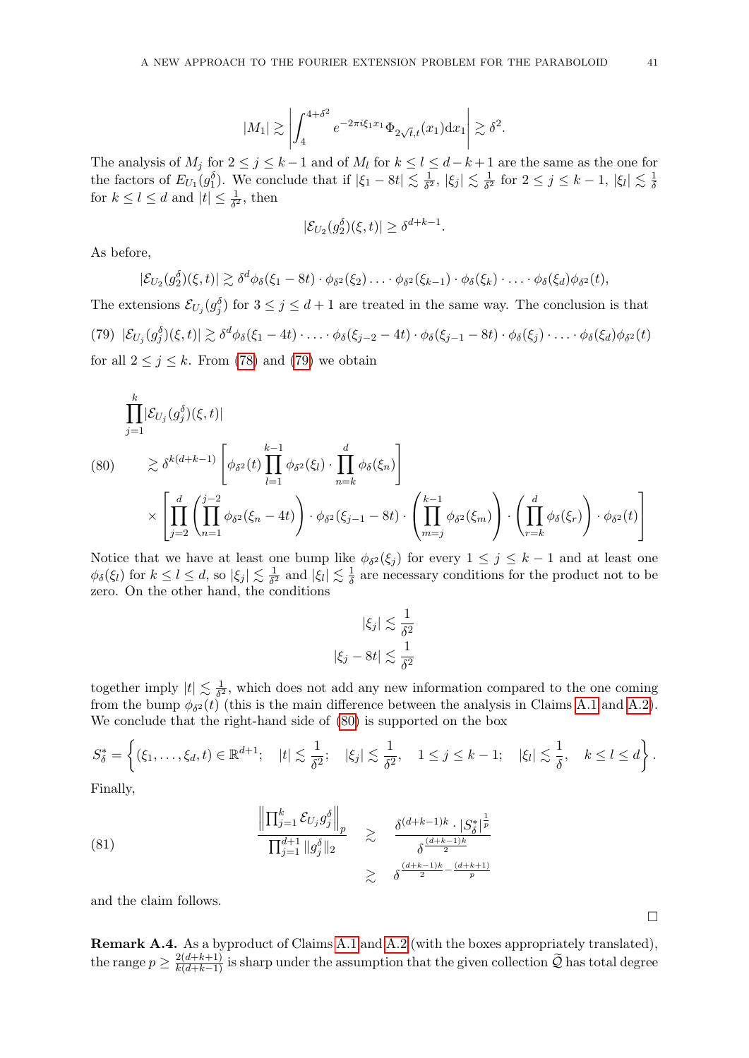$$
|M_1| \gtrsim \left| \int_4^{4+\delta^2} e^{-2\pi i \xi_1 x_1} \Phi_{2\sqrt{t},t}(x_1) \mathrm{d}x_1 \right| \gtrsim \delta^2.
$$

The analysis of  $M_j$  for  $2 \le j \le k-1$  and of  $M_l$  for  $k \le l \le d-k+1$  are the same as the one for the factors of  $E_{U_1}(g_1^{\delta})$ . We conclude that if  $|\xi_1 - 8t| \lesssim \frac{1}{\delta^2}$  $\frac{1}{\delta^2}$ ,  $|\xi_j| \lesssim \frac{1}{\delta^2}$  $\frac{1}{\delta^2}$  for  $2 \leq j \leq k-1$ ,  $|\xi_l| \lesssim \frac{1}{\delta}$ δ for  $k \leq l \leq d$  and  $|t| \leq \frac{1}{\delta^2}$ , then

$$
|\mathcal{E}_{U_2}(g_2^{\delta})(\xi,t)| \geq \delta^{d+k-1}.
$$

As before,

$$
|\mathcal{E}_{U_2}(g_2^{\delta})(\xi,t)| \gtrsim \delta^d \phi_{\delta}(\xi_1 - 8t) \cdot \phi_{\delta^2}(\xi_2) \ldots \cdot \phi_{\delta^2}(\xi_{k-1}) \cdot \phi_{\delta}(\xi_k) \cdot \ldots \cdot \phi_{\delta}(\xi_d) \phi_{\delta^2}(t),
$$

<span id="page-40-0"></span>The extensions  $\mathcal{E}_{U_j}(g_j^{\delta})$  for  $3 \leq j \leq d+1$  are treated in the same way. The conclusion is that (79)  $|\mathcal{E}_{U_j}(g_j^{\delta})(\xi,t)| \gtrsim \delta^d \phi_{\delta}(\xi_1-4t) \cdot \ldots \cdot \phi_{\delta}(\xi_{j-2}-4t) \cdot \phi_{\delta}(\xi_{j-1}-8t) \cdot \phi_{\delta}(\xi_j) \cdot \ldots \cdot \phi_{\delta}(\xi_d) \phi_{\delta^2}(t)$ for all  $2 \leq j \leq k$ . From [\(78\)](#page-39-0) and [\(79\)](#page-40-0) we obtain

<span id="page-40-1"></span>
$$
\prod_{j=1}^{k} |\mathcal{E}_{U_j}(g_j^{\delta})(\xi, t)|
$$
\n
$$
(80) \qquad \geq \delta^{k(d+k-1)} \left[ \phi_{\delta^2}(t) \prod_{l=1}^{k-1} \phi_{\delta^2}(\xi_l) \cdot \prod_{n=k}^{d} \phi_{\delta}(\xi_n) \right]
$$
\n
$$
\times \left[ \prod_{j=2}^{d} \left( \prod_{n=1}^{j-2} \phi_{\delta^2}(\xi_n - 4t) \right) \cdot \phi_{\delta^2}(\xi_{j-1} - 8t) \cdot \left( \prod_{m=j}^{k-1} \phi_{\delta^2}(\xi_m) \right) \cdot \left( \prod_{r=k}^{d} \phi_{\delta}(\xi_r) \right) \cdot \phi_{\delta^2}(t) \right]
$$

Notice that we have at least one bump like  $\phi_{\delta^2}(\xi_j)$  for every  $1 \leq j \leq k-1$  and at least one  $\phi_{\delta}(\xi_l)$  for  $k \leq l \leq d$ , so  $|\xi_j| \lesssim \frac{1}{\delta^2}$  $\frac{1}{\delta^2}$  and  $|\xi_l| \lesssim \frac{1}{\delta}$  $\frac{1}{\delta}$  are necessary conditions for the product not to be zero. On the other hand, the conditions

$$
|\xi_j| \lesssim \frac{1}{\delta^2}
$$
  

$$
|\xi_j - 8t| \lesssim \frac{1}{\delta^2}
$$

together imply  $|t| \lesssim \frac{1}{\delta^2}$  $\frac{1}{\delta^2}$ , which does not add any new information compared to the one coming from the bump  $\phi_{\delta^2}(t)$  (this is the main difference between the analysis in Claims [A.1](#page-35-3) and [A.2\)](#page-36-0). We conclude that the right-hand side of [\(80\)](#page-40-1) is supported on the box

$$
S_{\delta}^* = \left\{ (\xi_1, \ldots, \xi_d, t) \in \mathbb{R}^{d+1}; \quad |t| \lesssim \frac{1}{\delta^2}; \quad |\xi_j| \lesssim \frac{1}{\delta^2}, \quad 1 \leq j \leq k-1; \quad |\xi_l| \lesssim \frac{1}{\delta}, \quad k \leq l \leq d \right\}.
$$

Finally,

(81) 
$$
\frac{\left\| \prod_{j=1}^{k} \mathcal{E}_{U_{j}} g_{j}^{\delta} \right\|_{p}}{\prod_{j=1}^{d+1} \|g_{j}^{\delta}\|_{2}} \geq \frac{\delta^{(d+k-1)k} \cdot |S_{\delta}^{*}|^{\frac{1}{p}}}{\delta^{\frac{(d+k-1)k}{2}} \cdot \delta^{\frac{(d+k-1)k}{2}}}
$$

and the claim follows.

Remark A.4. As a byproduct of Claims [A.1](#page-35-3) and [A.2](#page-36-0) (with the boxes appropriately translated), the range  $p \ge \frac{2(d+k+1)}{k(d+k-1)}$  is sharp under the assumption that the given collection  $\widetilde{Q}$  has total degree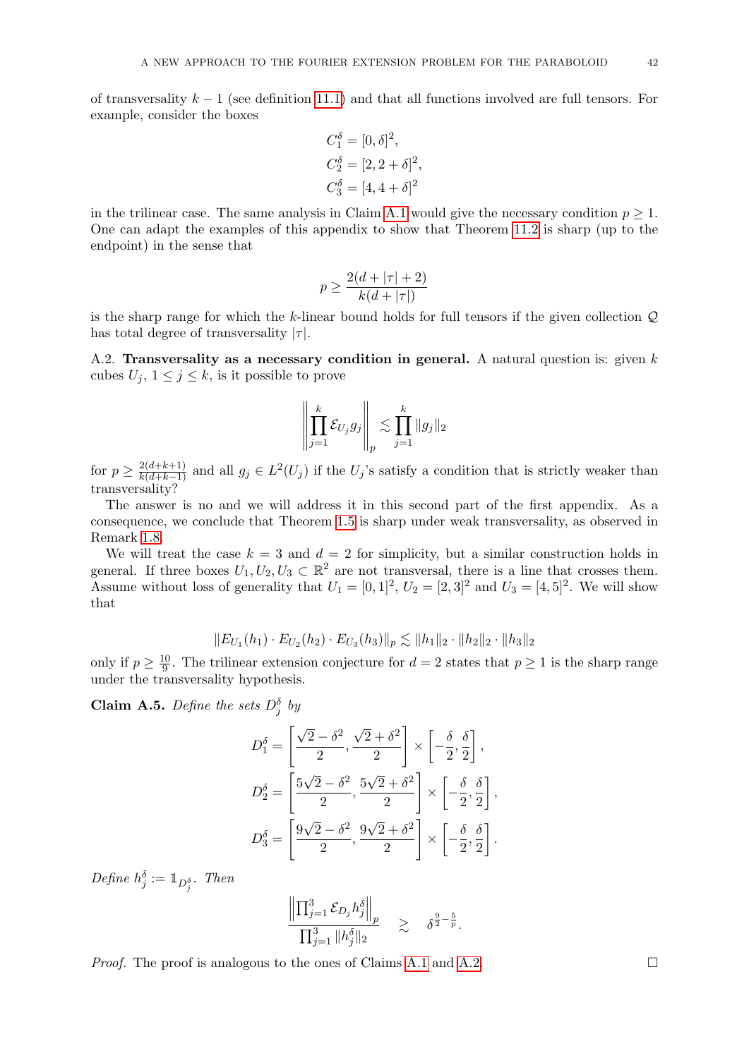of transversality  $k - 1$  (see definition [11.1\)](#page-28-1) and that all functions involved are full tensors. For example, consider the boxes

$$
C_1^{\delta} = [0, \delta]^2,
$$
  
\n
$$
C_2^{\delta} = [2, 2 + \delta]^2,
$$
  
\n
$$
C_3^{\delta} = [4, 4 + \delta]^2
$$

in the trilinear case. The same analysis in Claim [A.1](#page-35-3) would give the necessary condition  $p \geq 1$ . One can adapt the examples of this appendix to show that Theorem [11.2](#page-29-0) is sharp (up to the endpoint) in the sense that

$$
p \ge \frac{2(d+|\tau|+2)}{k(d+|\tau|)}
$$

is the sharp range for which the  $k$ -linear bound holds for full tensors if the given collection  $Q$ has total degree of transversality  $|\tau|$ .

<span id="page-41-0"></span>A.2. Transversality as a necessary condition in general. A natural question is: given  $k$ cubes  $U_j$ ,  $1 \leq j \leq k$ , is it possible to prove

$$
\left\| \prod_{j=1}^k \mathcal{E}_{U_j} g_j \right\|_p \lesssim \prod_{j=1}^k \|g_j\|_2
$$

for  $p \geq \frac{2(d+k+1)}{k(d+k-1)}$  and all  $g_j \in L^2(U_j)$  if the  $U_j$ 's satisfy a condition that is strictly weaker than transversality?

The answer is no and we will address it in this second part of the first appendix. As a consequence, we conclude that Theorem [1.5](#page-2-0) is sharp under weak transversality, as observed in Remark [1.8.](#page-2-3)

We will treat the case  $k = 3$  and  $d = 2$  for simplicity, but a similar construction holds in general. If three boxes  $U_1, U_2, U_3 \subset \mathbb{R}^2$  are not transversal, there is a line that crosses them. Assume without loss of generality that  $U_1 = [0, 1]^2$ ,  $U_2 = [2, 3]^2$  and  $U_3 = [4, 5]^2$ . We will show that

$$
||E_{U_1}(h_1) \cdot E_{U_2}(h_2) \cdot E_{U_3}(h_3)||_p \lesssim ||h_1||_2 \cdot ||h_2||_2 \cdot ||h_3||_2
$$

only if  $p \geq \frac{10}{9}$  $\frac{10}{9}$ . The trilinear extension conjecture for  $d=2$  states that  $p\geq 1$  is the sharp range under the transversality hypothesis.

<span id="page-41-1"></span>**Claim A.5.** Define the sets  $D_j^{\delta}$  by

$$
D_1^{\delta} = \left[ \frac{\sqrt{2} - \delta^2}{2}, \frac{\sqrt{2} + \delta^2}{2} \right] \times \left[ -\frac{\delta}{2}, \frac{\delta}{2} \right],
$$
  
\n
$$
D_2^{\delta} = \left[ \frac{5\sqrt{2} - \delta^2}{2}, \frac{5\sqrt{2} + \delta^2}{2} \right] \times \left[ -\frac{\delta}{2}, \frac{\delta}{2} \right],
$$
  
\n
$$
D_3^{\delta} = \left[ \frac{9\sqrt{2} - \delta^2}{2}, \frac{9\sqrt{2} + \delta^2}{2} \right] \times \left[ -\frac{\delta}{2}, \frac{\delta}{2} \right].
$$

Define  $h_j^{\delta} := \mathbb{1}_{D_j^{\delta}}$ . Then

$$
\frac{\left\| \prod_{j=1}^3 \mathcal{E}_{D_j} h_j^\delta \right\|_p}{\prod_{j=1}^3 \|h_j^\delta\|_2} \quad \gtrsim \quad \delta^{\frac{9}{2} - \frac{5}{p}}.
$$

Proof. The proof is analogous to the ones of Claims [A.1](#page-35-3) and [A.2.](#page-36-0)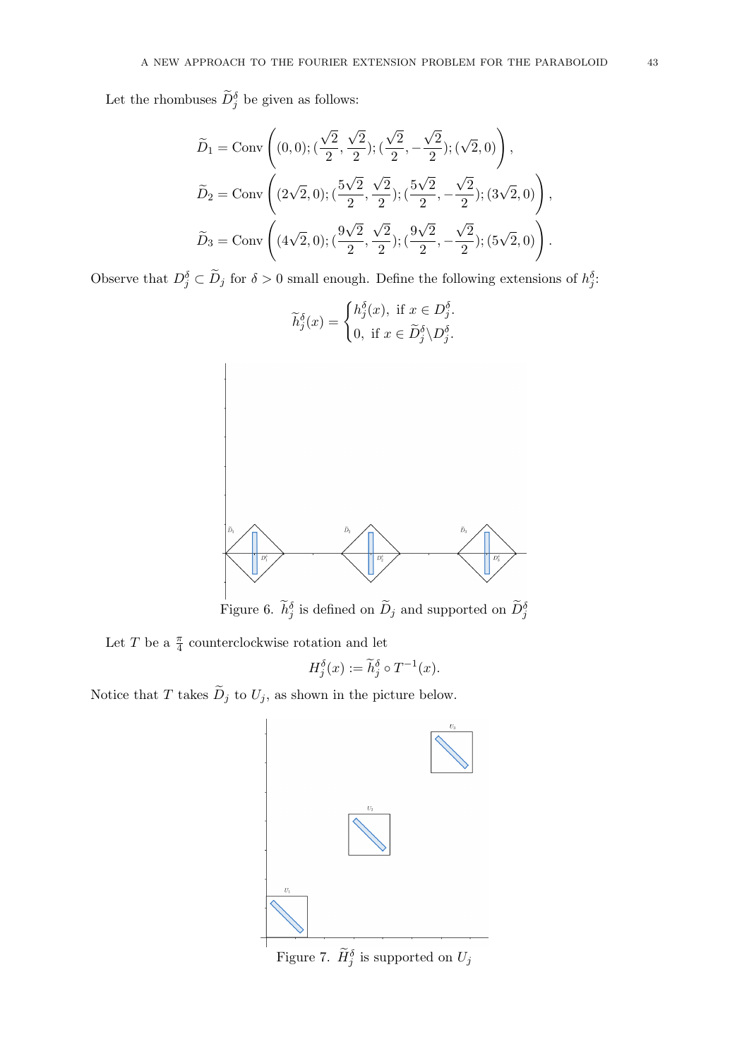Let the rhombuses  $\tilde{D}_j^{\delta}$  be given as follows:

$$
\widetilde{D}_1 = \text{Conv}\left((0,0); (\frac{\sqrt{2}}{2}, \frac{\sqrt{2}}{2}); (\frac{\sqrt{2}}{2}, -\frac{\sqrt{2}}{2}); (\sqrt{2}, 0)\right),\
$$
  

$$
\widetilde{D}_2 = \text{Conv}\left((2\sqrt{2}, 0); (\frac{5\sqrt{2}}{2}, \frac{\sqrt{2}}{2}); (\frac{5\sqrt{2}}{2}, -\frac{\sqrt{2}}{2}); (3\sqrt{2}, 0)\right),\
$$
  

$$
\widetilde{D}_3 = \text{Conv}\left((4\sqrt{2}, 0); (\frac{9\sqrt{2}}{2}, \frac{\sqrt{2}}{2}); (\frac{9\sqrt{2}}{2}, -\frac{\sqrt{2}}{2}); (5\sqrt{2}, 0)\right).
$$

Observe that  $D_j^{\delta} \subset \widetilde{D}_j$  for  $\delta > 0$  small enough. Define the following extensions of  $h_j^{\delta}$ .



Figure 6.  $\tilde{h}_j^{\delta}$  is defined on  $\tilde{D}_j$  and supported on  $\tilde{D}_j^{\delta}$ 

Let  $T$  be a  $\frac{\pi}{4}$  counterclockwise rotation and let

$$
H_j^\delta(x):=\widetilde h_j^\delta\circ T^{-1}(x).
$$

Notice that T takes  $\widetilde{D}_j$  to  $U_j$ , as shown in the picture below.



Figure 7.  $\widetilde{H}_{j}^{\delta}$  is supported on  $U_{j}$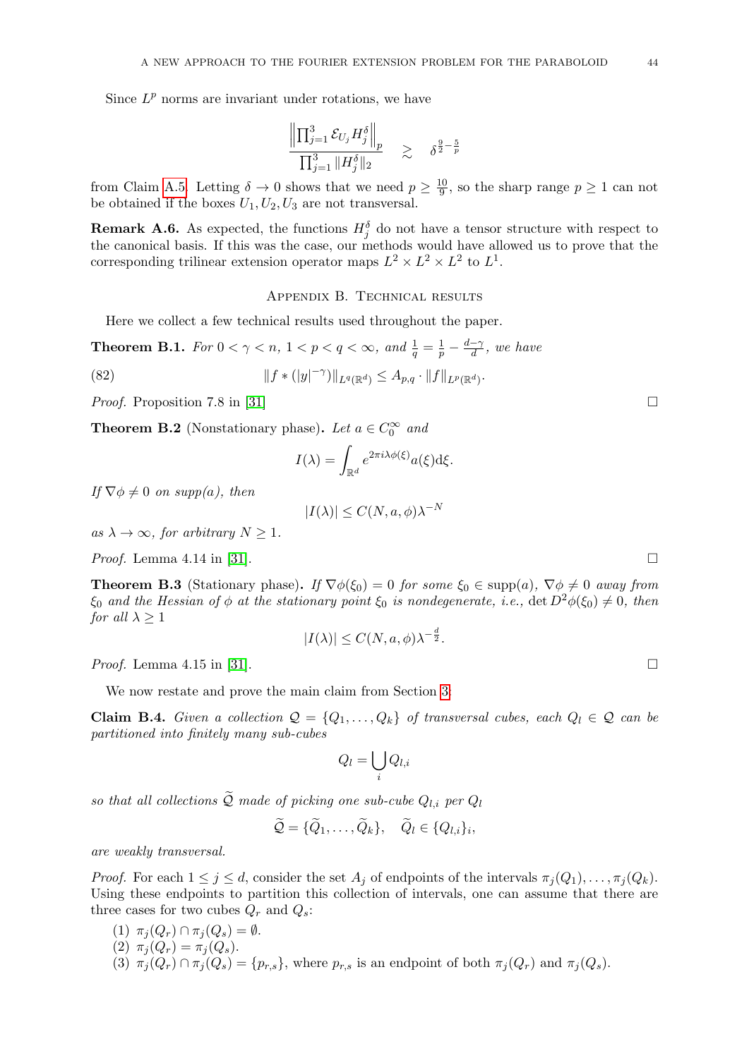Since  $L^p$  norms are invariant under rotations, we have

$$
\frac{\left\| \prod_{j=1}^3 \mathcal{E}_{U_j} H_j^\delta \right\|_p}{\prod_{j=1}^3 \| H_j^\delta \|_2} \quad \gtrsim \quad \delta^{\frac{9}{2} - \frac{5}{p}}
$$

from Claim [A.5.](#page-41-1) Letting  $\delta \to 0$  shows that we need  $p \geq \frac{10}{9}$  $\frac{10}{9}$ , so the sharp range  $p \ge 1$  can not be obtained if the boxes  $U_1, U_2, U_3$  are not transversal.

**Remark A.6.** As expected, the functions  $H_j^{\delta}$  do not have a tensor structure with respect to the canonical basis. If this was the case, our methods would have allowed us to prove that the corresponding trilinear extension operator maps  $L^2 \times L^2 \times L^2$  to  $L^1$ .

## Appendix B. Technical results

<span id="page-43-0"></span>Here we collect a few technical results used throughout the paper.

<span id="page-43-4"></span>**Theorem B.1.** For  $0 < \gamma < n$ ,  $1 < p < q < \infty$ , and  $\frac{1}{q} = \frac{1}{p} - \frac{d-\gamma}{d}$  $\frac{-\gamma}{d}$ , we have

(82) 
$$
||f * (|y|^{-\gamma})||_{L^q(\mathbb{R}^d)} \leq A_{p,q} \cdot ||f||_{L^p(\mathbb{R}^d)}.
$$

*Proof.* Proposition 7.8 in [\[31\]](#page-47-17)

<span id="page-43-3"></span>**Theorem B.2** (Nonstationary phase). Let  $a \in C_0^{\infty}$  and

$$
I(\lambda) = \int_{\mathbb{R}^d} e^{2\pi i \lambda \phi(\xi)} a(\xi) \mathrm{d}\xi.
$$

If  $\nabla \phi \neq 0$  on supp(a), then

$$
|I(\lambda)| \le C(N, a, \phi)\lambda^{-N}
$$

as  $\lambda \to \infty$ , for arbitrary  $N \geq 1$ .

*Proof.* Lemma 4.14 in [\[31\]](#page-47-17).

<span id="page-43-2"></span>**Theorem B.3** (Stationary phase). If  $\nabla \phi(\xi_0) = 0$  for some  $\xi_0 \in \text{supp}(a)$ ,  $\nabla \phi \neq 0$  away from  $\xi_0$  and the Hessian of  $\phi$  at the stationary point  $\xi_0$  is nondegenerate, i.e.,  $\det D^2\phi(\xi_0) \neq 0$ , then *for all*  $\lambda \geq 1$ 

$$
|I(\lambda)| \le C(N, a, \phi)\lambda^{-\frac{d}{2}}.
$$

*Proof.* Lemma 4.15 in [\[31\]](#page-47-17).

We now restate and prove the main claim from Section [3:](#page-6-0)

<span id="page-43-1"></span>Claim B.4. Given a collection  $\mathcal{Q} = \{Q_1, \ldots, Q_k\}$  of transversal cubes, each  $Q_l \in \mathcal{Q}$  can be partitioned into finitely many sub-cubes

$$
Q_l = \bigcup_i Q_{l,i}
$$

so that all collections  $\widetilde{Q}$  made of picking one sub-cube  $Q_{l,i}$  per  $Q_l$ 

$$
\widetilde{Q} = {\{\widetilde{Q}_1,\ldots,\widetilde{Q}_k\}}, \quad \widetilde{Q}_l \in \{Q_{l,i}\}_i,
$$

are weakly transversal.

*Proof.* For each  $1 \leq j \leq d$ , consider the set  $A_j$  of endpoints of the intervals  $\pi_j(Q_1), \ldots, \pi_j(Q_k)$ . Using these endpoints to partition this collection of intervals, one can assume that there are three cases for two cubes  $Q_r$  and  $Q_s$ :

(1)  $\pi_j(Q_r) \cap \pi_j(Q_s) = \emptyset$ . (2)  $\pi_i(Q_r) = \pi_i(Q_s)$ . (3)  $\pi_j(Q_r) \cap \pi_j(Q_s) = \{p_{r,s}\}\$ , where  $p_{r,s}$  is an endpoint of both  $\pi_j(Q_r)$  and  $\pi_j(Q_s)$ .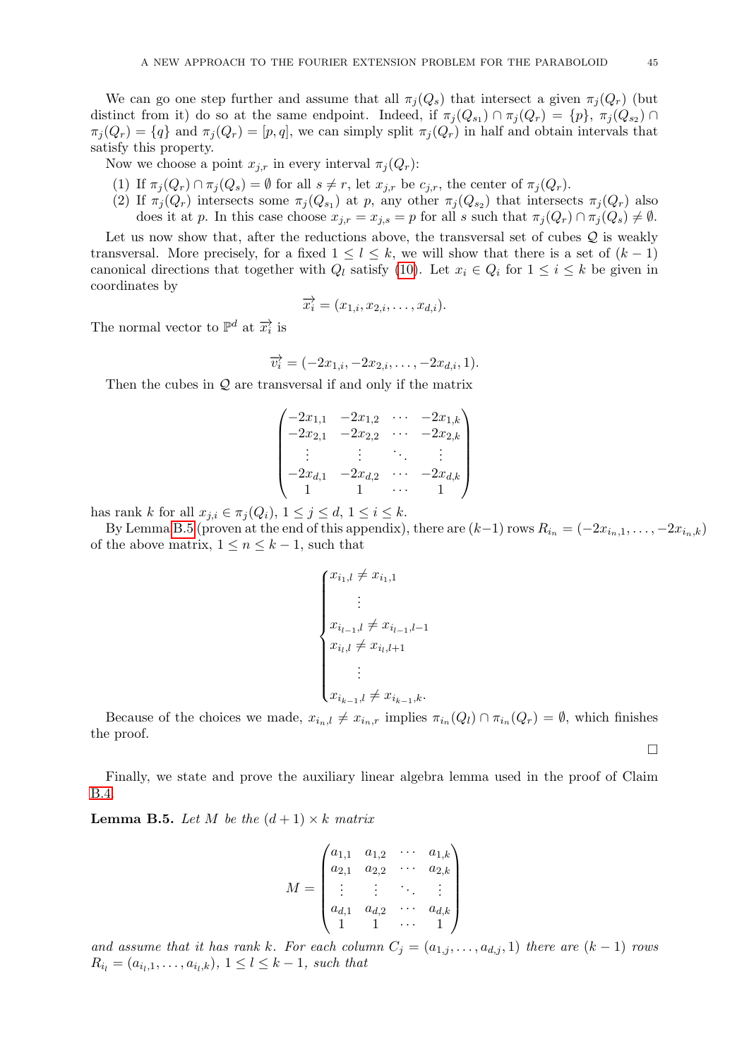We can go one step further and assume that all  $\pi_i(Q_s)$  that intersect a given  $\pi_i(Q_r)$  (but distinct from it) do so at the same endpoint. Indeed, if  $\pi_j(Q_{s_1}) \cap \pi_j(Q_r) = \{p\}, \pi_j(Q_{s_2}) \cap$  $\pi_i(Q_r) = \{q\}$  and  $\pi_i(Q_r) = [p, q]$ , we can simply split  $\pi_i(Q_r)$  in half and obtain intervals that satisfy this property.

Now we choose a point  $x_{j,r}$  in every interval  $\pi_j(Q_r)$ :

- (1) If  $\pi_j(Q_r) \cap \pi_j(Q_s) = \emptyset$  for all  $s \neq r$ , let  $x_{j,r}$  be  $c_{j,r}$ , the center of  $\pi_j(Q_r)$ .
- (2) If  $\pi_j(Q_r)$  intersects some  $\pi_j(Q_{s_1})$  at p, any other  $\pi_j(Q_{s_2})$  that intersects  $\pi_j(Q_r)$  also does it at p. In this case choose  $x_{j,r} = x_{j,s} = p$  for all s such that  $\pi_j(Q_r) \cap \pi_j(Q_s) \neq \emptyset$ .

Let us now show that, after the reductions above, the transversal set of cubes  $Q$  is weakly transversal. More precisely, for a fixed  $1 \leq l \leq k$ , we will show that there is a set of  $(k-1)$ canonical directions that together with  $Q_l$  satisfy [\(10\)](#page-6-5). Let  $x_i \in Q_i$  for  $1 \leq i \leq k$  be given in coordinates by

$$
\overrightarrow{x_i} = (x_{1,i}, x_{2,i}, \dots, x_{d,i}).
$$

The normal vector to  $\mathbb{P}^d$  at  $\overrightarrow{x_i}$  is

$$
\overrightarrow{v_i} = (-2x_{1,i}, -2x_{2,i}, \dots, -2x_{d,i}, 1).
$$

Then the cubes in  $Q$  are transversal if and only if the matrix

$$
\begin{pmatrix}\n-2x_{1,1} & -2x_{1,2} & \cdots & -2x_{1,k} \\
-2x_{2,1} & -2x_{2,2} & \cdots & -2x_{2,k} \\
\vdots & \vdots & \ddots & \vdots \\
-2x_{d,1} & -2x_{d,2} & \cdots & -2x_{d,k} \\
1 & 1 & \cdots & 1\n\end{pmatrix}
$$

has rank k for all  $x_{j,i} \in \pi_i(Q_i)$ ,  $1 \leq j \leq d$ ,  $1 \leq i \leq k$ .

By Lemma [B.5](#page-44-0) (proven at the end of this appendix), there are  $(k-1)$  rows  $R_{i_n} = (-2x_{i_n,1}, \ldots, -2x_{i_n,k})$ of the above matrix,  $1 \leq n \leq k-1$ , such that

$$
\begin{cases} x_{i_1,l} \neq x_{i_1,1} \\ \vdots \\ x_{i_{l-1},l} \neq x_{i_{l-1},l-1} \\ x_{i_l,l} \neq x_{i_l,l+1} \\ \vdots \\ x_{i_{k-1},l} \neq x_{i_{k-1},k} . \end{cases}
$$

Because of the choices we made,  $x_{i_n,l} \neq x_{i_n,r}$  implies  $\pi_{i_n}(Q_l) \cap \pi_{i_n}(Q_r) = \emptyset$ , which finishes the proof.

 $\Box$ 

Finally, we state and prove the auxiliary linear algebra lemma used in the proof of Claim [B.4.](#page-43-1)

<span id="page-44-0"></span>**Lemma B.5.** Let M be the  $(d+1) \times k$  matrix

$$
M = \begin{pmatrix} a_{1,1} & a_{1,2} & \cdots & a_{1,k} \\ a_{2,1} & a_{2,2} & \cdots & a_{2,k} \\ \vdots & \vdots & \ddots & \vdots \\ a_{d,1} & a_{d,2} & \cdots & a_{d,k} \\ 1 & 1 & \cdots & 1 \end{pmatrix}
$$

and assume that it has rank k. For each column  $C_j = (a_{1,j}, \ldots, a_{d,j}, 1)$  there are  $(k-1)$  rows  $R_{i_l} = (a_{i_l,1}, \ldots, a_{i_l,k}), 1 \leq l \leq k-1$ , such that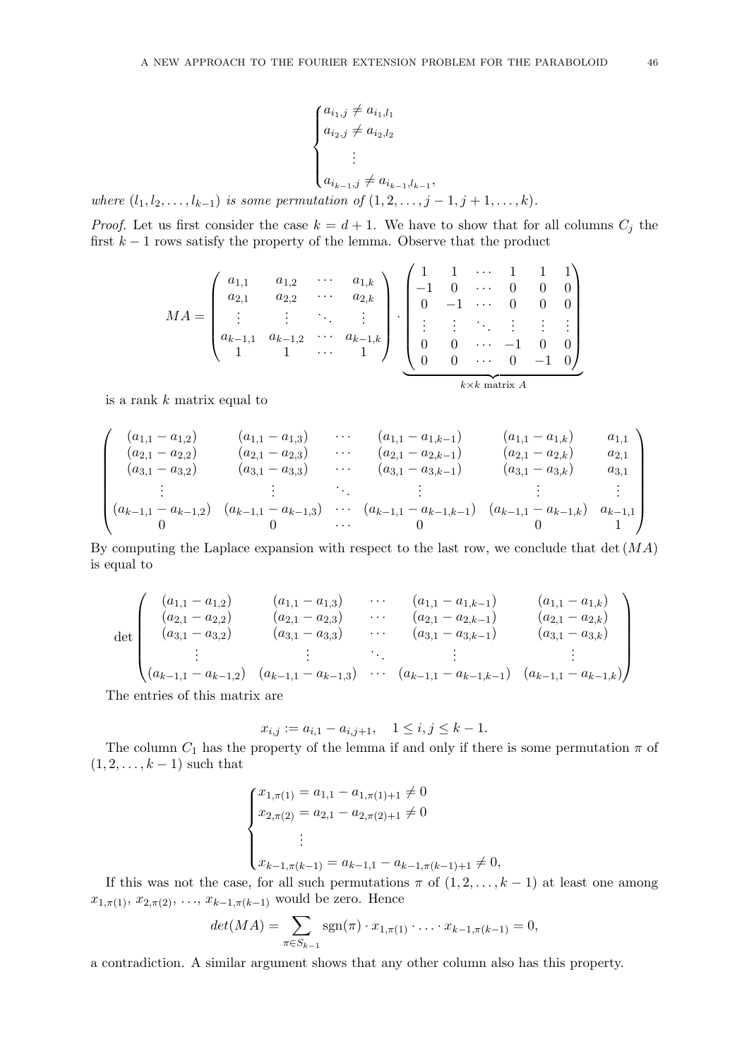$$
\begin{cases} a_{i_1,j} \neq a_{i_1,l_1} \\ a_{i_2,j} \neq a_{i_2,l_2} \\ \vdots \\ a_{i_{k-1},j} \neq a_{i_{k-1},l_{k-1}}, \end{cases}
$$

where  $(l_1, l_2, \ldots, l_{k-1})$  is some permutation of  $(1, 2, \ldots, j-1, j+1, \ldots, k)$ .

*Proof.* Let us first consider the case  $k = d + 1$ . We have to show that for all columns  $C_i$  the first  $k - 1$  rows satisfy the property of the lemma. Observe that the product

$$
MA = \begin{pmatrix} a_{1,1} & a_{1,2} & \cdots & a_{1,k} \\ a_{2,1} & a_{2,2} & \cdots & a_{2,k} \\ \vdots & \vdots & \ddots & \vdots \\ a_{k-1,1} & a_{k-1,2} & \cdots & a_{k-1,k} \\ 1 & 1 & \cdots & 1 \end{pmatrix} \cdot \begin{pmatrix} 1 & 1 & \cdots & 1 & 1 & 1 \\ -1 & 0 & \cdots & 0 & 0 & 0 \\ 0 & -1 & \cdots & 0 & 0 & 0 \\ \vdots & \vdots & \ddots & \vdots & \vdots & \vdots \\ 0 & 0 & \cdots & -1 & 0 & 0 \\ 0 & 0 & \cdots & 0 & -1 & 0 \end{pmatrix}
$$

is a rank k matrix equal to

$$
\begin{pmatrix}\n(a_{1,1} - a_{1,2}) & (a_{1,1} - a_{1,3}) & \cdots & (a_{1,1} - a_{1,k-1}) & (a_{1,1} - a_{1,k}) & a_{1,1} \\
(a_{2,1} - a_{2,2}) & (a_{2,1} - a_{2,3}) & \cdots & (a_{2,1} - a_{2,k-1}) & (a_{2,1} - a_{2,k}) & a_{2,1} \\
(a_{3,1} - a_{3,2}) & (a_{3,1} - a_{3,3}) & \cdots & (a_{3,1} - a_{3,k-1}) & (a_{3,1} - a_{3,k}) & a_{3,1} \\
\vdots & \vdots & \ddots & \vdots & \vdots & \vdots \\
(a_{k-1,1} - a_{k-1,2}) & (a_{k-1,1} - a_{k-1,3}) & \cdots & (a_{k-1,1} - a_{k-1,k-1}) & (a_{k-1,1} - a_{k-1,k}) & a_{k-1,1} \\
0 & 0 & \cdots & 0 & 1\n\end{pmatrix}
$$

By computing the Laplace expansion with respect to the last row, we conclude that  $det(MA)$ is equal to

$$
\det \begin{pmatrix}\n(a_{1,1}-a_{1,2}) & (a_{1,1}-a_{1,3}) & \cdots & (a_{1,1}-a_{1,k-1}) & (a_{1,1}-a_{1,k}) \\
(a_{2,1}-a_{2,2}) & (a_{2,1}-a_{2,3}) & \cdots & (a_{2,1}-a_{2,k-1}) & (a_{2,1}-a_{2,k}) \\
(a_{3,1}-a_{3,2}) & (a_{3,1}-a_{3,3}) & \cdots & (a_{3,1}-a_{3,k-1}) & (a_{3,1}-a_{3,k}) \\
\vdots & \vdots & \ddots & \vdots & \vdots \\
(a_{k-1,1}-a_{k-1,2}) & (a_{k-1,1}-a_{k-1,3}) & \cdots & (a_{k-1,1}-a_{k-1,k-1}) & (a_{k-1,1}-a_{k-1,k})\n\end{pmatrix}
$$

The entries of this matrix are

$$
x_{i,j} := a_{i,1} - a_{i,j+1}, \quad 1 \le i, j \le k - 1.
$$

The column  $C_1$  has the property of the lemma if and only if there is some permutation  $\pi$  of  $(1, 2, \ldots, k-1)$  such that

$$
\begin{cases}\nx_{1,\pi(1)} = a_{1,1} - a_{1,\pi(1)+1} \neq 0 \\
x_{2,\pi(2)} = a_{2,1} - a_{2,\pi(2)+1} \neq 0 \\
\vdots \\
x_{k-1,\pi(k-1)} = a_{k-1,1} - a_{k-1,\pi(k-1)+1} \neq 0,\n\end{cases}
$$

If this was not the case, for all such permutations  $\pi$  of  $(1, 2, \ldots, k-1)$  at least one among  $x_{1,\pi(1)}, x_{2,\pi(2)}, \ldots, x_{k-1,\pi(k-1)}$  would be zero. Hence

$$
det(MA) = \sum_{\pi \in S_{k-1}} sgn(\pi) \cdot x_{1,\pi(1)} \cdot \ldots \cdot x_{k-1,\pi(k-1)} = 0,
$$

a contradiction. A similar argument shows that any other column also has this property.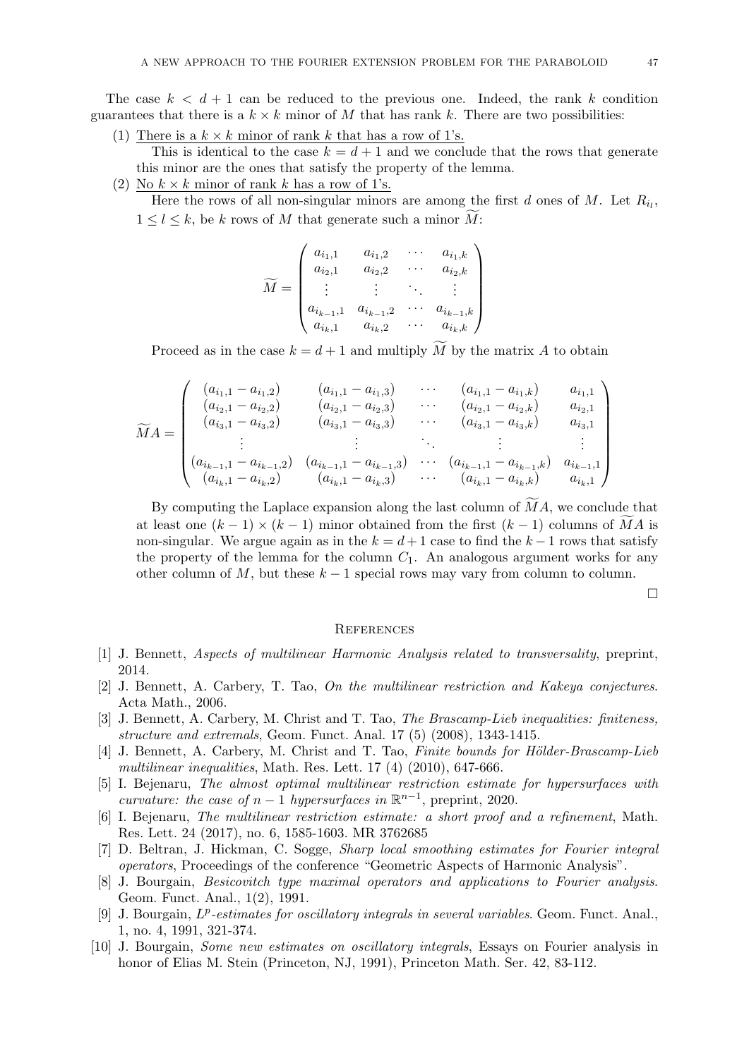The case  $k < d+1$  can be reduced to the previous one. Indeed, the rank k condition guarantees that there is a  $k \times k$  minor of M that has rank k. There are two possibilities:

(1) There is a  $k \times k$  minor of rank k that has a row of 1's.

This is identical to the case  $k = d + 1$  and we conclude that the rows that generate this minor are the ones that satisfy the property of the lemma.

(2) No  $k \times k$  minor of rank k has a row of 1's.

Here the rows of all non-singular minors are among the first  $d$  ones of  $M$ . Let  $R_{i_l}$ ,  $1 \leq l \leq k$ , be k rows of M that generate such a minor  $\widetilde{M}$ :

$$
\widetilde{M} = \begin{pmatrix} a_{i_1,1} & a_{i_1,2} & \cdots & a_{i_1,k} \\ a_{i_2,1} & a_{i_2,2} & \cdots & a_{i_2,k} \\ \vdots & \vdots & \ddots & \vdots \\ a_{i_{k-1},1} & a_{i_{k-1},2} & \cdots & a_{i_{k-1},k} \\ a_{i_k,1} & a_{i_k,2} & \cdots & a_{i_k,k} \end{pmatrix}
$$

Proceed as in the case  $k = d + 1$  and multiply M by the matrix A to obtain

$$
\widetilde{M}A = \begin{pmatrix}\n(a_{i_1,1} - a_{i_1,2}) & (a_{i_1,1} - a_{i_1,3}) & \cdots & (a_{i_1,1} - a_{i_1,k}) & a_{i_1,1} \\
(a_{i_2,1} - a_{i_2,2}) & (a_{i_2,1} - a_{i_2,3}) & \cdots & (a_{i_2,1} - a_{i_2,k}) & a_{i_2,1} \\
(a_{i_3,1} - a_{i_3,2}) & (a_{i_3,1} - a_{i_3,3}) & \cdots & (a_{i_3,1} - a_{i_3,k}) & a_{i_3,1} \\
\vdots & \vdots & \ddots & \vdots & \vdots \\
(a_{i_{k-1},1} - a_{i_{k-1,2}}) & (a_{i_{k-1},1} - a_{i_{k-1,3}}) & \cdots & (a_{i_{k-1},1} - a_{i_{k-1,k}}) & a_{i_{k-1,1}} \\
(a_{i_k,1} - a_{i_k,2}) & (a_{i_k,1} - a_{i_k,3}) & \cdots & (a_{i_k,1} - a_{i_k,k}) & a_{i_k,1}\n\end{pmatrix}
$$

By computing the Laplace expansion along the last column of  $\overline{M}A$ , we conclude that at least one  $(k-1) \times (k-1)$  minor obtained from the first  $(k-1)$  columns of MA is non-singular. We argue again as in the  $k = d + 1$  case to find the  $k - 1$  rows that satisfy the property of the lemma for the column  $C_1$ . An analogous argument works for any other column of M, but these  $k-1$  special rows may vary from column to column.

 $\Box$ 

## <span id="page-46-0"></span>**REFERENCES**

- <span id="page-46-1"></span>[1] J. Bennett, Aspects of multilinear Harmonic Analysis related to transversality, preprint, 2014.
- <span id="page-46-3"></span>[2] J. Bennett, A. Carbery, T. Tao, On the multilinear restriction and Kakeya conjectures. Acta Math., 2006.
- <span id="page-46-5"></span>[3] J. Bennett, A. Carbery, M. Christ and T. Tao, *The Brascamp-Lieb inequalities: finiteness*, structure and extremals, Geom. Funct. Anal. 17 (5) (2008), 1343-1415.
- <span id="page-46-6"></span>[4] J. Bennett, A. Carbery, M. Christ and T. Tao, Finite bounds for Hölder-Brascamp-Lieb multilinear inequalities, Math. Res. Lett. 17 (4) (2010), 647-666.
- <span id="page-46-4"></span>[5] I. Bejenaru, The almost optimal multilinear restriction estimate for hypersurfaces with curvature: the case of  $n-1$  hypersurfaces in  $\mathbb{R}^{n-1}$ , preprint, 2020.
- [6] I. Bejenaru, The multilinear restriction estimate: a short proof and a refinement, Math. Res. Lett. 24 (2017), no. 6, 1585-1603. MR 3762685
- [7] D. Beltran, J. Hickman, C. Sogge, Sharp local smoothing estimates for Fourier integral operators, Proceedings of the conference "Geometric Aspects of Harmonic Analysis".
- <span id="page-46-2"></span>[8] J. Bourgain, Besicovitch type maximal operators and applications to Fourier analysis. Geom. Funct. Anal., 1(2), 1991.
- [9] J. Bourgain,  $L^p$ -estimates for oscillatory integrals in several variables. Geom. Funct. Anal., 1, no. 4, 1991, 321-374.
- [10] J. Bourgain, Some new estimates on oscillatory integrals, Essays on Fourier analysis in honor of Elias M. Stein (Princeton, NJ, 1991), Princeton Math. Ser. 42, 83-112.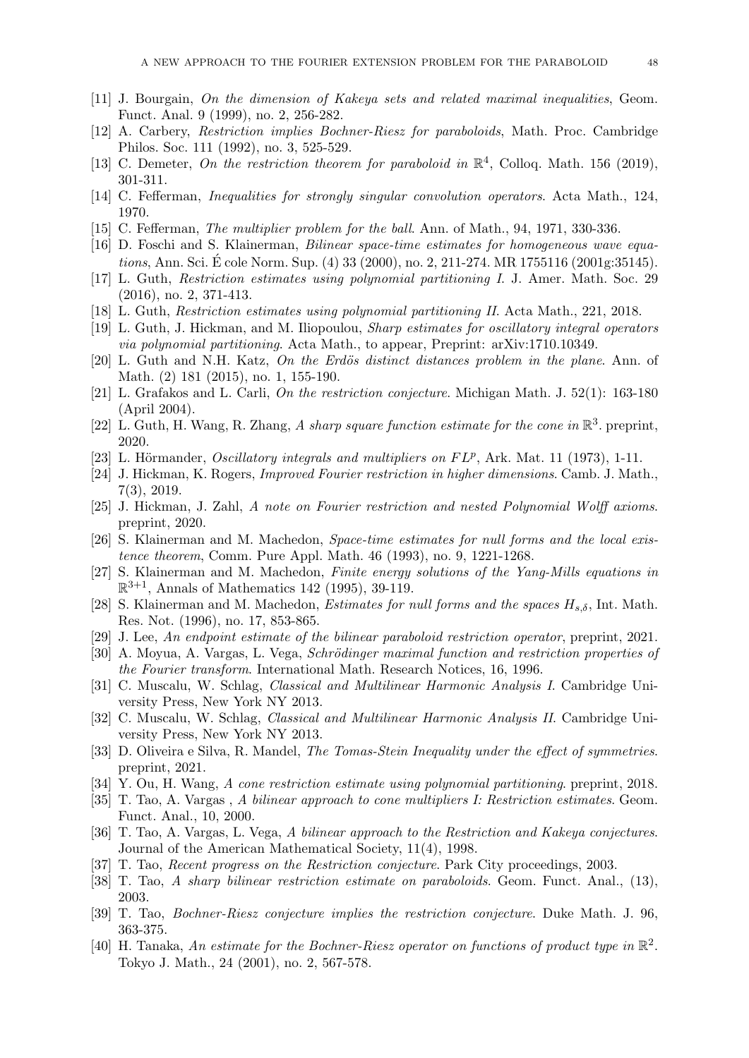- [11] J. Bourgain, On the dimension of Kakeya sets and related maximal inequalities, Geom. Funct. Anal. 9 (1999), no. 2, 256-282.
- [12] A. Carbery, Restriction implies Bochner-Riesz for paraboloids, Math. Proc. Cambridge Philos. Soc. 111 (1992), no. 3, 525-529.
- [13] C. Demeter, On the restriction theorem for paraboloid in  $\mathbb{R}^4$ , Colloq. Math. 156 (2019), 301-311.
- <span id="page-47-6"></span>[14] C. Fefferman, Inequalities for strongly singular convolution operators. Acta Math., 124, 1970.
- <span id="page-47-1"></span>[15] C. Fefferman, *The multiplier problem for the ball*. Ann. of Math., 94, 1971, 330-336.
- <span id="page-47-19"></span>[16] D. Foschi and S. Klainerman, Bilinear space-time estimates for homogeneous wave equations, Ann. Sci. É cole Norm. Sup. (4) 33 (2000), no. 2, 211-274. MR 1755116 (2001g:35145).
- <span id="page-47-16"></span>[17] L. Guth, Restriction estimates using polynomial partitioning I. J. Amer. Math. Soc. 29 (2016), no. 2, 371-413.
- <span id="page-47-10"></span>[18] L. Guth, Restriction estimates using polynomial partitioning II. Acta Math., 221, 2018.
- [19] L. Guth, J. Hickman, and M. Iliopoulou, Sharp estimates for oscillatory integral operators via polynomial partitioning. Acta Math., to appear, Preprint: arXiv:1710.10349.
- [20] L. Guth and N.H. Katz, On the Erdös distinct distances problem in the plane. Ann. of Math. (2) 181 (2015), no. 1, 155-190.
- [21] L. Grafakos and L. Carli, On the restriction conjecture. Michigan Math. J. 52(1): 163-180 (April 2004).
- [22] L. Guth, H. Wang, R. Zhang, A sharp square function estimate for the cone in  $\mathbb{R}^3$ . preprint, 2020.
- <span id="page-47-0"></span>[23] L. Hörmander, *Oscillatory integrals and multipliers on*  $FL^p$ *, Ark. Mat.* 11 (1973), 1-11.
- <span id="page-47-11"></span>[24] J. Hickman, K. Rogers, Improved Fourier restriction in higher dimensions. Camb. J. Math., 7(3), 2019.
- [25] J. Hickman, J. Zahl, A note on Fourier restriction and nested Polynomial Wolff axioms. preprint, 2020.
- <span id="page-47-3"></span>[26] S. Klainerman and M. Machedon, Space-time estimates for null forms and the local existence theorem, Comm. Pure Appl. Math. 46 (1993), no. 9, 1221-1268.
- <span id="page-47-4"></span>[27] S. Klainerman and M. Machedon, Finite energy solutions of the Yang-Mills equations in  $\mathbb{R}^{3+1}$ , Annals of Mathematics 142 (1995), 39-119.
- <span id="page-47-5"></span>[28] S. Klainerman and M. Machedon, *Estimates for null forms and the spaces*  $H_{s,\delta}$ , Int. Math. Res. Not. (1996), no. 17, 853-865.
- <span id="page-47-13"></span>[29] J. Lee, An endpoint estimate of the bilinear paraboloid restriction operator, preprint, 2021.
- <span id="page-47-9"></span>[30] A. Moyua, A. Vargas, L. Vega, *Schrödinger maximal function and restriction properties of* the Fourier transform. International Math. Research Notices, 16, 1996.
- <span id="page-47-17"></span>[31] C. Muscalu, W. Schlag, Classical and Multilinear Harmonic Analysis I. Cambridge University Press, New York NY 2013.
- <span id="page-47-14"></span>[32] C. Muscalu, W. Schlag, Classical and Multilinear Harmonic Analysis II. Cambridge University Press, New York NY 2013.
- [33] D. Oliveira e Silva, R. Mandel, *The Tomas-Stein Inequality under the effect of symmetries*. preprint, 2021.
- <span id="page-47-12"></span>[34] Y. Ou, H. Wang, A cone restriction estimate using polynomial partitioning. preprint, 2018.
- <span id="page-47-7"></span>[35] T. Tao, A. Vargas , A bilinear approach to cone multipliers I: Restriction estimates. Geom. Funct. Anal., 10, 2000.
- <span id="page-47-18"></span>[36] T. Tao, A. Vargas, L. Vega, A bilinear approach to the Restriction and Kakeya conjectures. Journal of the American Mathematical Society, 11(4), 1998.
- <span id="page-47-2"></span>[37] T. Tao, Recent progress on the Restriction conjecture. Park City proceedings, 2003.
- <span id="page-47-8"></span>[38] T. Tao, A sharp bilinear restriction estimate on paraboloids. Geom. Funct. Anal., (13), 2003.
- <span id="page-47-15"></span>[39] T. Tao, Bochner-Riesz conjecture implies the restriction conjecture. Duke Math. J. 96, 363-375.
- [40] H. Tanaka, An estimate for the Bochner-Riesz operator on functions of product type in  $\mathbb{R}^2$ . Tokyo J. Math., 24 (2001), no. 2, 567-578.